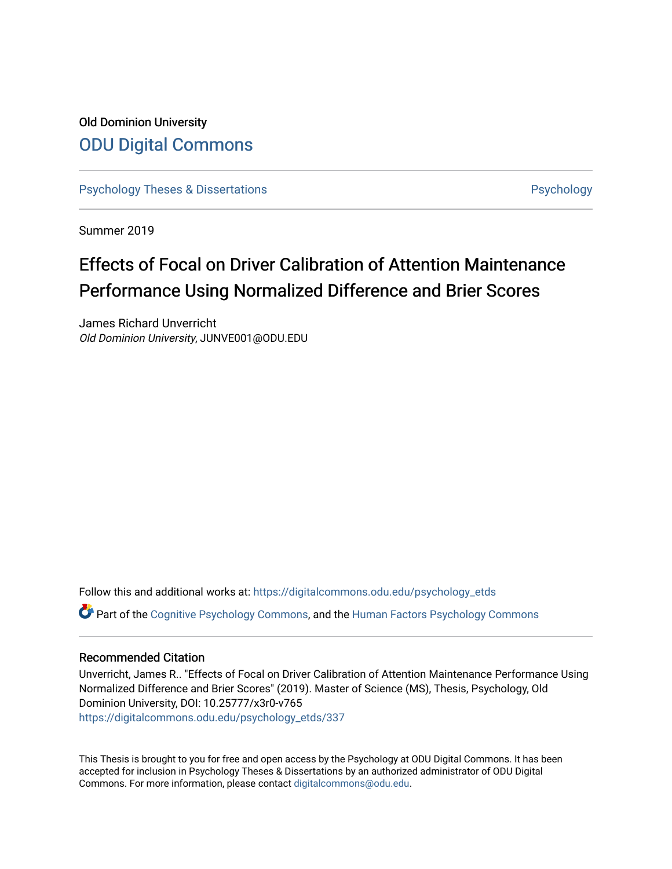# Old Dominion University [ODU Digital Commons](https://digitalcommons.odu.edu/)

[Psychology Theses & Dissertations](https://digitalcommons.odu.edu/psychology_etds) **Psychology** Psychology

Summer 2019

# Effects of Focal on Driver Calibration of Attention Maintenance Performance Using Normalized Difference and Brier Scores

James Richard Unverricht Old Dominion University, JUNVE001@ODU.EDU

Follow this and additional works at: [https://digitalcommons.odu.edu/psychology\\_etds](https://digitalcommons.odu.edu/psychology_etds?utm_source=digitalcommons.odu.edu%2Fpsychology_etds%2F337&utm_medium=PDF&utm_campaign=PDFCoverPages) Part of the [Cognitive Psychology Commons,](http://network.bepress.com/hgg/discipline/408?utm_source=digitalcommons.odu.edu%2Fpsychology_etds%2F337&utm_medium=PDF&utm_campaign=PDFCoverPages) and the [Human Factors Psychology Commons](http://network.bepress.com/hgg/discipline/1412?utm_source=digitalcommons.odu.edu%2Fpsychology_etds%2F337&utm_medium=PDF&utm_campaign=PDFCoverPages)

### Recommended Citation

Unverricht, James R.. "Effects of Focal on Driver Calibration of Attention Maintenance Performance Using Normalized Difference and Brier Scores" (2019). Master of Science (MS), Thesis, Psychology, Old Dominion University, DOI: 10.25777/x3r0-v765 [https://digitalcommons.odu.edu/psychology\\_etds/337](https://digitalcommons.odu.edu/psychology_etds/337?utm_source=digitalcommons.odu.edu%2Fpsychology_etds%2F337&utm_medium=PDF&utm_campaign=PDFCoverPages)

This Thesis is brought to you for free and open access by the Psychology at ODU Digital Commons. It has been accepted for inclusion in Psychology Theses & Dissertations by an authorized administrator of ODU Digital Commons. For more information, please contact [digitalcommons@odu.edu](mailto:digitalcommons@odu.edu).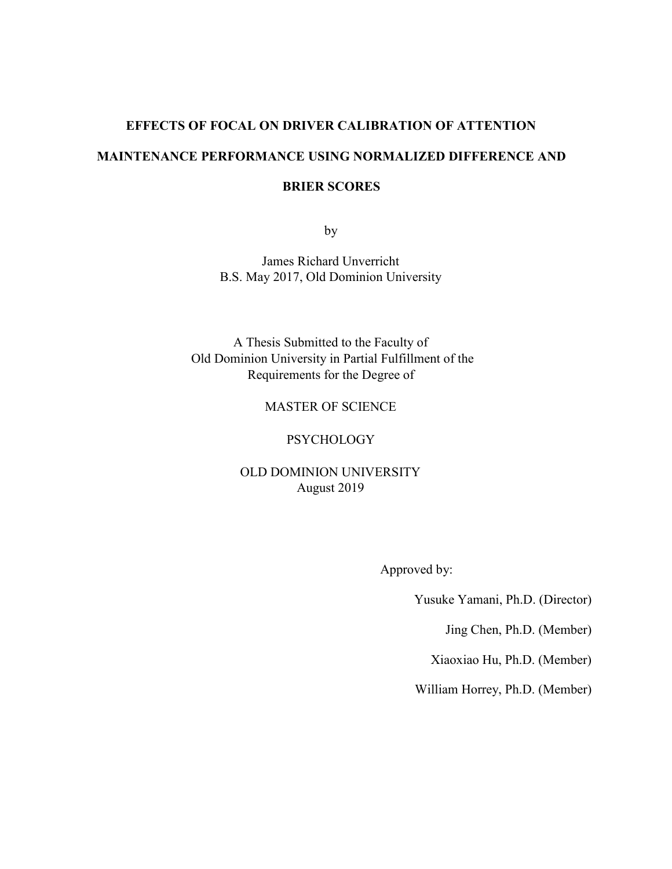#### **EFFECTS OF FOCAL ON DRIVER CALIBRATION OF ATTENTION**

# **MAINTENANCE PERFORMANCE USING NORMALIZED DIFFERENCE AND**

### **BRIER SCORES**

by

James Richard Unverricht B.S. May 2017, Old Dominion University

A Thesis Submitted to the Faculty of Old Dominion University in Partial Fulfillment of the Requirements for the Degree of

# MASTER OF SCIENCE

## **PSYCHOLOGY**

# OLD DOMINION UNIVERSITY August 2019

Approved by:

Yusuke Yamani, Ph.D. (Director)

Jing Chen, Ph.D. (Member)

Xiaoxiao Hu, Ph.D. (Member)

William Horrey, Ph.D. (Member)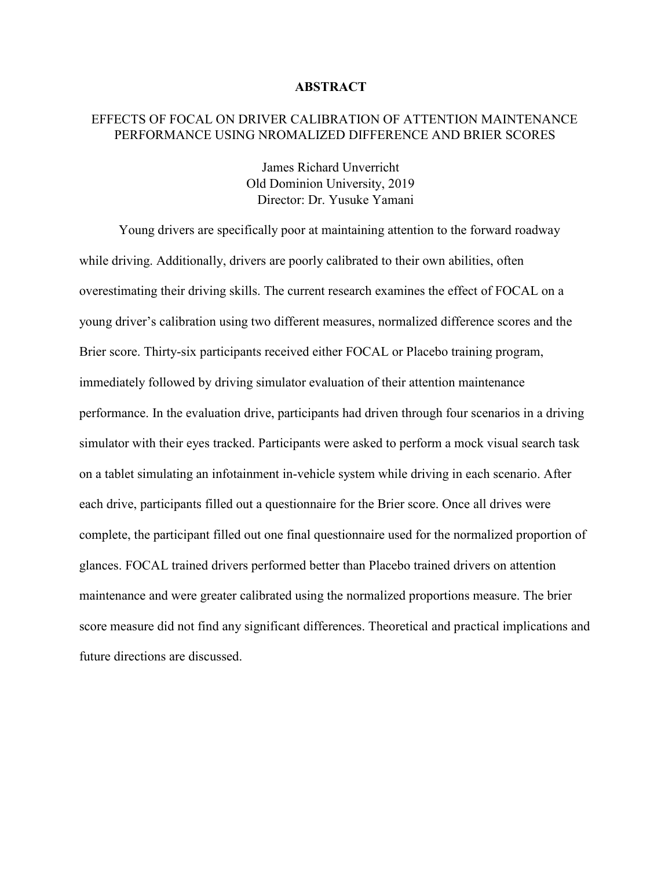#### **ABSTRACT**

## EFFECTS OF FOCAL ON DRIVER CALIBRATION OF ATTENTION MAINTENANCE PERFORMANCE USING NROMALIZED DIFFERENCE AND BRIER SCORES

James Richard Unverricht Old Dominion University, 2019 Director: Dr. Yusuke Yamani

Young drivers are specifically poor at maintaining attention to the forward roadway while driving. Additionally, drivers are poorly calibrated to their own abilities, often overestimating their driving skills. The current research examines the effect of FOCAL on a young driver's calibration using two different measures, normalized difference scores and the Brier score. Thirty-six participants received either FOCAL or Placebo training program, immediately followed by driving simulator evaluation of their attention maintenance performance. In the evaluation drive, participants had driven through four scenarios in a driving simulator with their eyes tracked. Participants were asked to perform a mock visual search task on a tablet simulating an infotainment in-vehicle system while driving in each scenario. After each drive, participants filled out a questionnaire for the Brier score. Once all drives were complete, the participant filled out one final questionnaire used for the normalized proportion of glances. FOCAL trained drivers performed better than Placebo trained drivers on attention maintenance and were greater calibrated using the normalized proportions measure. The brier score measure did not find any significant differences. Theoretical and practical implications and future directions are discussed.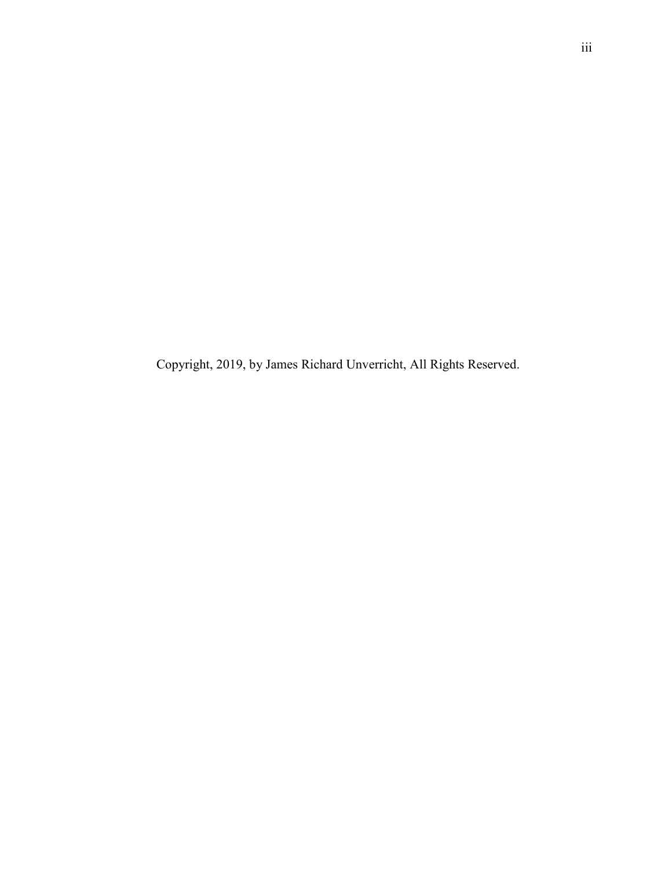Copyright, 2019, by James Richard Unverricht, All Rights Reserved.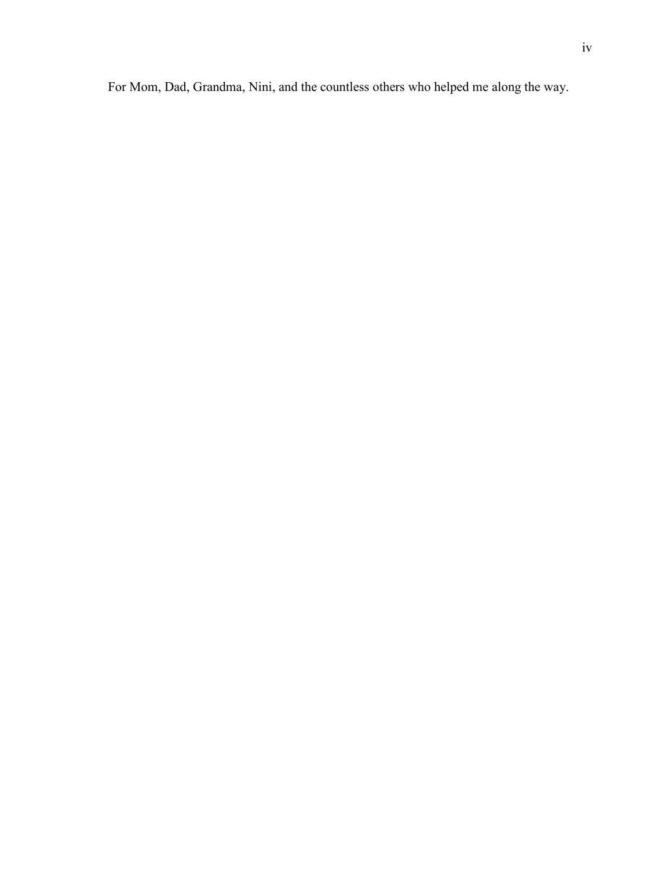For Mom, Dad, Grandma, Nini, and the countless others who helped me along the way.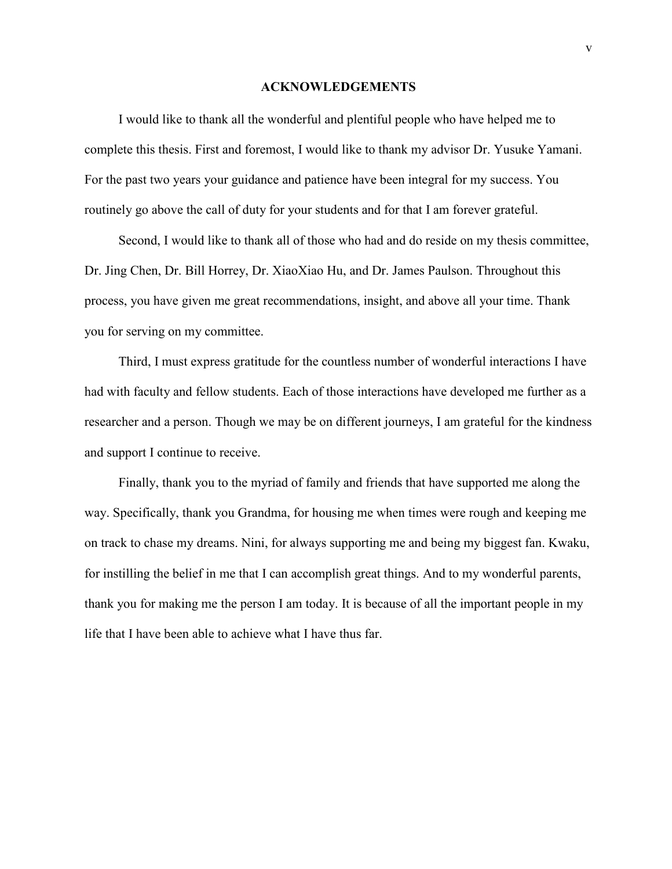#### **ACKNOWLEDGEMENTS**

 I would like to thank all the wonderful and plentiful people who have helped me to complete this thesis. First and foremost, I would like to thank my advisor Dr. Yusuke Yamani. For the past two years your guidance and patience have been integral for my success. You routinely go above the call of duty for your students and for that I am forever grateful.

 Second, I would like to thank all of those who had and do reside on my thesis committee, Dr. Jing Chen, Dr. Bill Horrey, Dr. XiaoXiao Hu, and Dr. James Paulson. Throughout this process, you have given me great recommendations, insight, and above all your time. Thank you for serving on my committee.

 Third, I must express gratitude for the countless number of wonderful interactions I have had with faculty and fellow students. Each of those interactions have developed me further as a researcher and a person. Though we may be on different journeys, I am grateful for the kindness and support I continue to receive.

 Finally, thank you to the myriad of family and friends that have supported me along the way. Specifically, thank you Grandma, for housing me when times were rough and keeping me on track to chase my dreams. Nini, for always supporting me and being my biggest fan. Kwaku, for instilling the belief in me that I can accomplish great things. And to my wonderful parents, thank you for making me the person I am today. It is because of all the important people in my life that I have been able to achieve what I have thus far.

v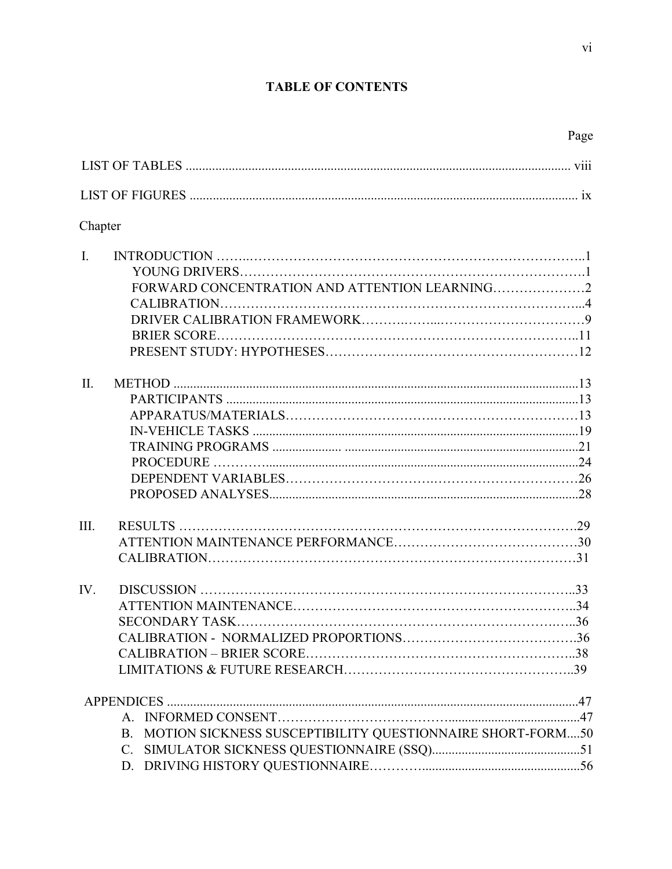# **TABLE OF CONTENTS**

|                | Chapter                                                      |  |
|----------------|--------------------------------------------------------------|--|
| $\mathbf{I}$ . |                                                              |  |
|                |                                                              |  |
|                |                                                              |  |
|                |                                                              |  |
|                |                                                              |  |
|                |                                                              |  |
|                |                                                              |  |
| $\Pi$ .        |                                                              |  |
|                |                                                              |  |
|                |                                                              |  |
|                |                                                              |  |
|                |                                                              |  |
|                |                                                              |  |
|                |                                                              |  |
|                |                                                              |  |
| Ш.             |                                                              |  |
|                |                                                              |  |
|                |                                                              |  |
| IV.            |                                                              |  |
|                |                                                              |  |
|                |                                                              |  |
|                |                                                              |  |
|                |                                                              |  |
|                |                                                              |  |
|                |                                                              |  |
|                |                                                              |  |
|                | B. MOTION SICKNESS SUSCEPTIBILITY QUESTIONNAIRE SHORT-FORM50 |  |
|                | $C_{\cdot}$                                                  |  |
|                |                                                              |  |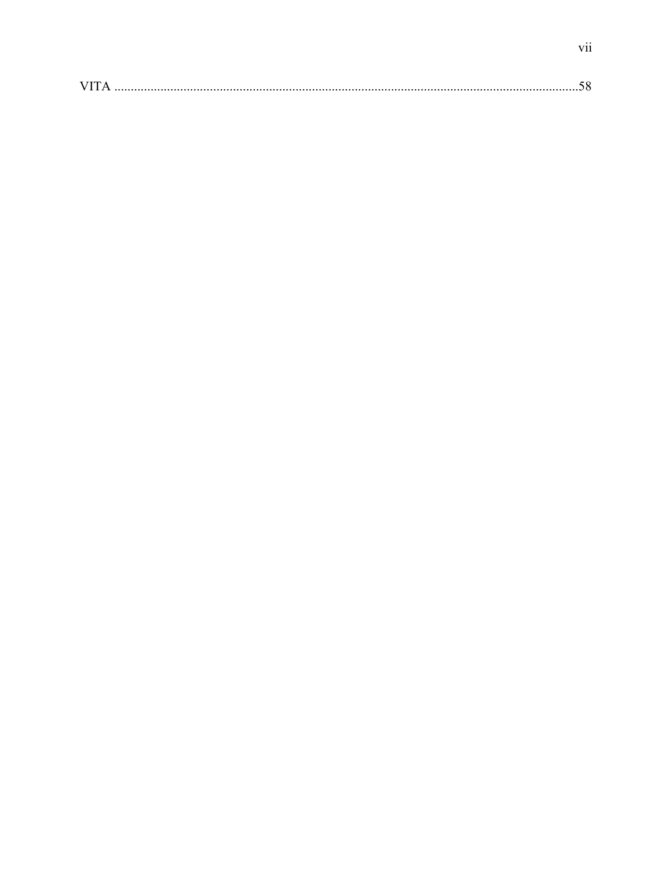|--|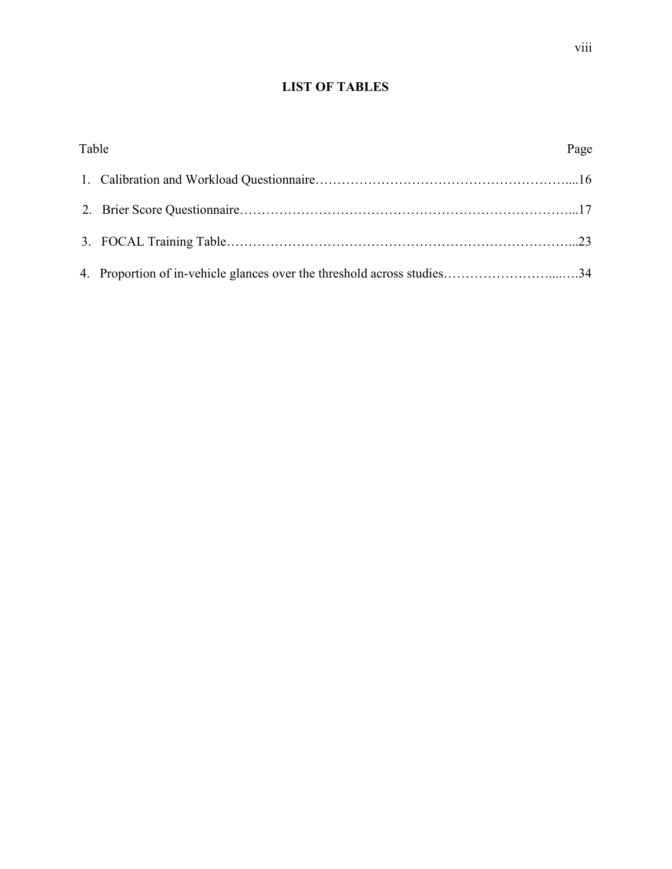# **LIST OF TABLES**

| Table |                                                                         | Page |
|-------|-------------------------------------------------------------------------|------|
|       |                                                                         |      |
|       |                                                                         |      |
|       |                                                                         |      |
|       | 4. Proportion of in-vehicle glances over the threshold across studies34 |      |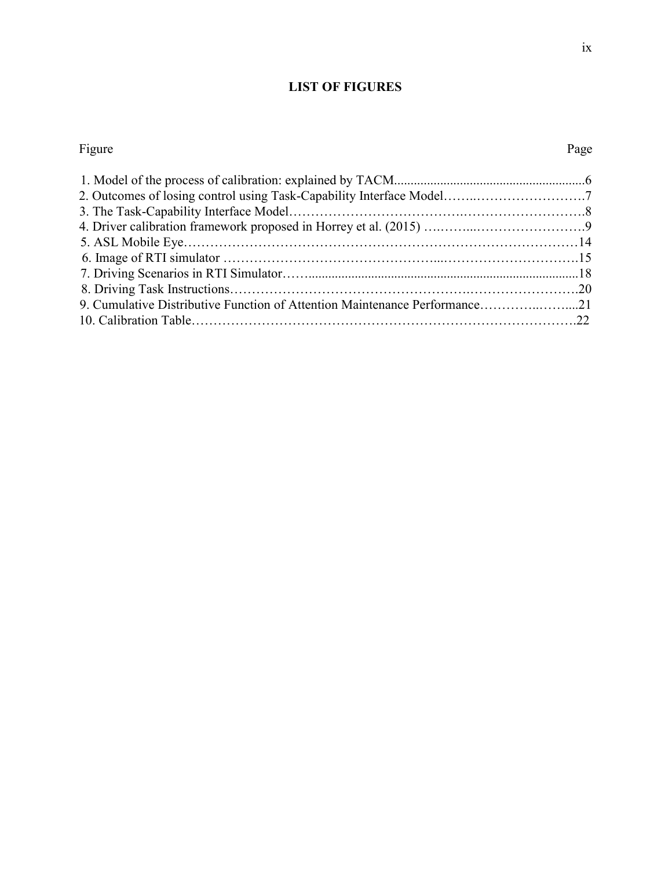# **LIST OF FIGURES**

#### Figure Page

| 2. Outcomes of losing control using Task-Capability Interface Model7       |  |
|----------------------------------------------------------------------------|--|
|                                                                            |  |
|                                                                            |  |
|                                                                            |  |
|                                                                            |  |
|                                                                            |  |
|                                                                            |  |
| 9. Cumulative Distributive Function of Attention Maintenance Performance21 |  |
|                                                                            |  |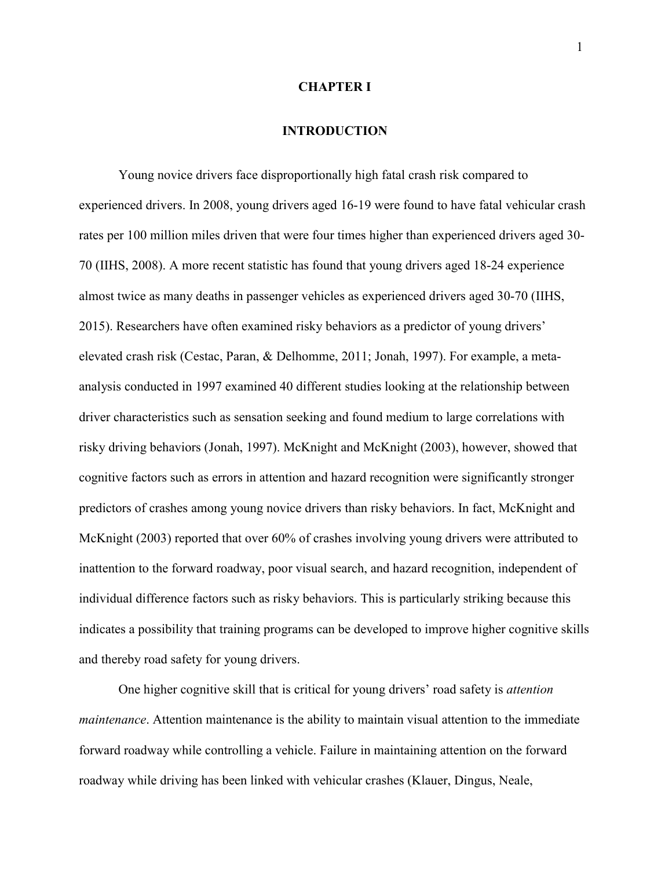#### **CHAPTER I**

## **INTRODUCTION**

Young novice drivers face disproportionally high fatal crash risk compared to experienced drivers. In 2008, young drivers aged 16-19 were found to have fatal vehicular crash rates per 100 million miles driven that were four times higher than experienced drivers aged 30- 70 (IIHS, 2008). A more recent statistic has found that young drivers aged 18-24 experience almost twice as many deaths in passenger vehicles as experienced drivers aged 30-70 (IIHS, 2015). Researchers have often examined risky behaviors as a predictor of young drivers' elevated crash risk (Cestac, Paran, & Delhomme, 2011; Jonah, 1997). For example, a metaanalysis conducted in 1997 examined 40 different studies looking at the relationship between driver characteristics such as sensation seeking and found medium to large correlations with risky driving behaviors (Jonah, 1997). McKnight and McKnight (2003), however, showed that cognitive factors such as errors in attention and hazard recognition were significantly stronger predictors of crashes among young novice drivers than risky behaviors. In fact, McKnight and McKnight (2003) reported that over 60% of crashes involving young drivers were attributed to inattention to the forward roadway, poor visual search, and hazard recognition, independent of individual difference factors such as risky behaviors. This is particularly striking because this indicates a possibility that training programs can be developed to improve higher cognitive skills and thereby road safety for young drivers.

One higher cognitive skill that is critical for young drivers' road safety is *attention maintenance*. Attention maintenance is the ability to maintain visual attention to the immediate forward roadway while controlling a vehicle. Failure in maintaining attention on the forward roadway while driving has been linked with vehicular crashes (Klauer, Dingus, Neale,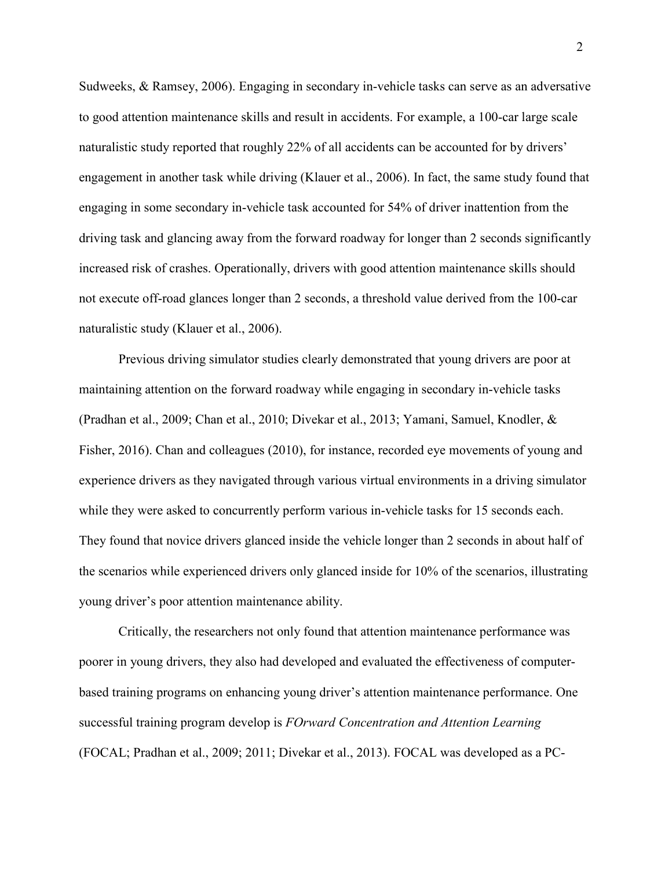Sudweeks, & Ramsey, 2006). Engaging in secondary in-vehicle tasks can serve as an adversative to good attention maintenance skills and result in accidents. For example, a 100-car large scale naturalistic study reported that roughly 22% of all accidents can be accounted for by drivers' engagement in another task while driving (Klauer et al., 2006). In fact, the same study found that engaging in some secondary in-vehicle task accounted for 54% of driver inattention from the driving task and glancing away from the forward roadway for longer than 2 seconds significantly increased risk of crashes. Operationally, drivers with good attention maintenance skills should not execute off-road glances longer than 2 seconds, a threshold value derived from the 100-car naturalistic study (Klauer et al., 2006).

Previous driving simulator studies clearly demonstrated that young drivers are poor at maintaining attention on the forward roadway while engaging in secondary in-vehicle tasks (Pradhan et al., 2009; Chan et al., 2010; Divekar et al., 2013; Yamani, Samuel, Knodler, & Fisher, 2016). Chan and colleagues (2010), for instance, recorded eye movements of young and experience drivers as they navigated through various virtual environments in a driving simulator while they were asked to concurrently perform various in-vehicle tasks for 15 seconds each. They found that novice drivers glanced inside the vehicle longer than 2 seconds in about half of the scenarios while experienced drivers only glanced inside for 10% of the scenarios, illustrating young driver's poor attention maintenance ability.

 Critically, the researchers not only found that attention maintenance performance was poorer in young drivers, they also had developed and evaluated the effectiveness of computerbased training programs on enhancing young driver's attention maintenance performance. One successful training program develop is *FOrward Concentration and Attention Learning* (FOCAL; Pradhan et al., 2009; 2011; Divekar et al., 2013). FOCAL was developed as a PC-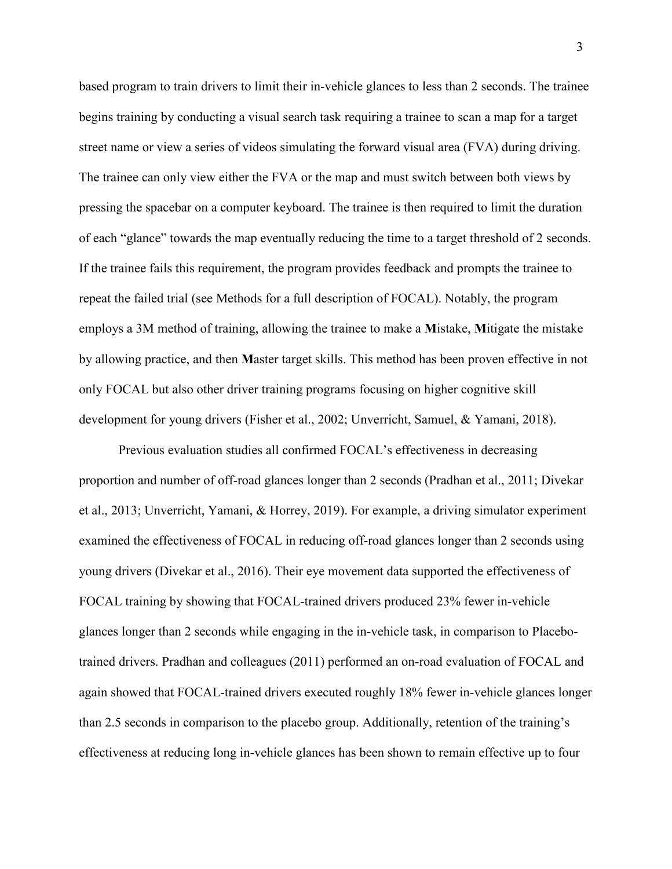based program to train drivers to limit their in-vehicle glances to less than 2 seconds. The trainee begins training by conducting a visual search task requiring a trainee to scan a map for a target street name or view a series of videos simulating the forward visual area (FVA) during driving. The trainee can only view either the FVA or the map and must switch between both views by pressing the spacebar on a computer keyboard. The trainee is then required to limit the duration of each "glance" towards the map eventually reducing the time to a target threshold of 2 seconds. If the trainee fails this requirement, the program provides feedback and prompts the trainee to repeat the failed trial (see Methods for a full description of FOCAL). Notably, the program employs a 3M method of training, allowing the trainee to make a **M**istake, **M**itigate the mistake by allowing practice, and then **M**aster target skills. This method has been proven effective in not only FOCAL but also other driver training programs focusing on higher cognitive skill development for young drivers (Fisher et al., 2002; Unverricht, Samuel, & Yamani, 2018).

Previous evaluation studies all confirmed FOCAL's effectiveness in decreasing proportion and number of off-road glances longer than 2 seconds (Pradhan et al., 2011; Divekar et al., 2013; Unverricht, Yamani, & Horrey, 2019). For example, a driving simulator experiment examined the effectiveness of FOCAL in reducing off-road glances longer than 2 seconds using young drivers (Divekar et al., 2016). Their eye movement data supported the effectiveness of FOCAL training by showing that FOCAL-trained drivers produced 23% fewer in-vehicle glances longer than 2 seconds while engaging in the in-vehicle task, in comparison to Placebotrained drivers. Pradhan and colleagues (2011) performed an on-road evaluation of FOCAL and again showed that FOCAL-trained drivers executed roughly 18% fewer in-vehicle glances longer than 2.5 seconds in comparison to the placebo group. Additionally, retention of the training's effectiveness at reducing long in-vehicle glances has been shown to remain effective up to four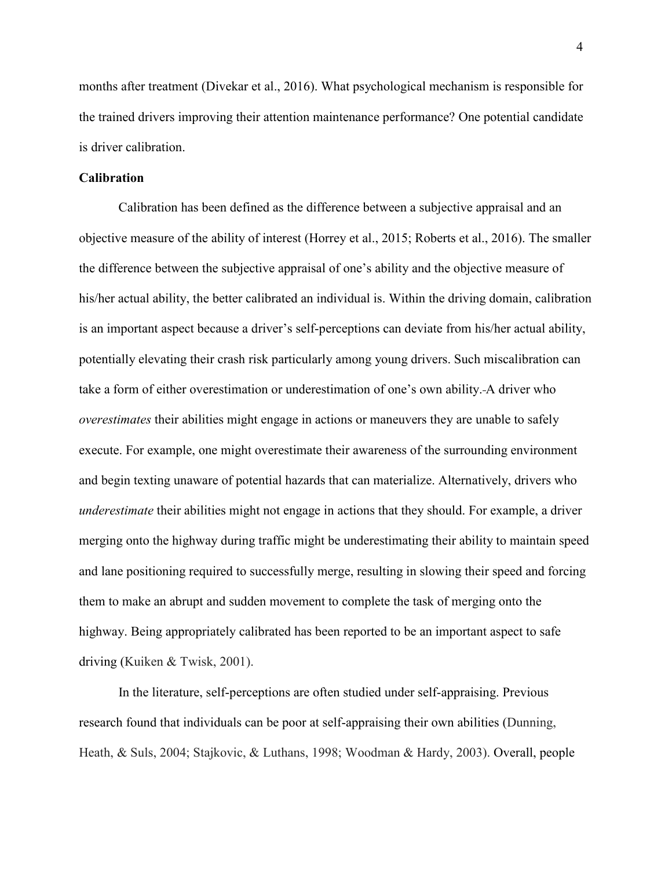months after treatment (Divekar et al., 2016). What psychological mechanism is responsible for the trained drivers improving their attention maintenance performance? One potential candidate is driver calibration.

#### **Calibration**

Calibration has been defined as the difference between a subjective appraisal and an objective measure of the ability of interest (Horrey et al., 2015; Roberts et al., 2016). The smaller the difference between the subjective appraisal of one's ability and the objective measure of his/her actual ability, the better calibrated an individual is. Within the driving domain, calibration is an important aspect because a driver's self-perceptions can deviate from his/her actual ability, potentially elevating their crash risk particularly among young drivers. Such miscalibration can take a form of either overestimation or underestimation of one's own ability. A driver who *overestimates* their abilities might engage in actions or maneuvers they are unable to safely execute. For example, one might overestimate their awareness of the surrounding environment and begin texting unaware of potential hazards that can materialize. Alternatively, drivers who *underestimate* their abilities might not engage in actions that they should. For example, a driver merging onto the highway during traffic might be underestimating their ability to maintain speed and lane positioning required to successfully merge, resulting in slowing their speed and forcing them to make an abrupt and sudden movement to complete the task of merging onto the highway. Being appropriately calibrated has been reported to be an important aspect to safe driving (Kuiken & Twisk, 2001).

In the literature, self-perceptions are often studied under self-appraising. Previous research found that individuals can be poor at self-appraising their own abilities (Dunning, Heath, & Suls, 2004; Stajkovic, & Luthans, 1998; Woodman & Hardy, 2003). Overall, people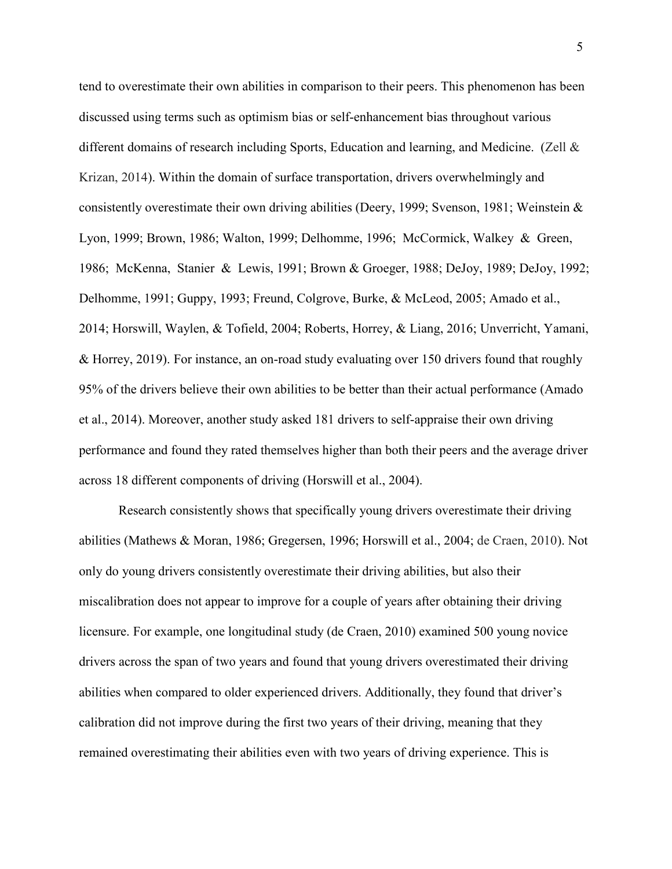tend to overestimate their own abilities in comparison to their peers. This phenomenon has been discussed using terms such as optimism bias or self-enhancement bias throughout various different domains of research including Sports, Education and learning, and Medicine. (Zell & Krizan, 2014). Within the domain of surface transportation, drivers overwhelmingly and consistently overestimate their own driving abilities (Deery, 1999; Svenson, 1981; Weinstein & Lyon, 1999; Brown, 1986; Walton, 1999; Delhomme, 1996; McCormick, Walkey & Green, 1986; McKenna, Stanier & Lewis, 1991; Brown & Groeger, 1988; DeJoy, 1989; DeJoy, 1992; Delhomme, 1991; Guppy, 1993; Freund, Colgrove, Burke, & McLeod, 2005; Amado et al., 2014; Horswill, Waylen, & Tofield, 2004; Roberts, Horrey, & Liang, 2016; Unverricht, Yamani, & Horrey, 2019). For instance, an on-road study evaluating over 150 drivers found that roughly 95% of the drivers believe their own abilities to be better than their actual performance (Amado et al., 2014). Moreover, another study asked 181 drivers to self-appraise their own driving performance and found they rated themselves higher than both their peers and the average driver across 18 different components of driving (Horswill et al., 2004).

Research consistently shows that specifically young drivers overestimate their driving abilities (Mathews & Moran, 1986; Gregersen, 1996; Horswill et al., 2004; de Craen, 2010). Not only do young drivers consistently overestimate their driving abilities, but also their miscalibration does not appear to improve for a couple of years after obtaining their driving licensure. For example, one longitudinal study (de Craen, 2010) examined 500 young novice drivers across the span of two years and found that young drivers overestimated their driving abilities when compared to older experienced drivers. Additionally, they found that driver's calibration did not improve during the first two years of their driving, meaning that they remained overestimating their abilities even with two years of driving experience. This is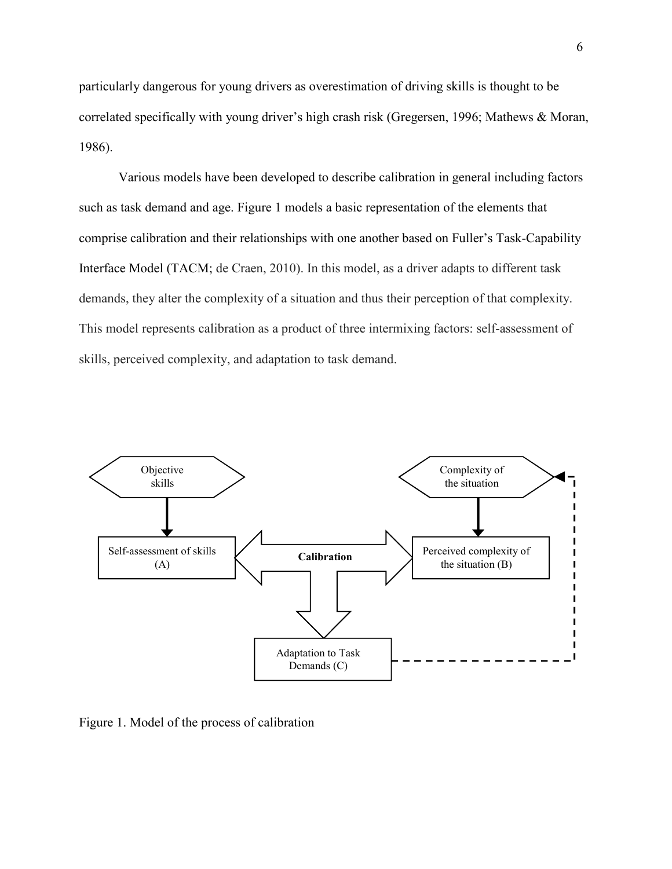particularly dangerous for young drivers as overestimation of driving skills is thought to be correlated specifically with young driver's high crash risk (Gregersen, 1996; Mathews & Moran, 1986).

 Various models have been developed to describe calibration in general including factors such as task demand and age. Figure 1 models a basic representation of the elements that comprise calibration and their relationships with one another based on Fuller's Task-Capability Interface Model (TACM; de Craen, 2010). In this model, as a driver adapts to different task demands, they alter the complexity of a situation and thus their perception of that complexity. This model represents calibration as a product of three intermixing factors: self-assessment of skills, perceived complexity, and adaptation to task demand.



Figure 1. Model of the process of calibration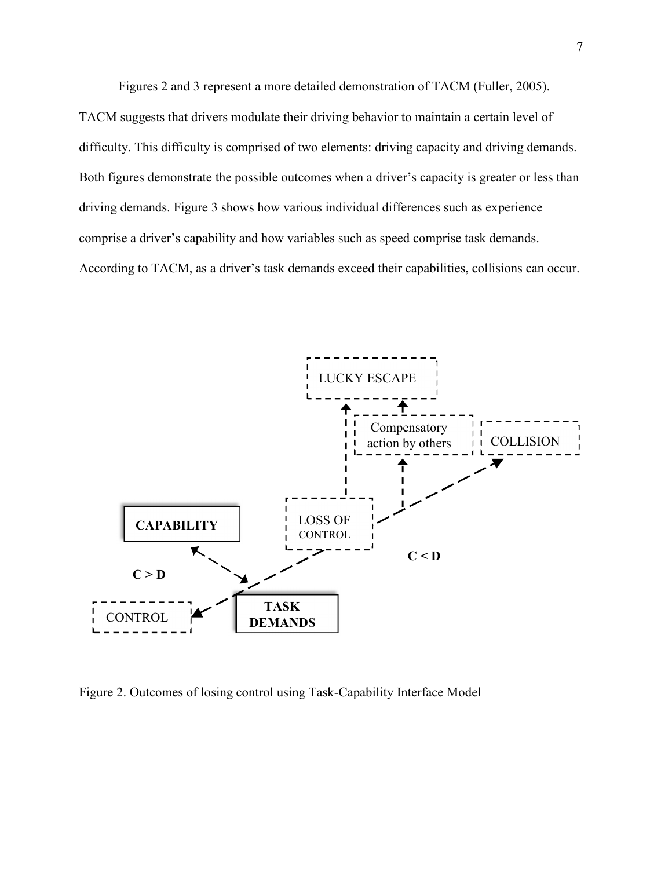Figures 2 and 3 represent a more detailed demonstration of TACM (Fuller, 2005). TACM suggests that drivers modulate their driving behavior to maintain a certain level of difficulty. This difficulty is comprised of two elements: driving capacity and driving demands. Both figures demonstrate the possible outcomes when a driver's capacity is greater or less than

driving demands. Figure 3 shows how various individual differences such as experience comprise a driver's capability and how variables such as speed comprise task demands. According to TACM, as a driver's task demands exceed their capabilities, collisions can occur.



Figure 2. Outcomes of losing control using Task-Capability Interface Model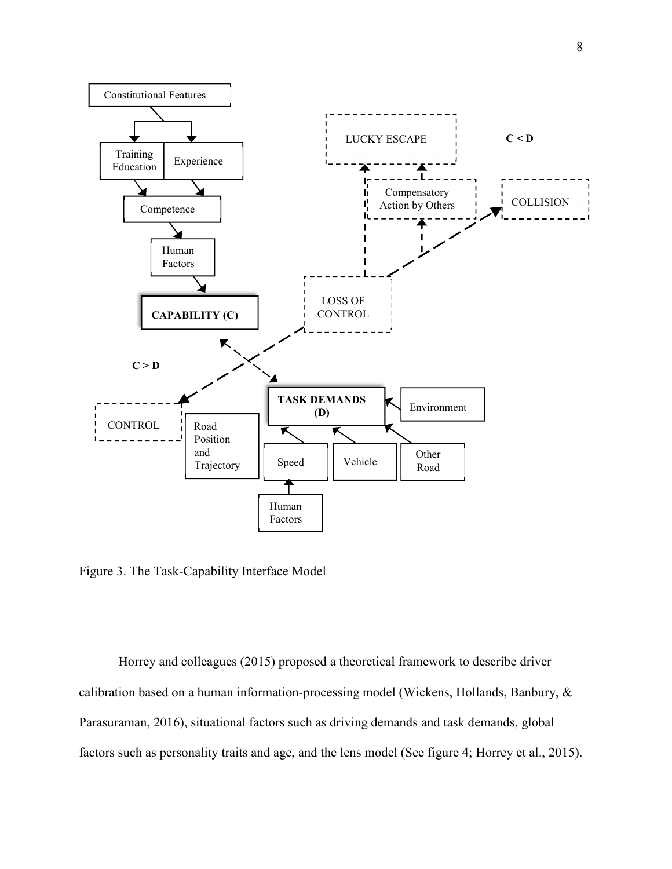

Figure 3. The Task-Capability Interface Model

Horrey and colleagues (2015) proposed a theoretical framework to describe driver calibration based on a human information-processing model (Wickens, Hollands, Banbury, & Parasuraman, 2016), situational factors such as driving demands and task demands, global factors such as personality traits and age, and the lens model (See figure 4; Horrey et al., 2015).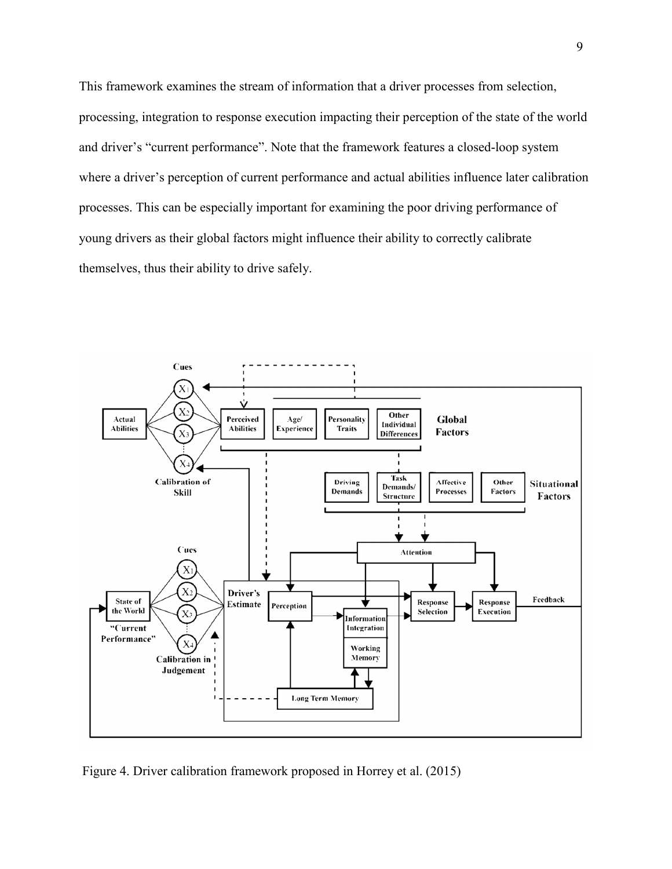This framework examines the stream of information that a driver processes from selection, processing, integration to response execution impacting their perception of the state of the world and driver's "current performance". Note that the framework features a closed-loop system where a driver's perception of current performance and actual abilities influence later calibration processes. This can be especially important for examining the poor driving performance of young drivers as their global factors might influence their ability to correctly calibrate themselves, thus their ability to drive safely.



Figure 4. Driver calibration framework proposed in Horrey et al. (2015)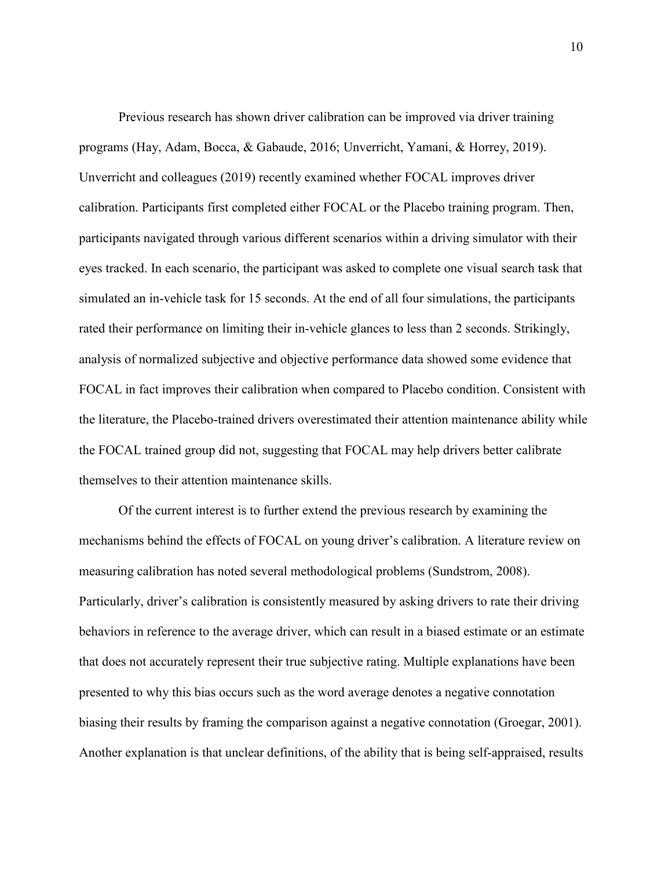Previous research has shown driver calibration can be improved via driver training programs (Hay, Adam, Bocca, & Gabaude, 2016; Unverricht, Yamani, & Horrey, 2019). Unverricht and colleagues (2019) recently examined whether FOCAL improves driver calibration. Participants first completed either FOCAL or the Placebo training program. Then, participants navigated through various different scenarios within a driving simulator with their eyes tracked. In each scenario, the participant was asked to complete one visual search task that simulated an in-vehicle task for 15 seconds. At the end of all four simulations, the participants rated their performance on limiting their in-vehicle glances to less than 2 seconds. Strikingly, analysis of normalized subjective and objective performance data showed some evidence that FOCAL in fact improves their calibration when compared to Placebo condition. Consistent with the literature, the Placebo-trained drivers overestimated their attention maintenance ability while the FOCAL trained group did not, suggesting that FOCAL may help drivers better calibrate themselves to their attention maintenance skills.

Of the current interest is to further extend the previous research by examining the mechanisms behind the effects of FOCAL on young driver's calibration. A literature review on measuring calibration has noted several methodological problems (Sundstrom, 2008). Particularly, driver's calibration is consistently measured by asking drivers to rate their driving behaviors in reference to the average driver, which can result in a biased estimate or an estimate that does not accurately represent their true subjective rating. Multiple explanations have been presented to why this bias occurs such as the word average denotes a negative connotation biasing their results by framing the comparison against a negative connotation (Groegar, 2001). Another explanation is that unclear definitions, of the ability that is being self-appraised, results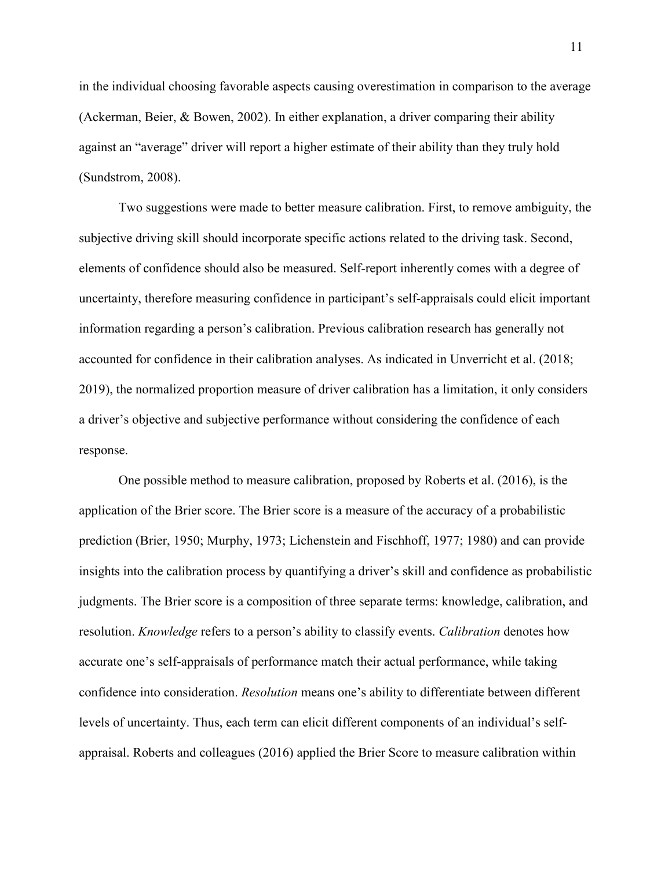in the individual choosing favorable aspects causing overestimation in comparison to the average (Ackerman, Beier, & Bowen, 2002). In either explanation, a driver comparing their ability against an "average" driver will report a higher estimate of their ability than they truly hold (Sundstrom, 2008).

Two suggestions were made to better measure calibration. First, to remove ambiguity, the subjective driving skill should incorporate specific actions related to the driving task. Second, elements of confidence should also be measured. Self-report inherently comes with a degree of uncertainty, therefore measuring confidence in participant's self-appraisals could elicit important information regarding a person's calibration. Previous calibration research has generally not accounted for confidence in their calibration analyses. As indicated in Unverricht et al. (2018; 2019), the normalized proportion measure of driver calibration has a limitation, it only considers a driver's objective and subjective performance without considering the confidence of each response.

One possible method to measure calibration, proposed by Roberts et al. (2016), is the application of the Brier score. The Brier score is a measure of the accuracy of a probabilistic prediction (Brier, 1950; Murphy, 1973; Lichenstein and Fischhoff, 1977; 1980) and can provide insights into the calibration process by quantifying a driver's skill and confidence as probabilistic judgments. The Brier score is a composition of three separate terms: knowledge, calibration, and resolution. *Knowledge* refers to a person's ability to classify events. *Calibration* denotes how accurate one's self-appraisals of performance match their actual performance, while taking confidence into consideration. *Resolution* means one's ability to differentiate between different levels of uncertainty. Thus, each term can elicit different components of an individual's selfappraisal. Roberts and colleagues (2016) applied the Brier Score to measure calibration within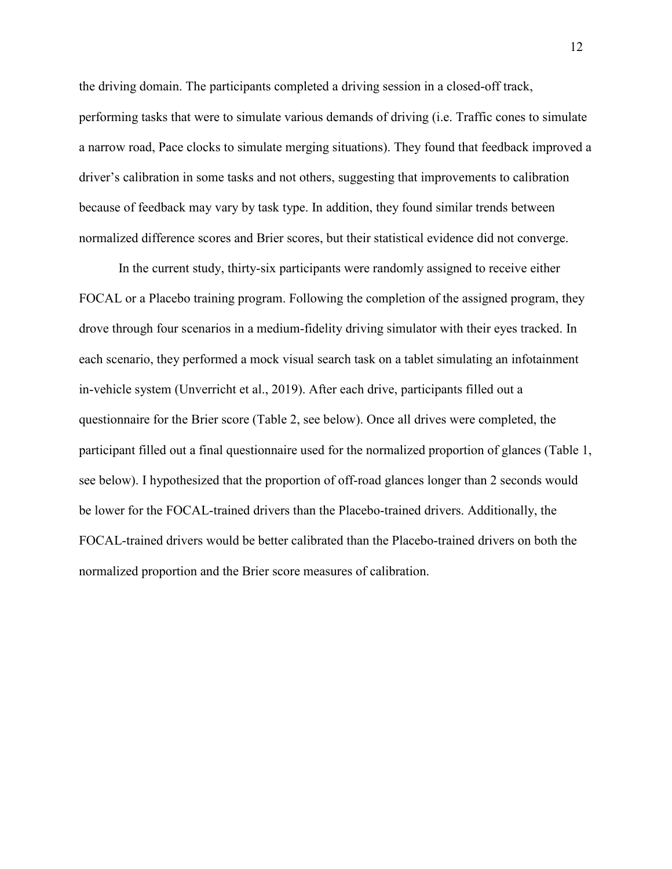the driving domain. The participants completed a driving session in a closed-off track, performing tasks that were to simulate various demands of driving (i.e. Traffic cones to simulate a narrow road, Pace clocks to simulate merging situations). They found that feedback improved a driver's calibration in some tasks and not others, suggesting that improvements to calibration because of feedback may vary by task type. In addition, they found similar trends between normalized difference scores and Brier scores, but their statistical evidence did not converge.

In the current study, thirty-six participants were randomly assigned to receive either FOCAL or a Placebo training program. Following the completion of the assigned program, they drove through four scenarios in a medium-fidelity driving simulator with their eyes tracked. In each scenario, they performed a mock visual search task on a tablet simulating an infotainment in-vehicle system (Unverricht et al., 2019). After each drive, participants filled out a questionnaire for the Brier score (Table 2, see below). Once all drives were completed, the participant filled out a final questionnaire used for the normalized proportion of glances (Table 1, see below). I hypothesized that the proportion of off-road glances longer than 2 seconds would be lower for the FOCAL-trained drivers than the Placebo-trained drivers. Additionally, the FOCAL-trained drivers would be better calibrated than the Placebo-trained drivers on both the normalized proportion and the Brier score measures of calibration.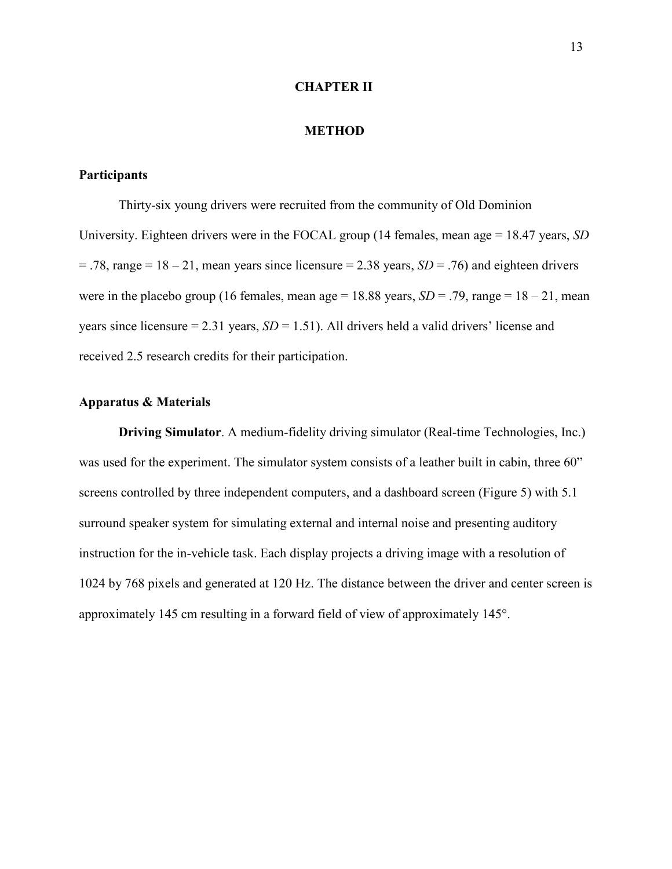#### **CHAPTER II**

#### **METHOD**

## **Participants**

Thirty-six young drivers were recruited from the community of Old Dominion University. Eighteen drivers were in the FOCAL group (14 females, mean age = 18.47 years, *SD*  $= .78$ , range  $= 18 - 21$ , mean years since licensure  $= 2.38$  years, *SD*  $= .76$ ) and eighteen drivers were in the placebo group (16 females, mean age =  $18.88$  years, *SD* = .79, range =  $18 - 21$ , mean years since licensure  $= 2.31$  years,  $SD = 1.51$ ). All drivers held a valid drivers' license and received 2.5 research credits for their participation.

# **Apparatus & Materials**

**Driving Simulator**. A medium-fidelity driving simulator (Real-time Technologies, Inc.) was used for the experiment. The simulator system consists of a leather built in cabin, three 60" screens controlled by three independent computers, and a dashboard screen (Figure 5) with 5.1 surround speaker system for simulating external and internal noise and presenting auditory instruction for the in-vehicle task. Each display projects a driving image with a resolution of 1024 by 768 pixels and generated at 120 Hz. The distance between the driver and center screen is approximately 145 cm resulting in a forward field of view of approximately 145°.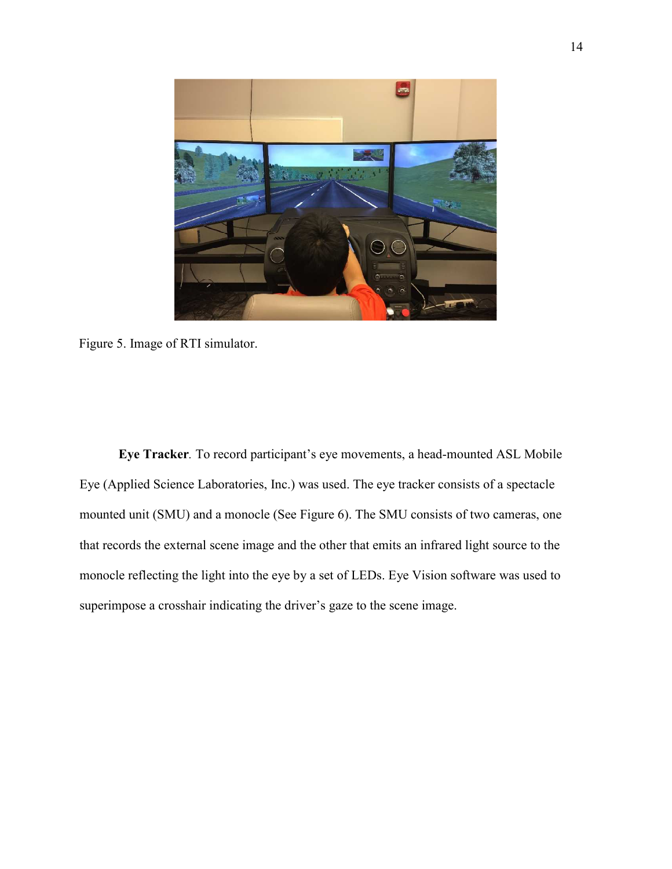

Figure 5. Image of RTI simulator.

 **Eye Tracker***.* To record participant's eye movements, a head-mounted ASL Mobile Eye (Applied Science Laboratories, Inc.) was used. The eye tracker consists of a spectacle mounted unit (SMU) and a monocle (See Figure 6). The SMU consists of two cameras, one that records the external scene image and the other that emits an infrared light source to the monocle reflecting the light into the eye by a set of LEDs. Eye Vision software was used to superimpose a crosshair indicating the driver's gaze to the scene image.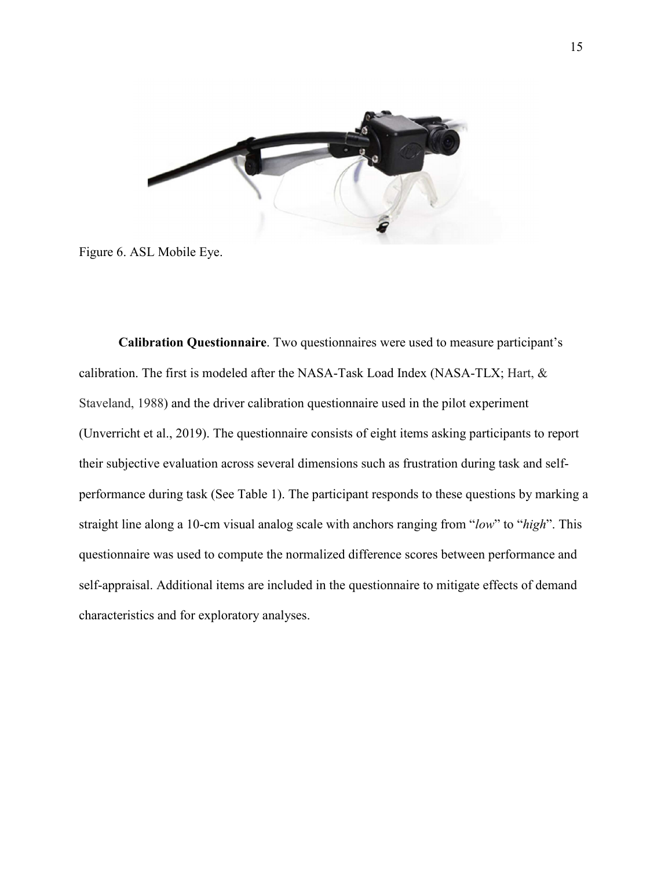

Figure 6. ASL Mobile Eye.

**Calibration Questionnaire**. Two questionnaires were used to measure participant's calibration. The first is modeled after the NASA-Task Load Index (NASA-TLX; Hart, & Staveland, 1988) and the driver calibration questionnaire used in the pilot experiment (Unverricht et al., 2019). The questionnaire consists of eight items asking participants to report their subjective evaluation across several dimensions such as frustration during task and selfperformance during task (See Table 1). The participant responds to these questions by marking a straight line along a 10-cm visual analog scale with anchors ranging from "*low*" to "*high*". This questionnaire was used to compute the normalized difference scores between performance and self-appraisal. Additional items are included in the questionnaire to mitigate effects of demand characteristics and for exploratory analyses.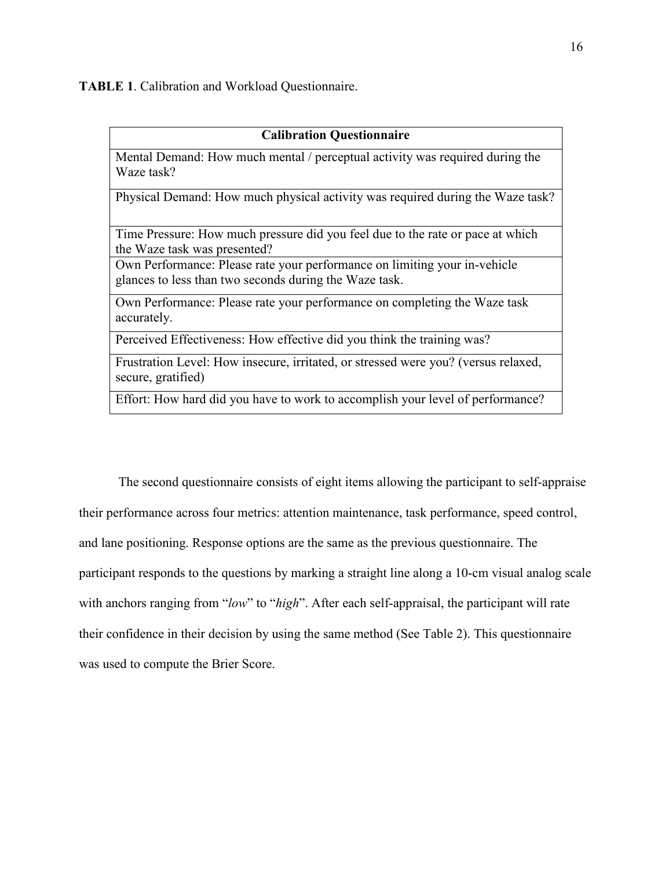**TABLE 1**. Calibration and Workload Questionnaire.

#### **Calibration Questionnaire**

Mental Demand: How much mental / perceptual activity was required during the Waze task?

Physical Demand: How much physical activity was required during the Waze task?

Time Pressure: How much pressure did you feel due to the rate or pace at which the Waze task was presented?

Own Performance: Please rate your performance on limiting your in-vehicle glances to less than two seconds during the Waze task.

Own Performance: Please rate your performance on completing the Waze task accurately.

Perceived Effectiveness: How effective did you think the training was?

Frustration Level: How insecure, irritated, or stressed were you? (versus relaxed, secure, gratified)

Effort: How hard did you have to work to accomplish your level of performance?

The second questionnaire consists of eight items allowing the participant to self-appraise their performance across four metrics: attention maintenance, task performance, speed control, and lane positioning. Response options are the same as the previous questionnaire. The participant responds to the questions by marking a straight line along a 10-cm visual analog scale with anchors ranging from "*low*" to "*high*". After each self-appraisal, the participant will rate their confidence in their decision by using the same method (See Table 2). This questionnaire was used to compute the Brier Score.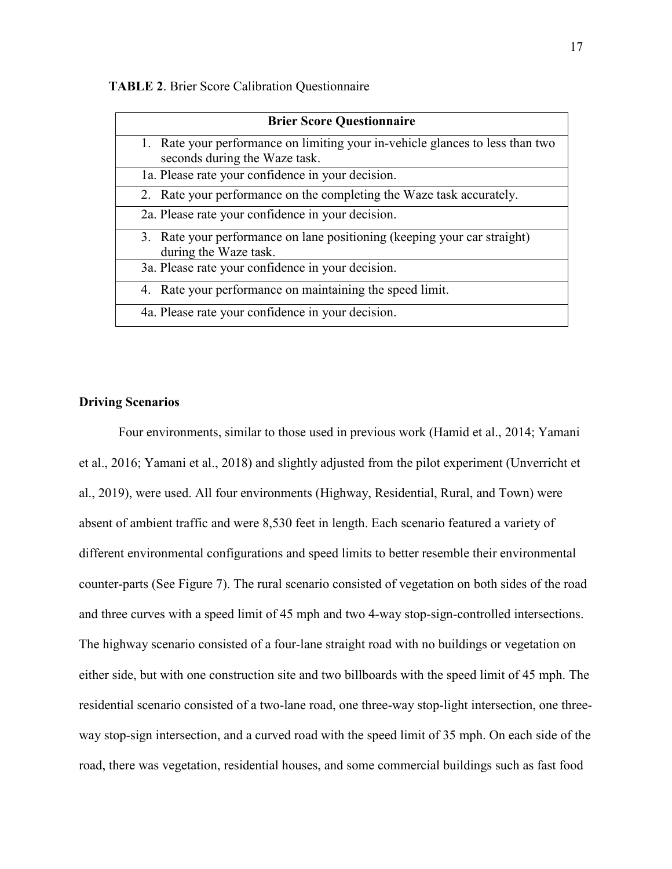|  |  |  | <b>TABLE 2.</b> Brier Score Calibration Questionnaire |  |
|--|--|--|-------------------------------------------------------|--|
|  |  |  |                                                       |  |

| <b>Brier Score Questionnaire</b>                                                                               |
|----------------------------------------------------------------------------------------------------------------|
| 1. Rate your performance on limiting your in-vehicle glances to less than two<br>seconds during the Waze task. |
| 1a. Please rate your confidence in your decision.                                                              |
| 2. Rate your performance on the completing the Waze task accurately.                                           |
| 2a. Please rate your confidence in your decision.                                                              |
| 3. Rate your performance on lane positioning (keeping your car straight)<br>during the Waze task.              |
| 3a. Please rate your confidence in your decision.                                                              |
| 4. Rate your performance on maintaining the speed limit.                                                       |
| 4a. Please rate your confidence in your decision.                                                              |

## **Driving Scenarios**

Four environments, similar to those used in previous work (Hamid et al., 2014; Yamani et al., 2016; Yamani et al., 2018) and slightly adjusted from the pilot experiment (Unverricht et al., 2019), were used. All four environments (Highway, Residential, Rural, and Town) were absent of ambient traffic and were 8,530 feet in length. Each scenario featured a variety of different environmental configurations and speed limits to better resemble their environmental counter-parts (See Figure 7). The rural scenario consisted of vegetation on both sides of the road and three curves with a speed limit of 45 mph and two 4-way stop-sign-controlled intersections. The highway scenario consisted of a four-lane straight road with no buildings or vegetation on either side, but with one construction site and two billboards with the speed limit of 45 mph. The residential scenario consisted of a two-lane road, one three-way stop-light intersection, one threeway stop-sign intersection, and a curved road with the speed limit of 35 mph. On each side of the road, there was vegetation, residential houses, and some commercial buildings such as fast food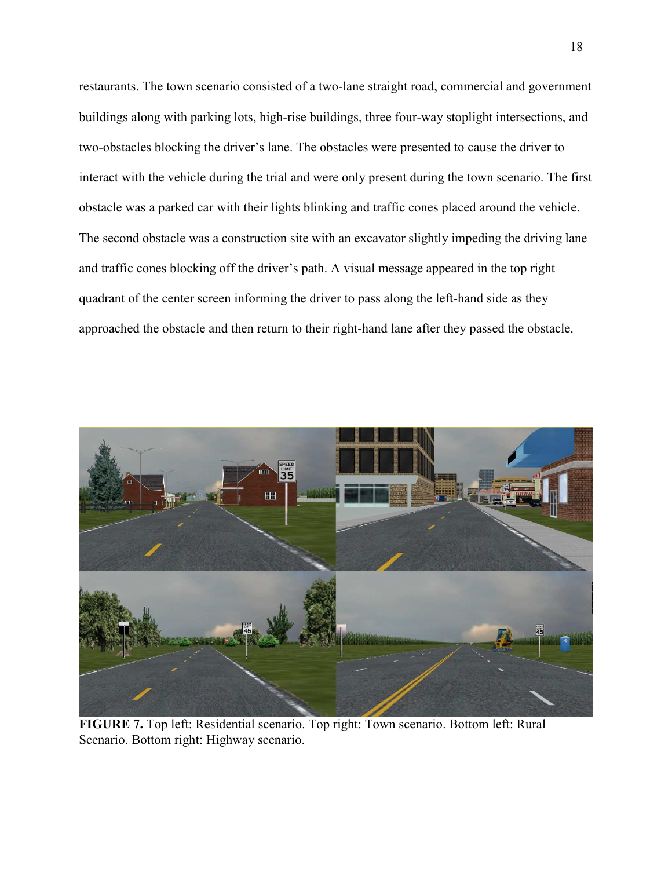restaurants. The town scenario consisted of a two-lane straight road, commercial and government buildings along with parking lots, high-rise buildings, three four-way stoplight intersections, and two-obstacles blocking the driver's lane. The obstacles were presented to cause the driver to interact with the vehicle during the trial and were only present during the town scenario. The first obstacle was a parked car with their lights blinking and traffic cones placed around the vehicle. The second obstacle was a construction site with an excavator slightly impeding the driving lane and traffic cones blocking off the driver's path. A visual message appeared in the top right quadrant of the center screen informing the driver to pass along the left-hand side as they approached the obstacle and then return to their right-hand lane after they passed the obstacle.



**FIGURE 7.** Top left: Residential scenario. Top right: Town scenario. Bottom left: Rural Scenario. Bottom right: Highway scenario.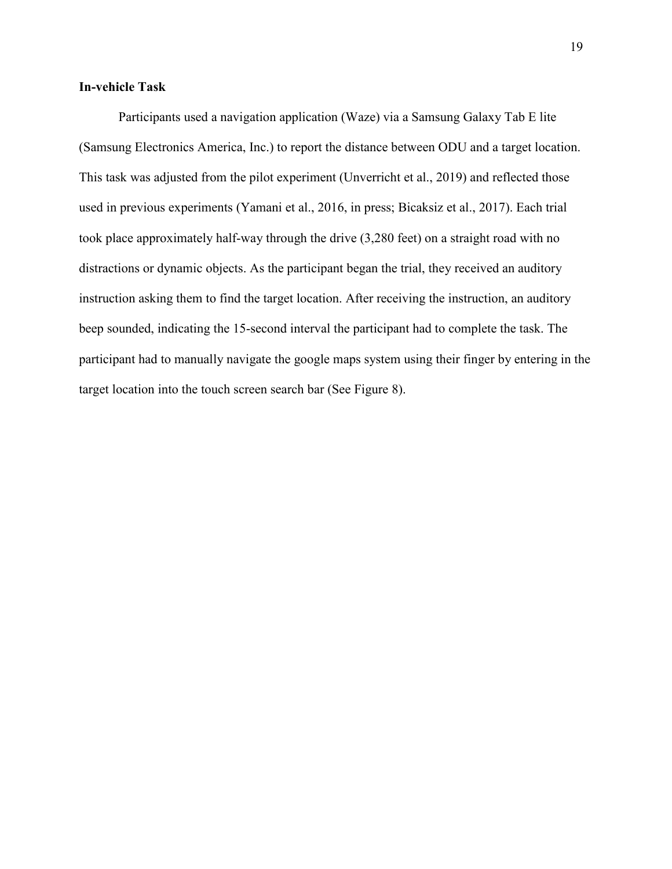# **In-vehicle Task**

Participants used a navigation application (Waze) via a Samsung Galaxy Tab E lite (Samsung Electronics America, Inc.) to report the distance between ODU and a target location. This task was adjusted from the pilot experiment (Unverricht et al., 2019) and reflected those used in previous experiments (Yamani et al., 2016, in press; Bicaksiz et al., 2017). Each trial took place approximately half-way through the drive (3,280 feet) on a straight road with no distractions or dynamic objects. As the participant began the trial, they received an auditory instruction asking them to find the target location. After receiving the instruction, an auditory beep sounded, indicating the 15-second interval the participant had to complete the task. The participant had to manually navigate the google maps system using their finger by entering in the target location into the touch screen search bar (See Figure 8).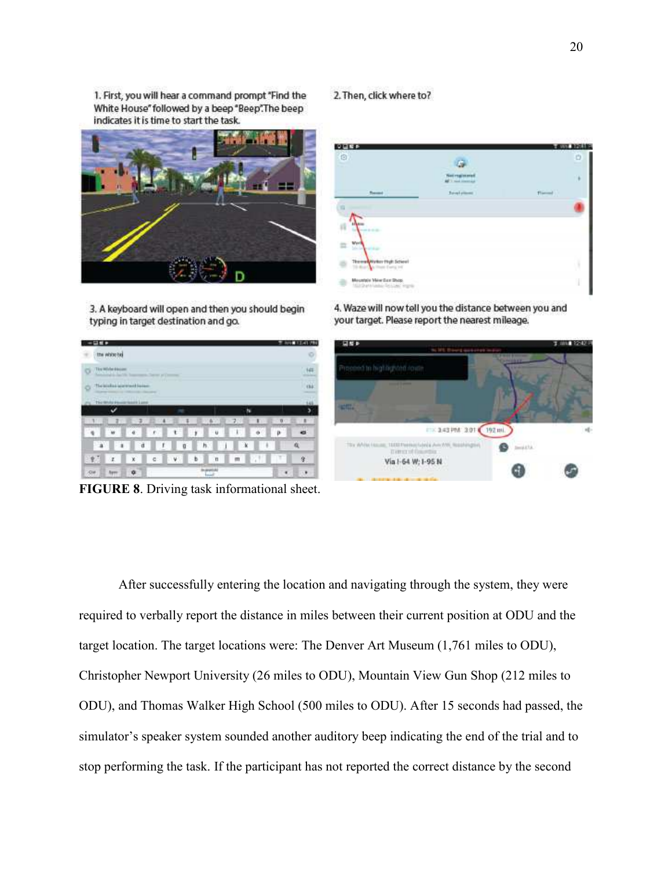1. First, you will hear a command prompt "Find the White House" followed by a beep "Beep". The beep indicates it is time to start the task.



3. A keyboard will open and then you should begin typing in target destination and go.

#### 2. Then, click where to?

| 交互報告<br>$\circ$                     |                                               | sa a<br>$\pi$ and<br>45.00<br>O |
|-------------------------------------|-----------------------------------------------|---------------------------------|
|                                     | <b>Sail requirements</b><br>1 mini literatura | 14                              |
| <b>Thomas</b>                       | Reverly House                                 | <b>Time</b>                     |
| ٠                                   |                                               |                                 |
|                                     |                                               |                                 |
| ß<br>$-0.000$                       |                                               |                                 |
| Wer<br>≖                            |                                               |                                 |
| Themstown that Scient<br>an Europea |                                               |                                 |
|                                     |                                               |                                 |

4. Waze will now tell you the distance between you and your target. Please report the nearest mileage.



**FIGURE 8**. Driving task informational sheet.

After successfully entering the location and navigating through the system, they were required to verbally report the distance in miles between their current position at ODU and the target location. The target locations were: The Denver Art Museum (1,761 miles to ODU), Christopher Newport University (26 miles to ODU), Mountain View Gun Shop (212 miles to ODU), and Thomas Walker High School (500 miles to ODU). After 15 seconds had passed, the simulator's speaker system sounded another auditory beep indicating the end of the trial and to stop performing the task. If the participant has not reported the correct distance by the second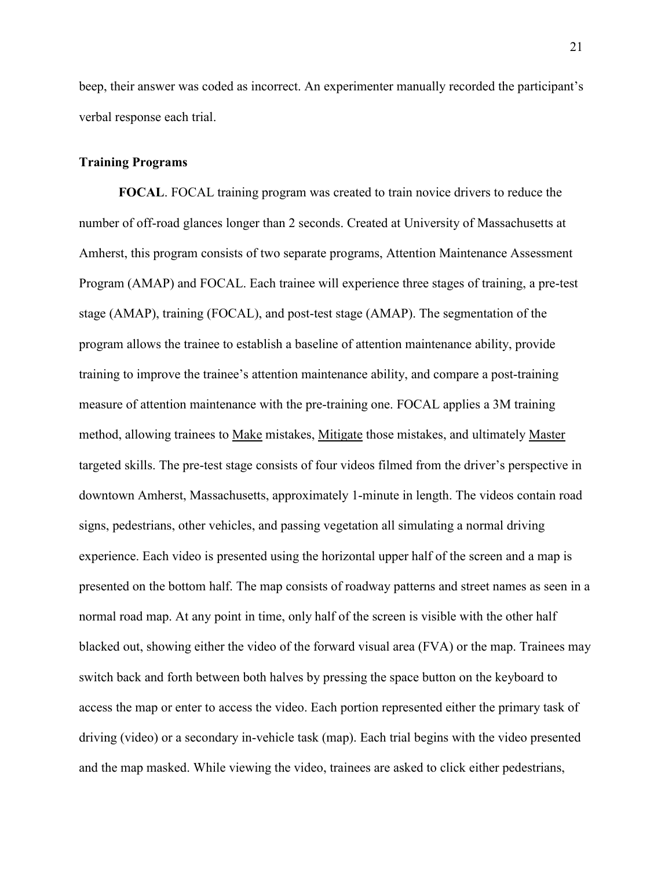beep, their answer was coded as incorrect. An experimenter manually recorded the participant's verbal response each trial.

### **Training Programs**

**FOCAL**. FOCAL training program was created to train novice drivers to reduce the number of off-road glances longer than 2 seconds. Created at University of Massachusetts at Amherst, this program consists of two separate programs, Attention Maintenance Assessment Program (AMAP) and FOCAL. Each trainee will experience three stages of training, a pre-test stage (AMAP), training (FOCAL), and post-test stage (AMAP). The segmentation of the program allows the trainee to establish a baseline of attention maintenance ability, provide training to improve the trainee's attention maintenance ability, and compare a post-training measure of attention maintenance with the pre-training one. FOCAL applies a 3M training method, allowing trainees to Make mistakes, Mitigate those mistakes, and ultimately Master targeted skills. The pre-test stage consists of four videos filmed from the driver's perspective in downtown Amherst, Massachusetts, approximately 1-minute in length. The videos contain road signs, pedestrians, other vehicles, and passing vegetation all simulating a normal driving experience. Each video is presented using the horizontal upper half of the screen and a map is presented on the bottom half. The map consists of roadway patterns and street names as seen in a normal road map. At any point in time, only half of the screen is visible with the other half blacked out, showing either the video of the forward visual area (FVA) or the map. Trainees may switch back and forth between both halves by pressing the space button on the keyboard to access the map or enter to access the video. Each portion represented either the primary task of driving (video) or a secondary in-vehicle task (map). Each trial begins with the video presented and the map masked. While viewing the video, trainees are asked to click either pedestrians,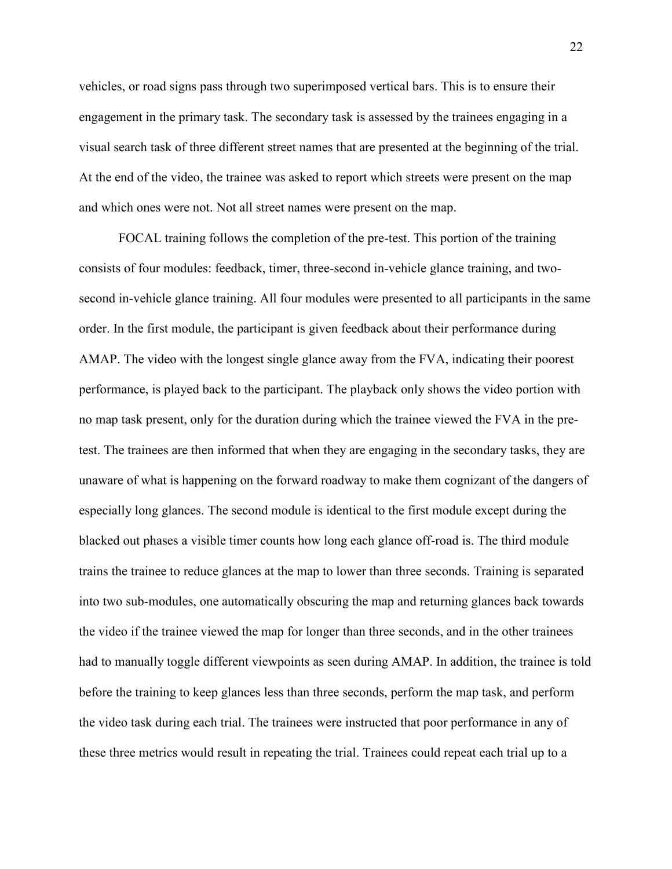vehicles, or road signs pass through two superimposed vertical bars. This is to ensure their engagement in the primary task. The secondary task is assessed by the trainees engaging in a visual search task of three different street names that are presented at the beginning of the trial. At the end of the video, the trainee was asked to report which streets were present on the map and which ones were not. Not all street names were present on the map.

 FOCAL training follows the completion of the pre-test. This portion of the training consists of four modules: feedback, timer, three-second in-vehicle glance training, and twosecond in-vehicle glance training. All four modules were presented to all participants in the same order. In the first module, the participant is given feedback about their performance during AMAP. The video with the longest single glance away from the FVA, indicating their poorest performance, is played back to the participant. The playback only shows the video portion with no map task present, only for the duration during which the trainee viewed the FVA in the pretest. The trainees are then informed that when they are engaging in the secondary tasks, they are unaware of what is happening on the forward roadway to make them cognizant of the dangers of especially long glances. The second module is identical to the first module except during the blacked out phases a visible timer counts how long each glance off-road is. The third module trains the trainee to reduce glances at the map to lower than three seconds. Training is separated into two sub-modules, one automatically obscuring the map and returning glances back towards the video if the trainee viewed the map for longer than three seconds, and in the other trainees had to manually toggle different viewpoints as seen during AMAP. In addition, the trainee is told before the training to keep glances less than three seconds, perform the map task, and perform the video task during each trial. The trainees were instructed that poor performance in any of these three metrics would result in repeating the trial. Trainees could repeat each trial up to a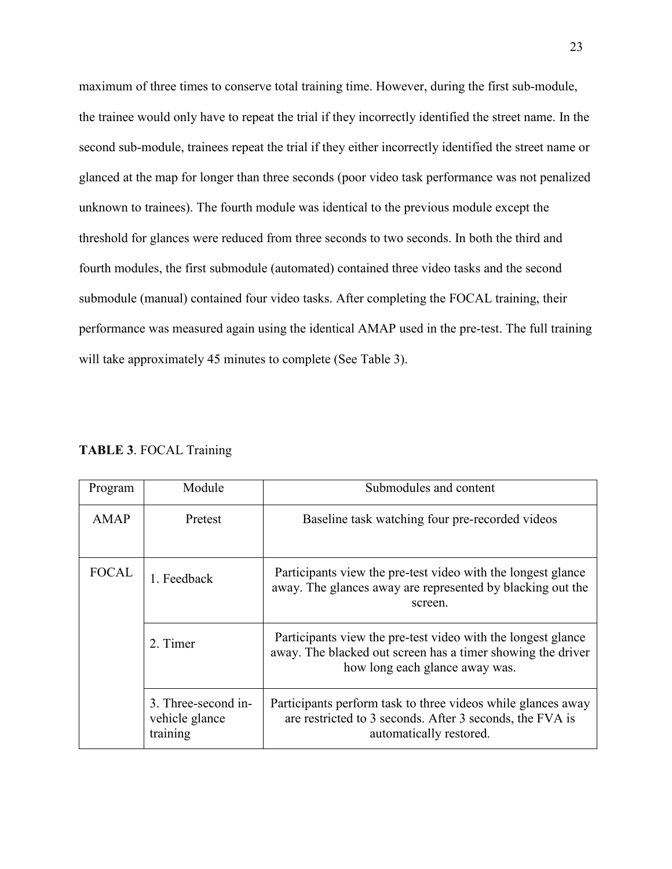maximum of three times to conserve total training time. However, during the first sub-module, the trainee would only have to repeat the trial if they incorrectly identified the street name. In the second sub-module, trainees repeat the trial if they either incorrectly identified the street name or glanced at the map for longer than three seconds (poor video task performance was not penalized unknown to trainees). The fourth module was identical to the previous module except the threshold for glances were reduced from three seconds to two seconds. In both the third and fourth modules, the first submodule (automated) contained three video tasks and the second submodule (manual) contained four video tasks. After completing the FOCAL training, their performance was measured again using the identical AMAP used in the pre-test. The full training will take approximately 45 minutes to complete (See Table 3).

| Module<br>Program      |                                                   | Submodules and content                                                                                                                                        |  |  |
|------------------------|---------------------------------------------------|---------------------------------------------------------------------------------------------------------------------------------------------------------------|--|--|
| <b>AMAP</b><br>Pretest |                                                   | Baseline task watching four pre-recorded videos                                                                                                               |  |  |
| <b>FOCAL</b>           | 1. Feedback                                       | Participants view the pre-test video with the longest glance<br>away. The glances away are represented by blacking out the<br>screen.                         |  |  |
|                        | 2. Timer                                          | Participants view the pre-test video with the longest glance<br>away. The blacked out screen has a timer showing the driver<br>how long each glance away was. |  |  |
|                        | 3. Three-second in-<br>vehicle glance<br>training | Participants perform task to three videos while glances away<br>are restricted to 3 seconds. After 3 seconds, the FVA is<br>automatically restored.           |  |  |

**TABLE 3**. FOCAL Training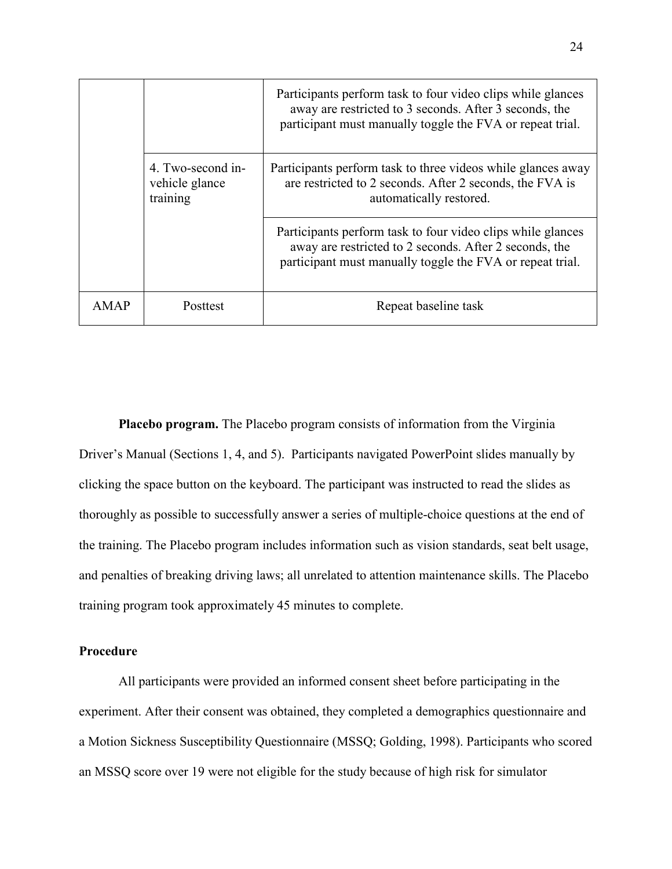|      |                                                 | Participants perform task to four video clips while glances<br>away are restricted to 3 seconds. After 3 seconds, the<br>participant must manually toggle the FVA or repeat trial. |
|------|-------------------------------------------------|------------------------------------------------------------------------------------------------------------------------------------------------------------------------------------|
|      | 4. Two-second in-<br>vehicle glance<br>training | Participants perform task to three videos while glances away<br>are restricted to 2 seconds. After 2 seconds, the FVA is<br>automatically restored.                                |
|      |                                                 | Participants perform task to four video clips while glances<br>away are restricted to 2 seconds. After 2 seconds, the<br>participant must manually toggle the FVA or repeat trial. |
| AMAP | Posttest                                        | Repeat baseline task                                                                                                                                                               |

**Placebo program.** The Placebo program consists of information from the Virginia Driver's Manual (Sections 1, 4, and 5). Participants navigated PowerPoint slides manually by clicking the space button on the keyboard. The participant was instructed to read the slides as thoroughly as possible to successfully answer a series of multiple-choice questions at the end of the training. The Placebo program includes information such as vision standards, seat belt usage, and penalties of breaking driving laws; all unrelated to attention maintenance skills. The Placebo training program took approximately 45 minutes to complete.

## **Procedure**

All participants were provided an informed consent sheet before participating in the experiment. After their consent was obtained, they completed a demographics questionnaire and a Motion Sickness Susceptibility Questionnaire (MSSQ; Golding, 1998). Participants who scored an MSSQ score over 19 were not eligible for the study because of high risk for simulator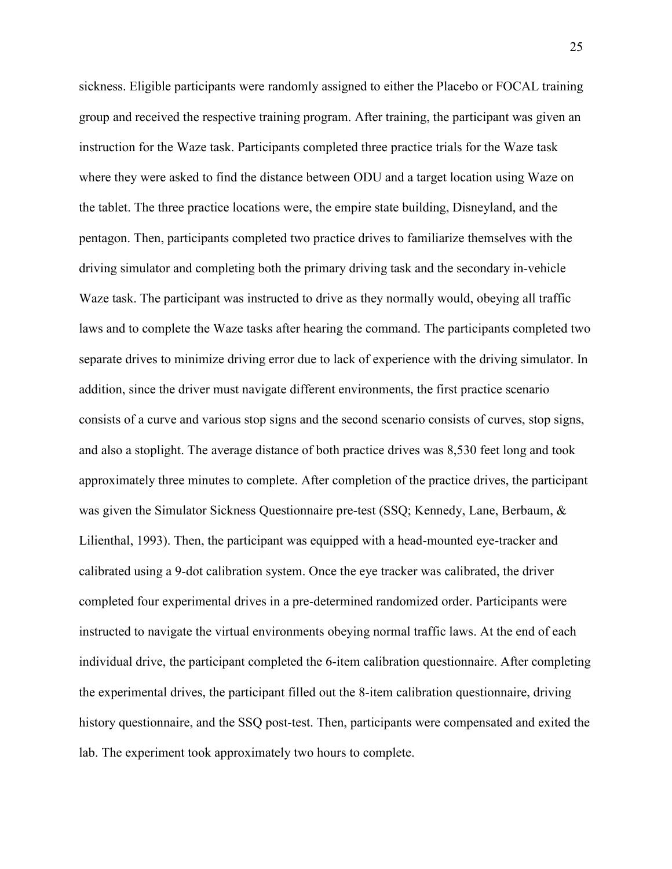sickness. Eligible participants were randomly assigned to either the Placebo or FOCAL training group and received the respective training program. After training, the participant was given an instruction for the Waze task. Participants completed three practice trials for the Waze task where they were asked to find the distance between ODU and a target location using Waze on the tablet. The three practice locations were, the empire state building, Disneyland, and the pentagon. Then, participants completed two practice drives to familiarize themselves with the driving simulator and completing both the primary driving task and the secondary in-vehicle Waze task. The participant was instructed to drive as they normally would, obeying all traffic laws and to complete the Waze tasks after hearing the command. The participants completed two separate drives to minimize driving error due to lack of experience with the driving simulator. In addition, since the driver must navigate different environments, the first practice scenario consists of a curve and various stop signs and the second scenario consists of curves, stop signs, and also a stoplight. The average distance of both practice drives was 8,530 feet long and took approximately three minutes to complete. After completion of the practice drives, the participant was given the Simulator Sickness Questionnaire pre-test (SSQ; Kennedy, Lane, Berbaum, & Lilienthal, 1993). Then, the participant was equipped with a head-mounted eye-tracker and calibrated using a 9-dot calibration system. Once the eye tracker was calibrated, the driver completed four experimental drives in a pre-determined randomized order. Participants were instructed to navigate the virtual environments obeying normal traffic laws. At the end of each individual drive, the participant completed the 6-item calibration questionnaire. After completing the experimental drives, the participant filled out the 8-item calibration questionnaire, driving history questionnaire, and the SSQ post-test. Then, participants were compensated and exited the lab. The experiment took approximately two hours to complete.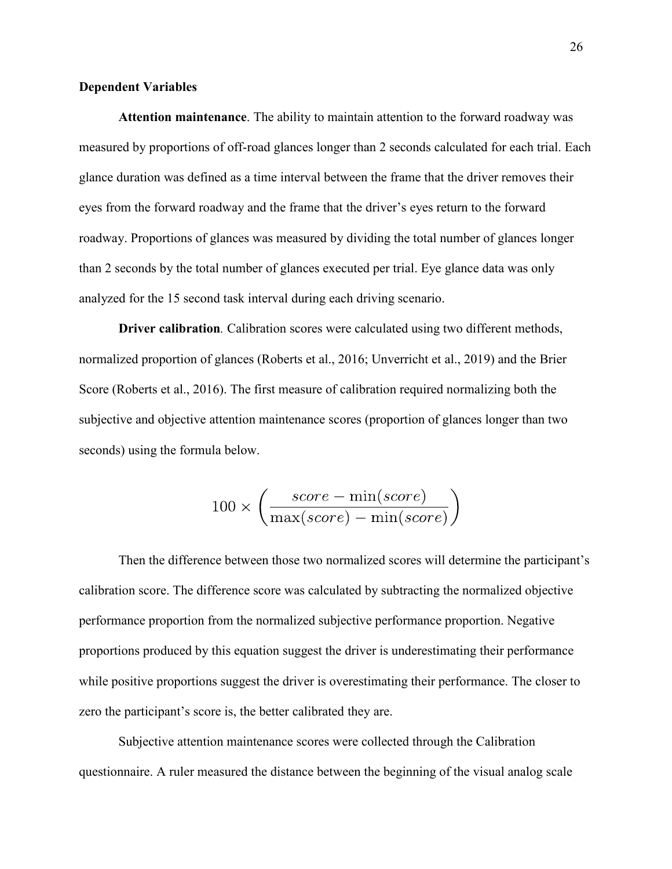### **Dependent Variables**

**Attention maintenance**. The ability to maintain attention to the forward roadway was measured by proportions of off-road glances longer than 2 seconds calculated for each trial. Each glance duration was defined as a time interval between the frame that the driver removes their eyes from the forward roadway and the frame that the driver's eyes return to the forward roadway. Proportions of glances was measured by dividing the total number of glances longer than 2 seconds by the total number of glances executed per trial. Eye glance data was only analyzed for the 15 second task interval during each driving scenario.

**Driver calibration***.* Calibration scores were calculated using two different methods, normalized proportion of glances (Roberts et al., 2016; Unverricht et al., 2019) and the Brier Score (Roberts et al., 2016). The first measure of calibration required normalizing both the subjective and objective attention maintenance scores (proportion of glances longer than two seconds) using the formula below.

$$
100 \times \left(\frac{score - \min(score)}{\max(score) - \min(score)}\right)
$$

Then the difference between those two normalized scores will determine the participant's calibration score. The difference score was calculated by subtracting the normalized objective performance proportion from the normalized subjective performance proportion. Negative proportions produced by this equation suggest the driver is underestimating their performance while positive proportions suggest the driver is overestimating their performance. The closer to zero the participant's score is, the better calibrated they are.

Subjective attention maintenance scores were collected through the Calibration questionnaire. A ruler measured the distance between the beginning of the visual analog scale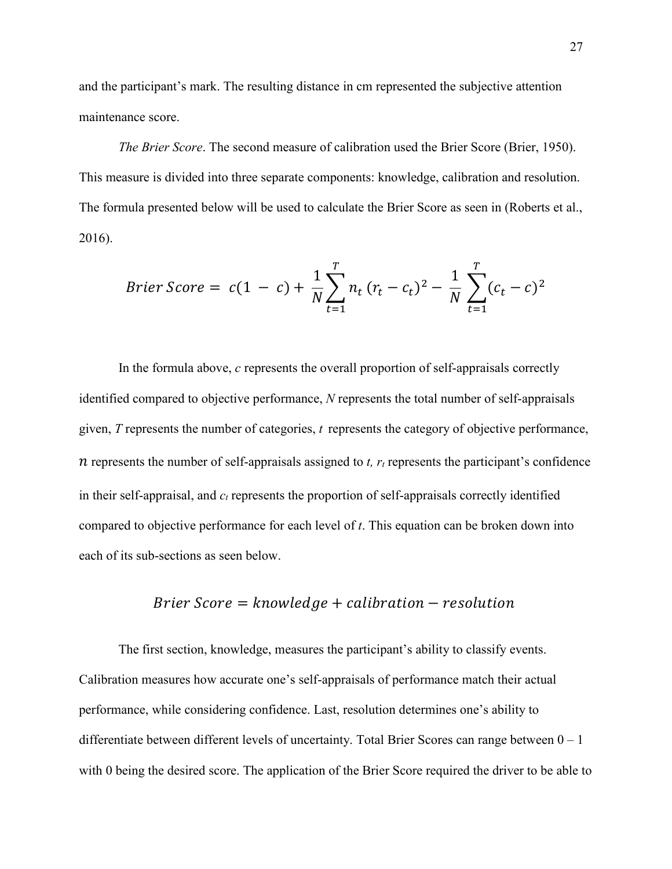and the participant's mark. The resulting distance in cm represented the subjective attention maintenance score.

*The Brier Score.* The second measure of calibration used the Brier Score (Brier, 1950). This measure is divided into three separate components: knowledge, calibration and resolution. The formula presented below will be used to calculate the Brier Score as seen in (Roberts et al., 2016).

$$
Brier Score = c(1 - c) + \frac{1}{N} \sum_{t=1}^{T} n_t (r_t - c_t)^2 - \frac{1}{N} \sum_{t=1}^{T} (c_t - c)^2
$$

In the formula above, *c* represents the overall proportion of self-appraisals correctly identified compared to objective performance, *N* represents the total number of self-appraisals given, *T* represents the number of categories, *t* represents the category of objective performance,  $n$  represents the number of self-appraisals assigned to *t,*  $r_t$  represents the participant's confidence in their self-appraisal, and *c<sup>t</sup>* represents the proportion of self-appraisals correctly identified compared to objective performance for each level of *t*. This equation can be broken down into each of its sub-sections as seen below.

# $B$ rier Score  $=$  knowledge  $+$  calibration  $-$  resolution

 The first section, knowledge, measures the participant's ability to classify events. Calibration measures how accurate one's self-appraisals of performance match their actual performance, while considering confidence. Last, resolution determines one's ability to differentiate between different levels of uncertainty. Total Brier Scores can range between  $0 - 1$ with 0 being the desired score. The application of the Brier Score required the driver to be able to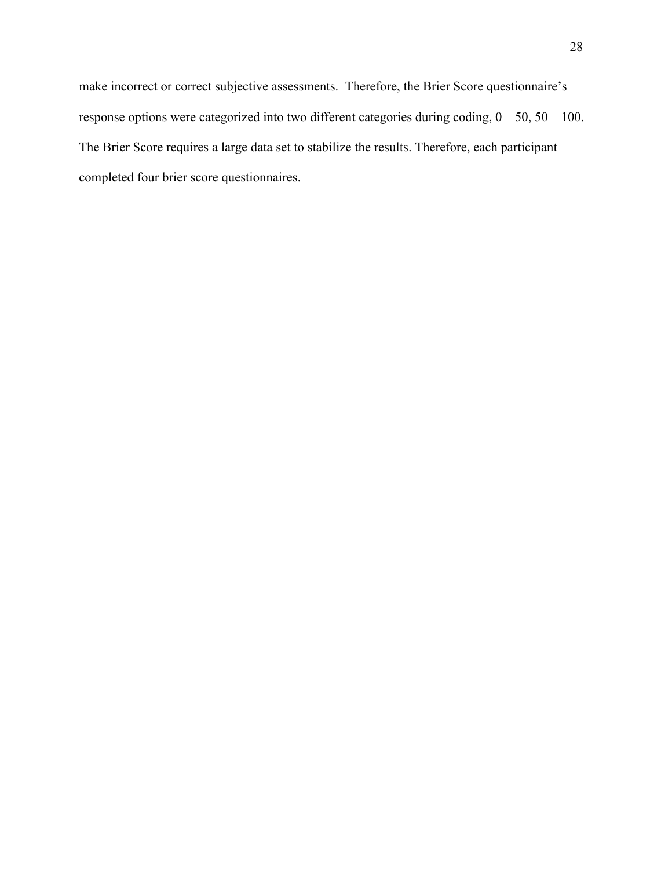make incorrect or correct subjective assessments. Therefore, the Brier Score questionnaire's response options were categorized into two different categories during coding, 0 – 50, 50 – 100. The Brier Score requires a large data set to stabilize the results. Therefore, each participant completed four brier score questionnaires.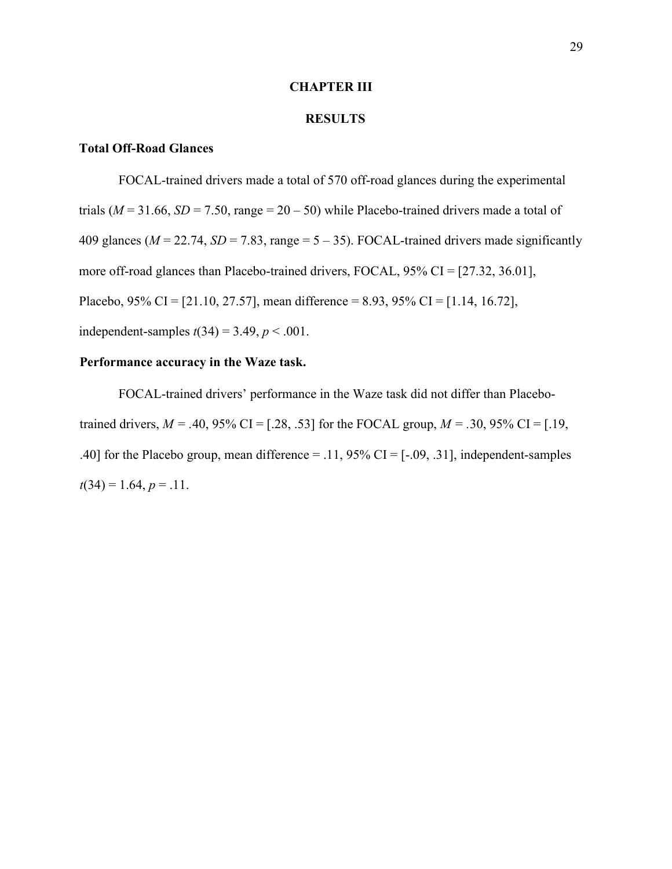#### **CHAPTER III**

## **RESULTS**

## **Total Off-Road Glances**

FOCAL-trained drivers made a total of 570 off-road glances during the experimental trials ( $M = 31.66$ ,  $SD = 7.50$ , range =  $20 - 50$ ) while Placebo-trained drivers made a total of 409 glances ( $M = 22.74$ ,  $SD = 7.83$ , range =  $5 - 35$ ). FOCAL-trained drivers made significantly more off-road glances than Placebo-trained drivers, FOCAL, 95% CI = [27.32, 36.01], Placebo, 95% CI = [21.10, 27.57], mean difference = 8.93, 95% CI = [1.14, 16.72], independent-samples  $t(34) = 3.49$ ,  $p < .001$ .

## **Performance accuracy in the Waze task.**

FOCAL-trained drivers' performance in the Waze task did not differ than Placebotrained drivers,  $M = .40, 95\%$  CI = [.28, .53] for the FOCAL group,  $M = .30, 95\%$  CI = [.19, .40] for the Placebo group, mean difference  $=$  .11, 95% CI  $=$  [-.09, .31], independent-samples  $t(34) = 1.64, p = .11.$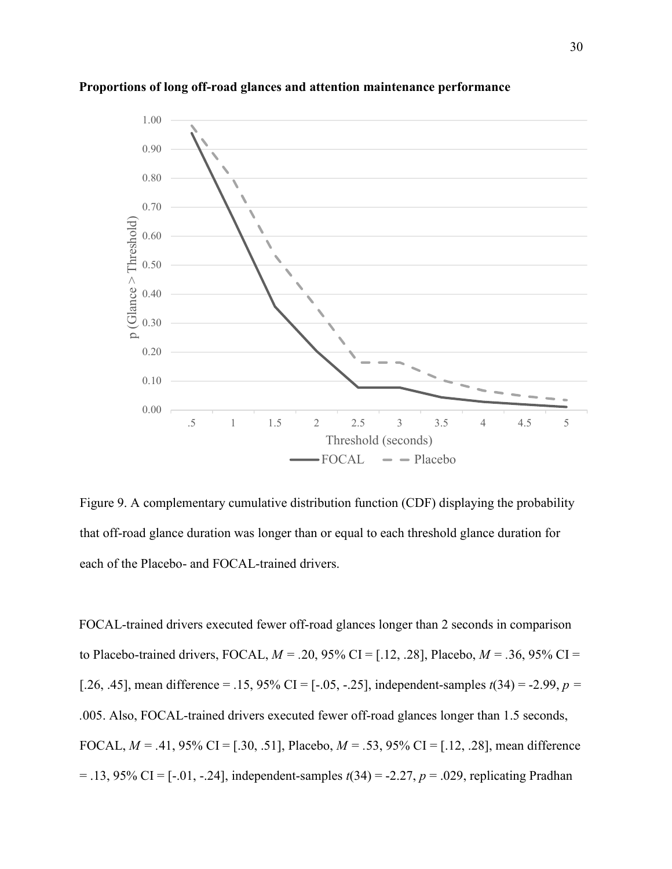

#### **Proportions of long off-road glances and attention maintenance performance**

Figure 9. A complementary cumulative distribution function (CDF) displaying the probability that off-road glance duration was longer than or equal to each threshold glance duration for each of the Placebo- and FOCAL-trained drivers.

FOCAL-trained drivers executed fewer off-road glances longer than 2 seconds in comparison to Placebo-trained drivers, FOCAL, *M = .*20, 95% CI = [.12, .28], Placebo, *M = .*36, 95% CI = [.26, .45], mean difference = .15, 95% CI =  $[-.05, -.25]$ , independent-samples  $t(34) = -2.99$ ,  $p =$ *.*005. Also, FOCAL-trained drivers executed fewer off-road glances longer than 1.5 seconds, FOCAL, *M = .*41, 95% CI = [.30, .51], Placebo, *M = .*53, 95% CI = [.12, .28], mean difference = .13, 95% CI = [-.01, -.24], independent-samples *t*(34) = -2.27, *p* = .029, replicating Pradhan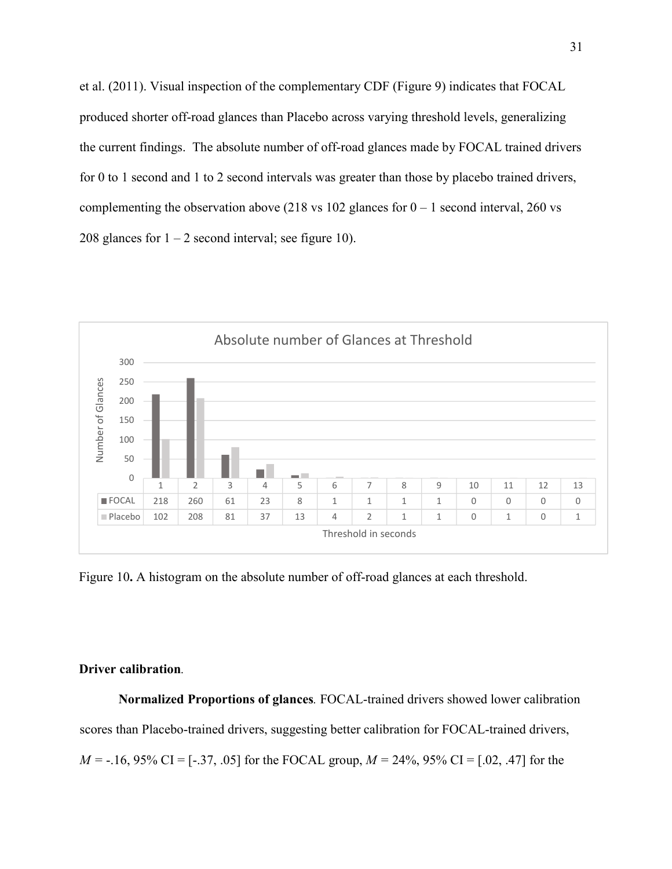et al. (2011). Visual inspection of the complementary CDF (Figure 9) indicates that FOCAL produced shorter off-road glances than Placebo across varying threshold levels, generalizing the current findings. The absolute number of off-road glances made by FOCAL trained drivers for 0 to 1 second and 1 to 2 second intervals was greater than those by placebo trained drivers, complementing the observation above (218 vs 102 glances for  $0 - 1$  second interval, 260 vs 208 glances for  $1 - 2$  second interval; see figure 10).



Figure 10**.** A histogram on the absolute number of off-road glances at each threshold.

### **Driver calibration***.*

**Normalized Proportions of glances***.* FOCAL-trained drivers showed lower calibration scores than Placebo-trained drivers, suggesting better calibration for FOCAL-trained drivers, *M =* -.16, 95% CI = [-.37, .05] for the FOCAL group, *M =* 24%, 95% CI = [.02, .47] for the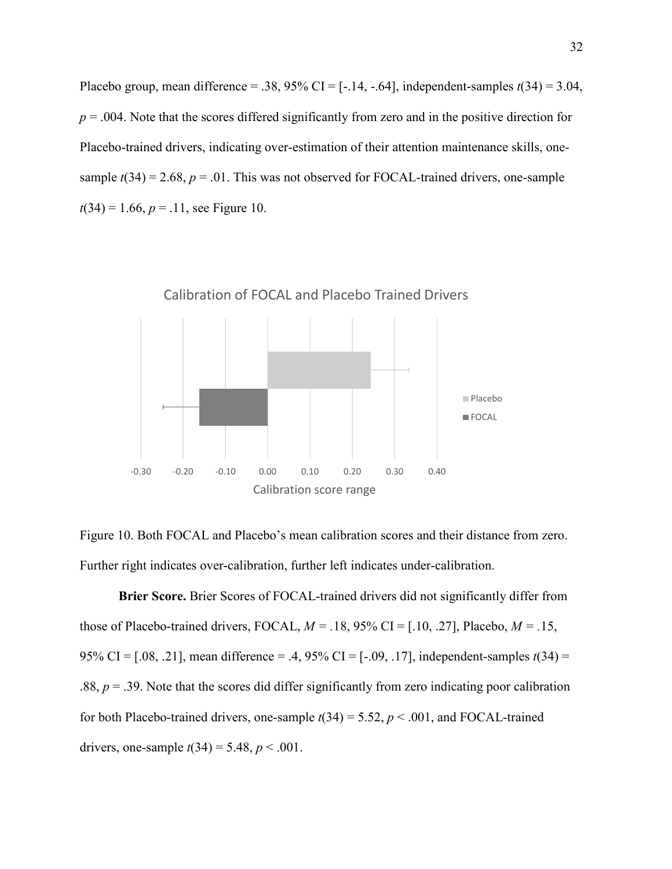Placebo group, mean difference = .38,  $95\%$  CI = [-.14, -.64], independent-samples  $t(34) = 3.04$ ,  $p = 0.004$ . Note that the scores differed significantly from zero and in the positive direction for Placebo-trained drivers, indicating over-estimation of their attention maintenance skills, onesample  $t(34) = 2.68$ ,  $p = .01$ . This was not observed for FOCAL-trained drivers, one-sample  $t(34) = 1.66$ ,  $p = .11$ , see Figure 10.



Figure 10. Both FOCAL and Placebo's mean calibration scores and their distance from zero. Further right indicates over-calibration, further left indicates under-calibration.

**Brier Score.** Brier Scores of FOCAL-trained drivers did not significantly differ from those of Placebo-trained drivers, FOCAL,  $M = .18, 95\%$  CI = [.10, .27], Placebo,  $M = .15$ , 95% CI = [.08, .21], mean difference = .4, 95% CI = [-.09, .17], independent-samples *t*(34) = .88,  $p = 0.39$ . Note that the scores did differ significantly from zero indicating poor calibration for both Placebo-trained drivers, one-sample  $t(34) = 5.52$ ,  $p < .001$ , and FOCAL-trained drivers, one-sample  $t(34) = 5.48$ ,  $p < .001$ .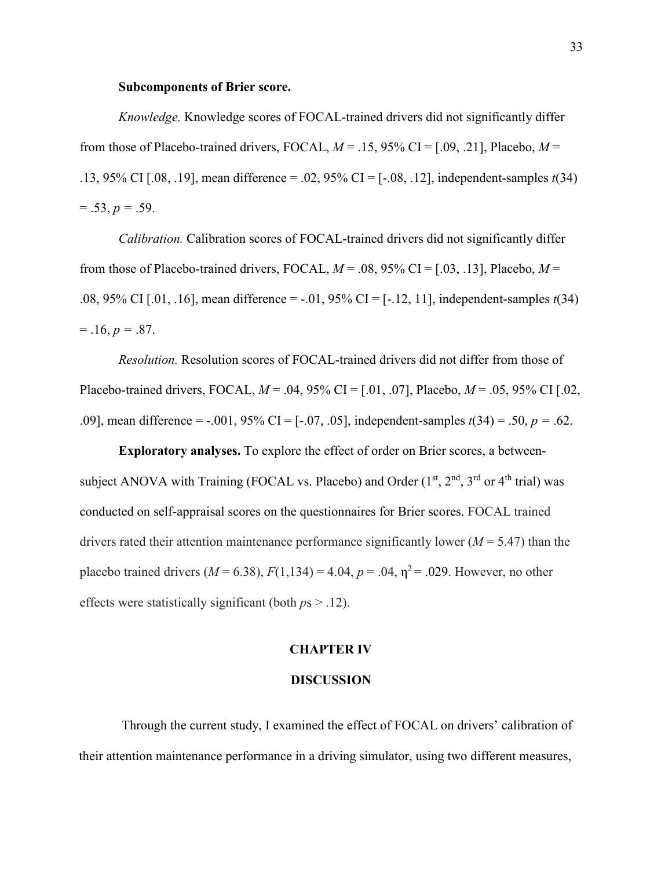#### **Subcomponents of Brier score.**

*Knowledge.* Knowledge scores of FOCAL-trained drivers did not significantly differ from those of Placebo-trained drivers, FOCAL,  $M = .15, 95\%$  CI = [.09, .21], Placebo,  $M =$ .13, 95% CI [.08, .19], mean difference = .02, 95% CI = [-.08, .12], independent-samples *t*(34)  $= .53, p = .59.$ 

*Calibration.* Calibration scores of FOCAL-trained drivers did not significantly differ from those of Placebo-trained drivers, FOCAL,  $M = .08, 95\%$  CI = [.03, .13], Placebo,  $M =$ .08, 95% CI [.01, .16], mean difference = -.01, 95% CI = [-.12, 11], independent-samples *t*(34)  $= .16, p = .87.$ 

*Resolution.* Resolution scores of FOCAL-trained drivers did not differ from those of Placebo-trained drivers, FOCAL, *M* = .04, 95% CI = [.01, .07], Placebo, *M* = .05, 95% CI [.02, .09], mean difference = -.001, 95% CI = [-.07, .05], independent-samples *t*(34) = .50, *p =* .62.

**Exploratory analyses.** To explore the effect of order on Brier scores, a betweensubject ANOVA with Training (FOCAL vs. Placebo) and Order  $(1<sup>st</sup>, 2<sup>nd</sup>, 3<sup>rd</sup>$  or  $4<sup>th</sup>$  trial) was conducted on self-appraisal scores on the questionnaires for Brier scores. FOCAL trained drivers rated their attention maintenance performance significantly lower ( $M = 5.47$ ) than the placebo trained drivers ( $M = 6.38$ ),  $F(1,134) = 4.04$ ,  $p = .04$ ,  $p^2 = .029$ . However, no other effects were statistically significant (both *p*s > .12).

#### **CHAPTER IV**

#### **DISCUSSION**

 Through the current study, I examined the effect of FOCAL on drivers' calibration of their attention maintenance performance in a driving simulator, using two different measures,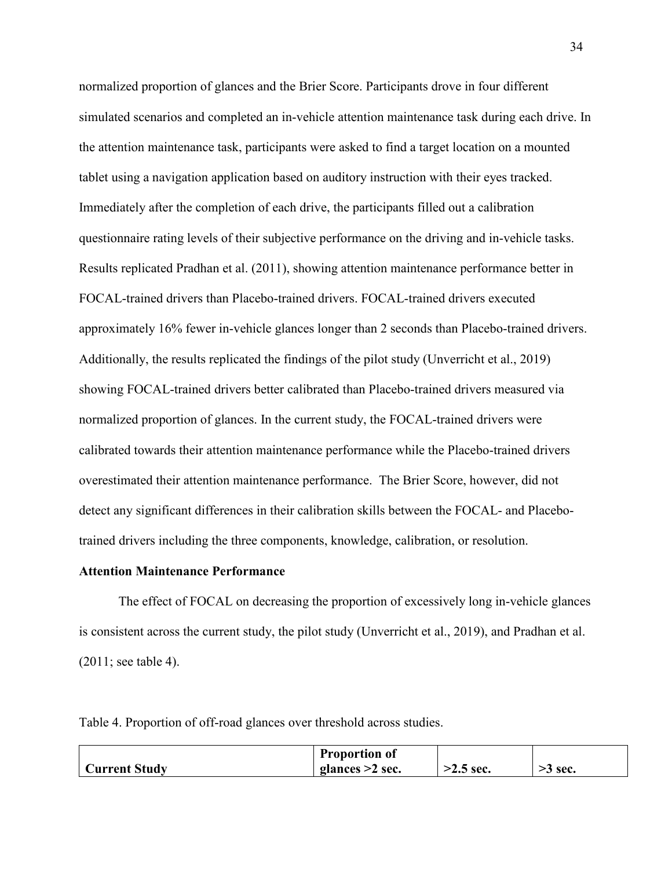normalized proportion of glances and the Brier Score. Participants drove in four different simulated scenarios and completed an in-vehicle attention maintenance task during each drive. In the attention maintenance task, participants were asked to find a target location on a mounted tablet using a navigation application based on auditory instruction with their eyes tracked. Immediately after the completion of each drive, the participants filled out a calibration questionnaire rating levels of their subjective performance on the driving and in-vehicle tasks. Results replicated Pradhan et al. (2011), showing attention maintenance performance better in FOCAL-trained drivers than Placebo-trained drivers. FOCAL-trained drivers executed approximately 16% fewer in-vehicle glances longer than 2 seconds than Placebo-trained drivers. Additionally, the results replicated the findings of the pilot study (Unverricht et al., 2019) showing FOCAL-trained drivers better calibrated than Placebo-trained drivers measured via normalized proportion of glances. In the current study, the FOCAL-trained drivers were calibrated towards their attention maintenance performance while the Placebo-trained drivers overestimated their attention maintenance performance. The Brier Score, however, did not detect any significant differences in their calibration skills between the FOCAL- and Placebotrained drivers including the three components, knowledge, calibration, or resolution.

#### **Attention Maintenance Performance**

The effect of FOCAL on decreasing the proportion of excessively long in-vehicle glances is consistent across the current study, the pilot study (Unverricht et al., 2019), and Pradhan et al. (2011; see table 4).

Table 4. Proportion of off-road glances over threshold across studies.

|               | <b>Proportion of</b> |             |           |
|---------------|----------------------|-------------|-----------|
| Current Study | glances $>2$ sec.    | $>2.5$ sec. | $>5$ sec. |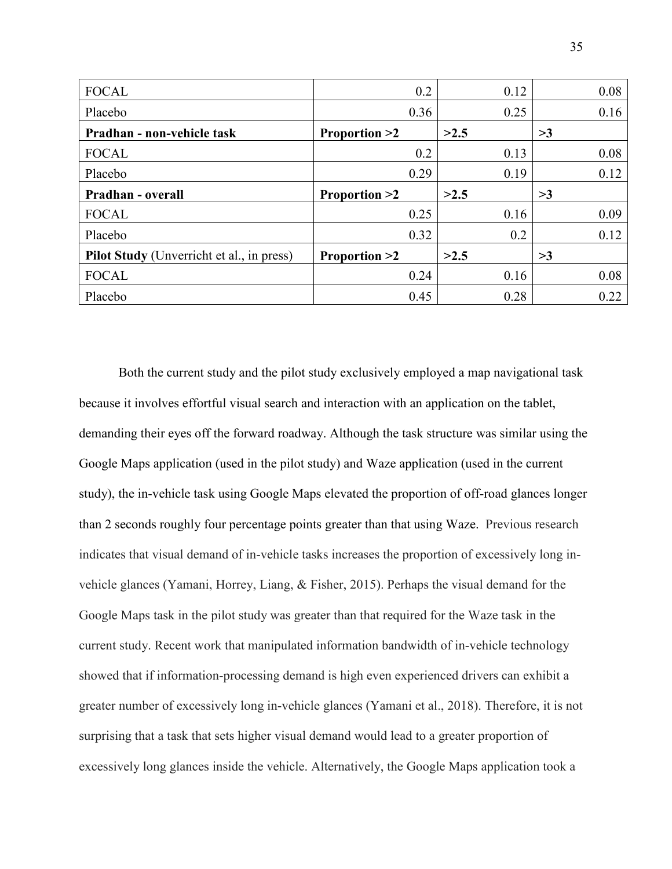| <b>FOCAL</b>                                     | 0.2                     | 0.12 | 0.08 |
|--------------------------------------------------|-------------------------|------|------|
| Placebo                                          | 0.36                    | 0.25 | 0.16 |
| Pradhan - non-vehicle task                       | <b>Proportion &gt;2</b> | >2.5 | >3   |
| <b>FOCAL</b>                                     | 0.2                     | 0.13 | 0.08 |
| Placebo                                          | 0.29                    | 0.19 | 0.12 |
| Pradhan - overall                                | <b>Proportion &gt;2</b> | >2.5 | >3   |
| <b>FOCAL</b>                                     | 0.25                    | 0.16 | 0.09 |
| Placebo                                          | 0.32                    | 0.2  | 0.12 |
| <b>Pilot Study</b> (Unverricht et al., in press) | <b>Proportion &gt;2</b> | >2.5 | >3   |
| <b>FOCAL</b>                                     | 0.24                    | 0.16 | 0.08 |
| Placebo                                          | 0.45                    | 0.28 | 0.22 |

Both the current study and the pilot study exclusively employed a map navigational task because it involves effortful visual search and interaction with an application on the tablet, demanding their eyes off the forward roadway. Although the task structure was similar using the Google Maps application (used in the pilot study) and Waze application (used in the current study), the in-vehicle task using Google Maps elevated the proportion of off-road glances longer than 2 seconds roughly four percentage points greater than that using Waze. Previous research indicates that visual demand of in-vehicle tasks increases the proportion of excessively long invehicle glances (Yamani, Horrey, Liang, & Fisher, 2015). Perhaps the visual demand for the Google Maps task in the pilot study was greater than that required for the Waze task in the current study. Recent work that manipulated information bandwidth of in-vehicle technology showed that if information-processing demand is high even experienced drivers can exhibit a greater number of excessively long in-vehicle glances (Yamani et al., 2018). Therefore, it is not surprising that a task that sets higher visual demand would lead to a greater proportion of excessively long glances inside the vehicle. Alternatively, the Google Maps application took a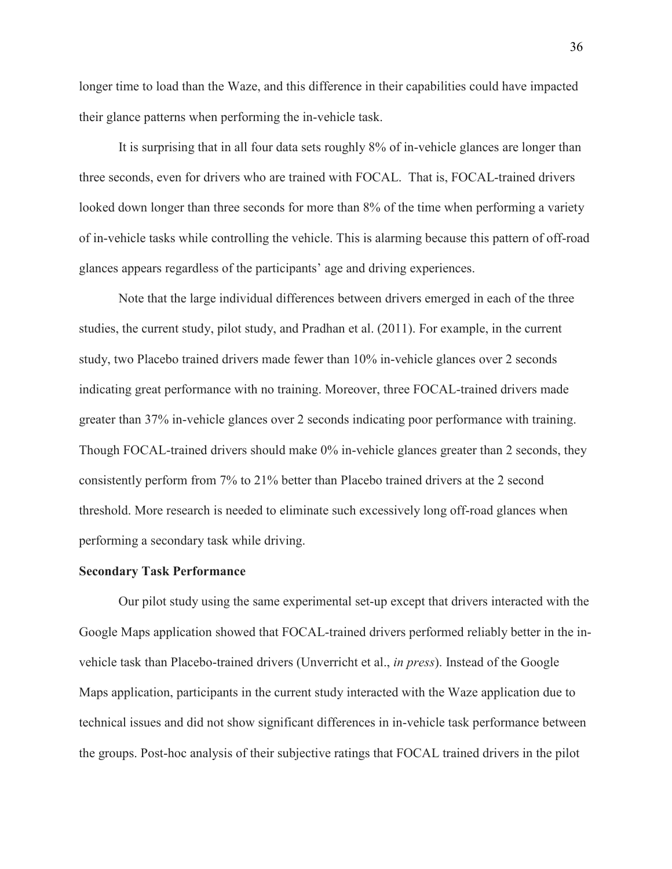longer time to load than the Waze, and this difference in their capabilities could have impacted their glance patterns when performing the in-vehicle task.

It is surprising that in all four data sets roughly 8% of in-vehicle glances are longer than three seconds, even for drivers who are trained with FOCAL. That is, FOCAL-trained drivers looked down longer than three seconds for more than 8% of the time when performing a variety of in-vehicle tasks while controlling the vehicle. This is alarming because this pattern of off-road glances appears regardless of the participants' age and driving experiences.

Note that the large individual differences between drivers emerged in each of the three studies, the current study, pilot study, and Pradhan et al. (2011). For example, in the current study, two Placebo trained drivers made fewer than 10% in-vehicle glances over 2 seconds indicating great performance with no training. Moreover, three FOCAL-trained drivers made greater than 37% in-vehicle glances over 2 seconds indicating poor performance with training. Though FOCAL-trained drivers should make 0% in-vehicle glances greater than 2 seconds, they consistently perform from 7% to 21% better than Placebo trained drivers at the 2 second threshold. More research is needed to eliminate such excessively long off-road glances when performing a secondary task while driving.

#### **Secondary Task Performance**

 Our pilot study using the same experimental set-up except that drivers interacted with the Google Maps application showed that FOCAL-trained drivers performed reliably better in the invehicle task than Placebo-trained drivers (Unverricht et al., *in press*). Instead of the Google Maps application, participants in the current study interacted with the Waze application due to technical issues and did not show significant differences in in-vehicle task performance between the groups. Post-hoc analysis of their subjective ratings that FOCAL trained drivers in the pilot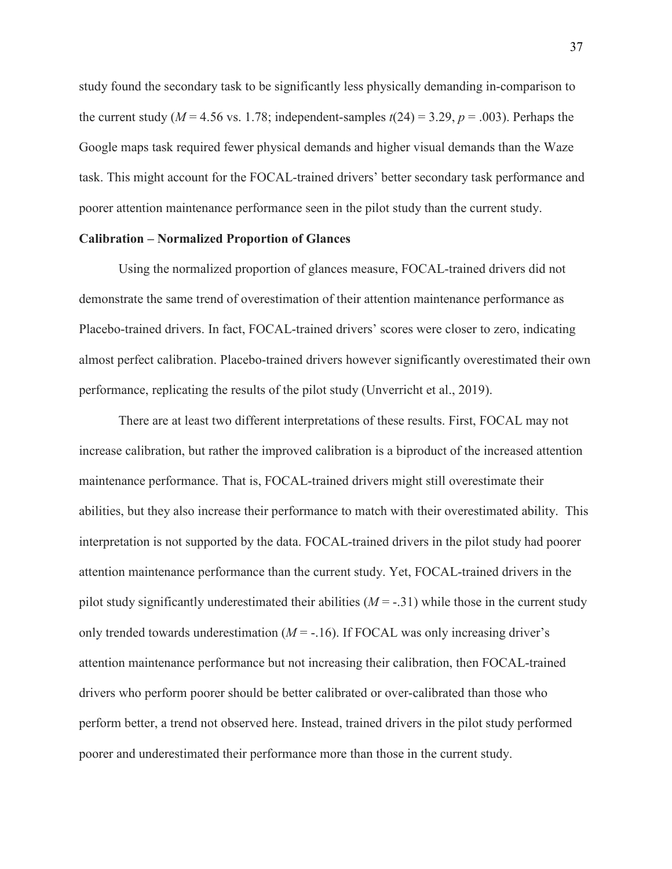study found the secondary task to be significantly less physically demanding in-comparison to the current study ( $M = 4.56$  vs. 1.78; independent-samples  $t(24) = 3.29$ ,  $p = .003$ ). Perhaps the Google maps task required fewer physical demands and higher visual demands than the Waze task. This might account for the FOCAL-trained drivers' better secondary task performance and poorer attention maintenance performance seen in the pilot study than the current study.

#### **Calibration – Normalized Proportion of Glances**

 Using the normalized proportion of glances measure, FOCAL-trained drivers did not demonstrate the same trend of overestimation of their attention maintenance performance as Placebo-trained drivers. In fact, FOCAL-trained drivers' scores were closer to zero, indicating almost perfect calibration. Placebo-trained drivers however significantly overestimated their own performance, replicating the results of the pilot study (Unverricht et al., 2019).

 There are at least two different interpretations of these results. First, FOCAL may not increase calibration, but rather the improved calibration is a biproduct of the increased attention maintenance performance. That is, FOCAL-trained drivers might still overestimate their abilities, but they also increase their performance to match with their overestimated ability. This interpretation is not supported by the data. FOCAL-trained drivers in the pilot study had poorer attention maintenance performance than the current study. Yet, FOCAL-trained drivers in the pilot study significantly underestimated their abilities  $(M = -0.31)$  while those in the current study only trended towards underestimation  $(M = -16)$ . If FOCAL was only increasing driver's attention maintenance performance but not increasing their calibration, then FOCAL-trained drivers who perform poorer should be better calibrated or over-calibrated than those who perform better, a trend not observed here. Instead, trained drivers in the pilot study performed poorer and underestimated their performance more than those in the current study.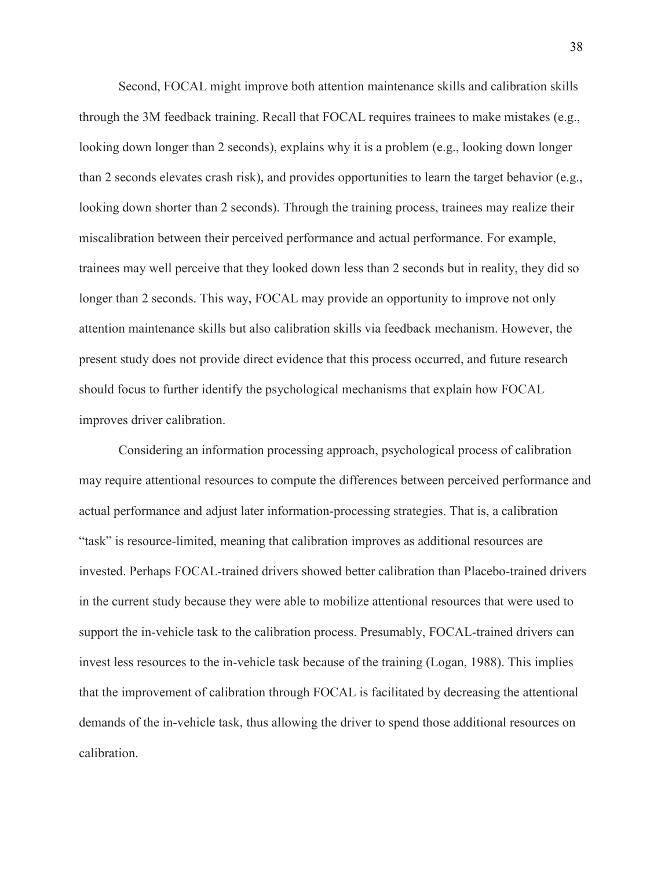Second, FOCAL might improve both attention maintenance skills and calibration skills through the 3M feedback training. Recall that FOCAL requires trainees to make mistakes (e.g., looking down longer than 2 seconds), explains why it is a problem (e.g., looking down longer than 2 seconds elevates crash risk), and provides opportunities to learn the target behavior (e.g., looking down shorter than 2 seconds). Through the training process, trainees may realize their miscalibration between their perceived performance and actual performance. For example, trainees may well perceive that they looked down less than 2 seconds but in reality, they did so longer than 2 seconds. This way, FOCAL may provide an opportunity to improve not only attention maintenance skills but also calibration skills via feedback mechanism. However, the present study does not provide direct evidence that this process occurred, and future research should focus to further identify the psychological mechanisms that explain how FOCAL improves driver calibration.

Considering an information processing approach, psychological process of calibration may require attentional resources to compute the differences between perceived performance and actual performance and adjust later information-processing strategies. That is, a calibration "task" is resource-limited, meaning that calibration improves as additional resources are invested. Perhaps FOCAL-trained drivers showed better calibration than Placebo-trained drivers in the current study because they were able to mobilize attentional resources that were used to support the in-vehicle task to the calibration process. Presumably, FOCAL-trained drivers can invest less resources to the in-vehicle task because of the training (Logan, 1988). This implies that the improvement of calibration through FOCAL is facilitated by decreasing the attentional demands of the in-vehicle task, thus allowing the driver to spend those additional resources on calibration.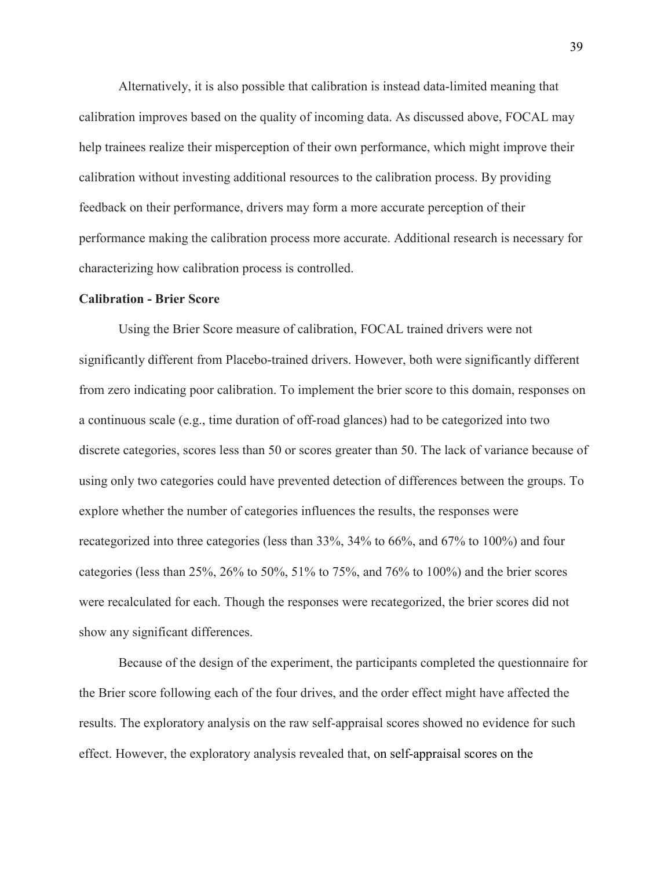Alternatively, it is also possible that calibration is instead data-limited meaning that calibration improves based on the quality of incoming data. As discussed above, FOCAL may help trainees realize their misperception of their own performance, which might improve their calibration without investing additional resources to the calibration process. By providing feedback on their performance, drivers may form a more accurate perception of their performance making the calibration process more accurate. Additional research is necessary for characterizing how calibration process is controlled.

#### **Calibration - Brier Score**

 Using the Brier Score measure of calibration, FOCAL trained drivers were not significantly different from Placebo-trained drivers. However, both were significantly different from zero indicating poor calibration. To implement the brier score to this domain, responses on a continuous scale (e.g., time duration of off-road glances) had to be categorized into two discrete categories, scores less than 50 or scores greater than 50. The lack of variance because of using only two categories could have prevented detection of differences between the groups. To explore whether the number of categories influences the results, the responses were recategorized into three categories (less than 33%, 34% to 66%, and 67% to 100%) and four categories (less than 25%, 26% to 50%, 51% to 75%, and 76% to 100%) and the brier scores were recalculated for each. Though the responses were recategorized, the brier scores did not show any significant differences.

 Because of the design of the experiment, the participants completed the questionnaire for the Brier score following each of the four drives, and the order effect might have affected the results. The exploratory analysis on the raw self-appraisal scores showed no evidence for such effect. However, the exploratory analysis revealed that, on self-appraisal scores on the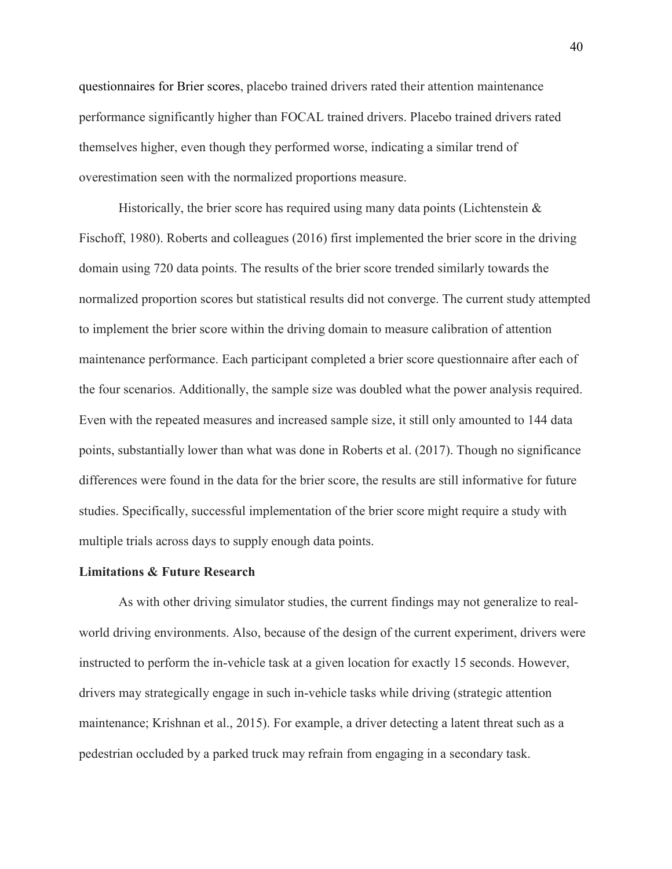questionnaires for Brier scores, placebo trained drivers rated their attention maintenance performance significantly higher than FOCAL trained drivers. Placebo trained drivers rated themselves higher, even though they performed worse, indicating a similar trend of overestimation seen with the normalized proportions measure.

Historically, the brier score has required using many data points (Lichtenstein  $\&$ Fischoff, 1980). Roberts and colleagues (2016) first implemented the brier score in the driving domain using 720 data points. The results of the brier score trended similarly towards the normalized proportion scores but statistical results did not converge. The current study attempted to implement the brier score within the driving domain to measure calibration of attention maintenance performance. Each participant completed a brier score questionnaire after each of the four scenarios. Additionally, the sample size was doubled what the power analysis required. Even with the repeated measures and increased sample size, it still only amounted to 144 data points, substantially lower than what was done in Roberts et al. (2017). Though no significance differences were found in the data for the brier score, the results are still informative for future studies. Specifically, successful implementation of the brier score might require a study with multiple trials across days to supply enough data points.

#### **Limitations & Future Research**

 As with other driving simulator studies, the current findings may not generalize to realworld driving environments. Also, because of the design of the current experiment, drivers were instructed to perform the in-vehicle task at a given location for exactly 15 seconds. However, drivers may strategically engage in such in-vehicle tasks while driving (strategic attention maintenance; Krishnan et al., 2015). For example, a driver detecting a latent threat such as a pedestrian occluded by a parked truck may refrain from engaging in a secondary task.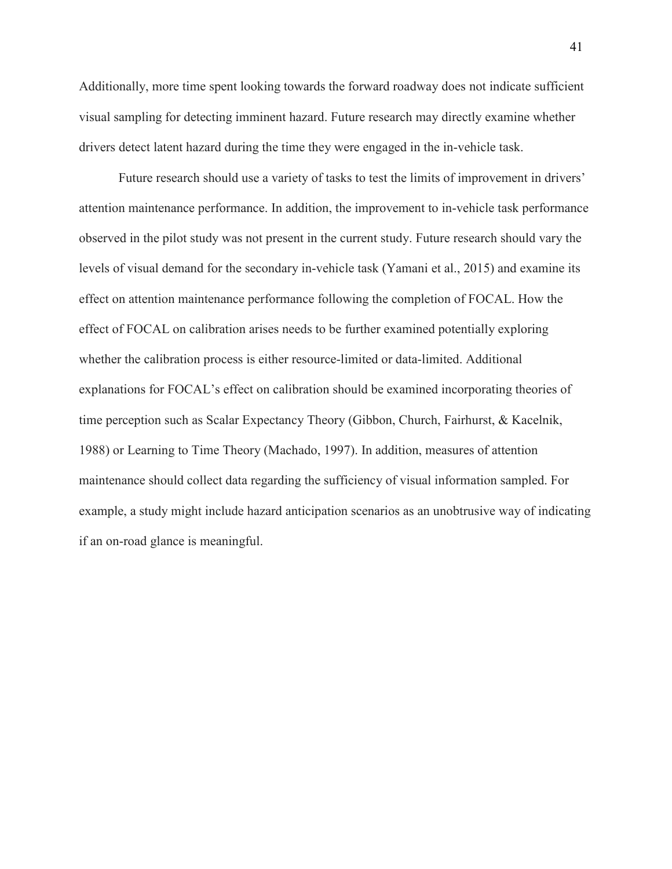Additionally, more time spent looking towards the forward roadway does not indicate sufficient visual sampling for detecting imminent hazard. Future research may directly examine whether drivers detect latent hazard during the time they were engaged in the in-vehicle task.

 Future research should use a variety of tasks to test the limits of improvement in drivers' attention maintenance performance. In addition, the improvement to in-vehicle task performance observed in the pilot study was not present in the current study. Future research should vary the levels of visual demand for the secondary in-vehicle task (Yamani et al., 2015) and examine its effect on attention maintenance performance following the completion of FOCAL. How the effect of FOCAL on calibration arises needs to be further examined potentially exploring whether the calibration process is either resource-limited or data-limited. Additional explanations for FOCAL's effect on calibration should be examined incorporating theories of time perception such as Scalar Expectancy Theory (Gibbon, Church, Fairhurst, & Kacelnik, 1988) or Learning to Time Theory (Machado, 1997). In addition, measures of attention maintenance should collect data regarding the sufficiency of visual information sampled. For example, a study might include hazard anticipation scenarios as an unobtrusive way of indicating if an on-road glance is meaningful.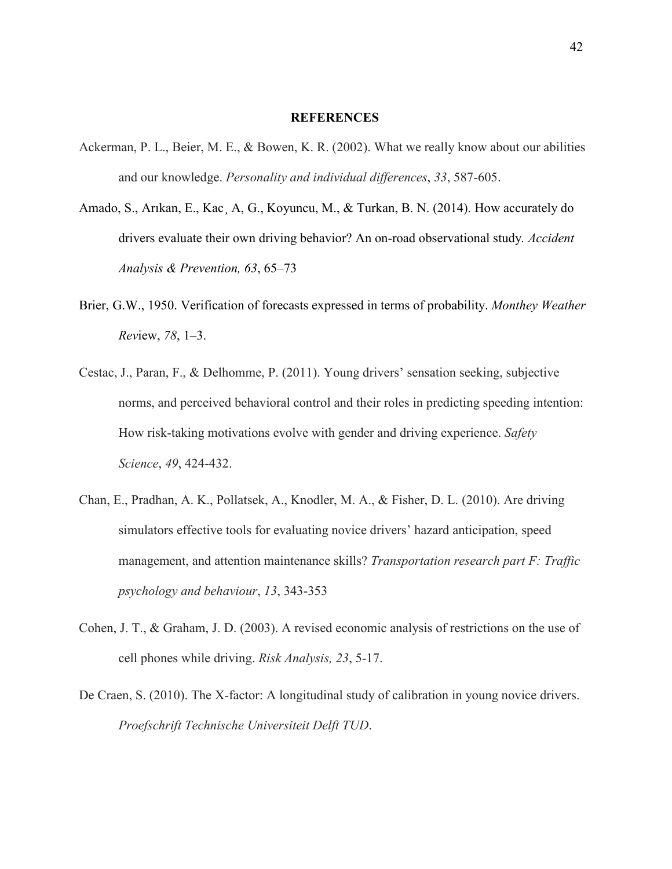#### **REFERENCES**

- Ackerman, P. L., Beier, M. E., & Bowen, K. R. (2002). What we really know about our abilities and our knowledge. *Personality and individual differences*, *33*, 587-605.
- Amado, S., Arıkan, E., Kac¸ A, G., Koyuncu, M., & Turkan, B. N. (2014). How accurately do drivers evaluate their own driving behavior? An on-road observational study*. Accident Analysis & Prevention, 63*, 65–73
- Brier, G.W., 1950. Verification of forecasts expressed in terms of probability. *Monthey Weather Rev*iew, *78*, 1–3.
- Cestac, J., Paran, F., & Delhomme, P. (2011). Young drivers' sensation seeking, subjective norms, and perceived behavioral control and their roles in predicting speeding intention: How risk-taking motivations evolve with gender and driving experience. *Safety Science*, *49*, 424-432.
- Chan, E., Pradhan, A. K., Pollatsek, A., Knodler, M. A., & Fisher, D. L. (2010). Are driving simulators effective tools for evaluating novice drivers' hazard anticipation, speed management, and attention maintenance skills? *Transportation research part F: Traffic psychology and behaviour*, *13*, 343-353
- Cohen, J. T., & Graham, J. D. (2003). A revised economic analysis of restrictions on the use of cell phones while driving. *Risk Analysis, 23*, 5-17.
- De Craen, S. (2010). The X-factor: A longitudinal study of calibration in young novice drivers. *Proefschrift Technische Universiteit Delft TUD*.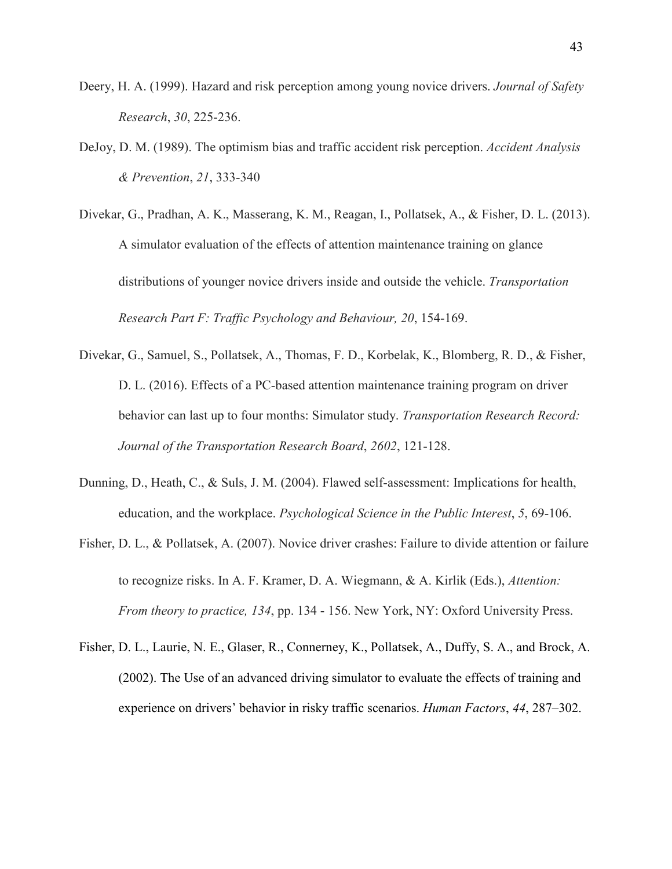- Deery, H. A. (1999). Hazard and risk perception among young novice drivers. *Journal of Safety Research*, *30*, 225-236.
- DeJoy, D. M. (1989). The optimism bias and traffic accident risk perception. *Accident Analysis & Prevention*, *21*, 333-340
- Divekar, G., Pradhan, A. K., Masserang, K. M., Reagan, I., Pollatsek, A., & Fisher, D. L. (2013). A simulator evaluation of the effects of attention maintenance training on glance distributions of younger novice drivers inside and outside the vehicle. *Transportation Research Part F: Traffic Psychology and Behaviour, 20*, 154-169.
- Divekar, G., Samuel, S., Pollatsek, A., Thomas, F. D., Korbelak, K., Blomberg, R. D., & Fisher, D. L. (2016). Effects of a PC-based attention maintenance training program on driver behavior can last up to four months: Simulator study. *Transportation Research Record: Journal of the Transportation Research Board*, *2602*, 121-128.
- Dunning, D., Heath, C., & Suls, J. M. (2004). Flawed self-assessment: Implications for health, education, and the workplace. *Psychological Science in the Public Interest*, *5*, 69-106.
- Fisher, D. L., & Pollatsek, A. (2007). Novice driver crashes: Failure to divide attention or failure to recognize risks. In A. F. Kramer, D. A. Wiegmann, & A. Kirlik (Eds.), *Attention: From theory to practice, 134*, pp. 134 - 156. New York, NY: Oxford University Press.
- Fisher, D. L., Laurie, N. E., Glaser, R., Connerney, K., Pollatsek, A., Duffy, S. A., and Brock, A. (2002). The Use of an advanced driving simulator to evaluate the effects of training and experience on drivers' behavior in risky traffic scenarios. *Human Factors*, *44*, 287–302.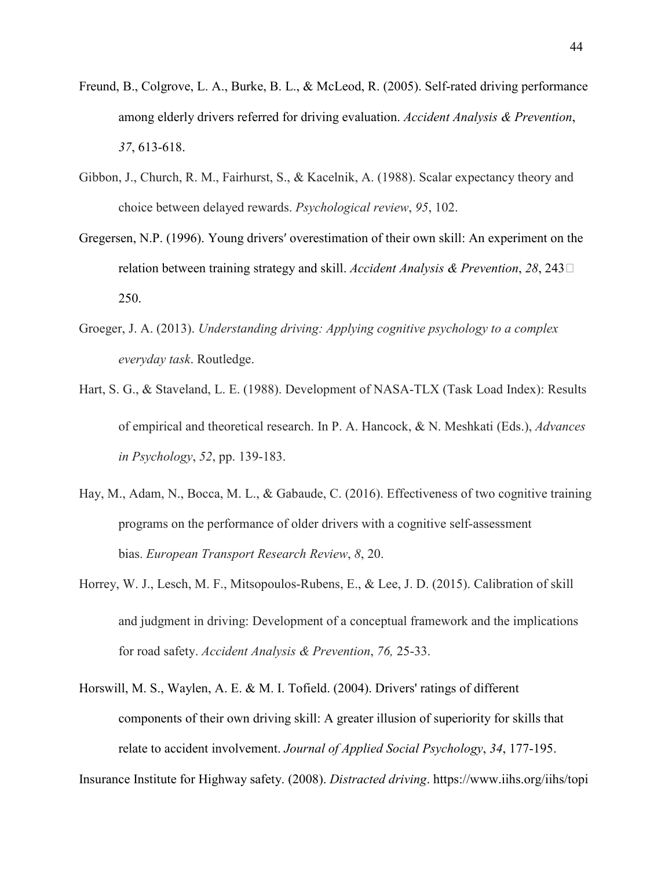- Freund, B., Colgrove, L. A., Burke, B. L., & McLeod, R. (2005). Self-rated driving performance among elderly drivers referred for driving evaluation. *Accident Analysis & Prevention*, *37*, 613-618.
- Gibbon, J., Church, R. M., Fairhurst, S., & Kacelnik, A. (1988). Scalar expectancy theory and choice between delayed rewards. *Psychological review*, *95*, 102.
- Gregersen, N.P. (1996). Young driversʹ overestimation of their own skill: An experiment on the relation between training strategy and skill. *Accident Analysis & Prevention*, *28*, 243‐ 250.
- Groeger, J. A. (2013). *Understanding driving: Applying cognitive psychology to a complex everyday task*. Routledge.
- Hart, S. G., & Staveland, L. E. (1988). Development of NASA-TLX (Task Load Index): Results of empirical and theoretical research. In P. A. Hancock, & N. Meshkati (Eds.), *Advances in Psychology*, *52*, pp. 139-183.
- Hay, M., Adam, N., Bocca, M. L., & Gabaude, C. (2016). Effectiveness of two cognitive training programs on the performance of older drivers with a cognitive self-assessment bias. *European Transport Research Review*, *8*, 20.
- Horrey, W. J., Lesch, M. F., Mitsopoulos-Rubens, E., & Lee, J. D. (2015). Calibration of skill and judgment in driving: Development of a conceptual framework and the implications for road safety. *Accident Analysis & Prevention*, *76,* 25-33.
- Horswill, M. S., Waylen, A. E. & M. I. Tofield. (2004). Drivers' ratings of different components of their own driving skill: A greater illusion of superiority for skills that relate to accident involvement. *Journal of Applied Social Psychology*, *34*, 177-195.

Insurance Institute for Highway safety. (2008). *Distracted driving*. https://www.iihs.org/iihs/topi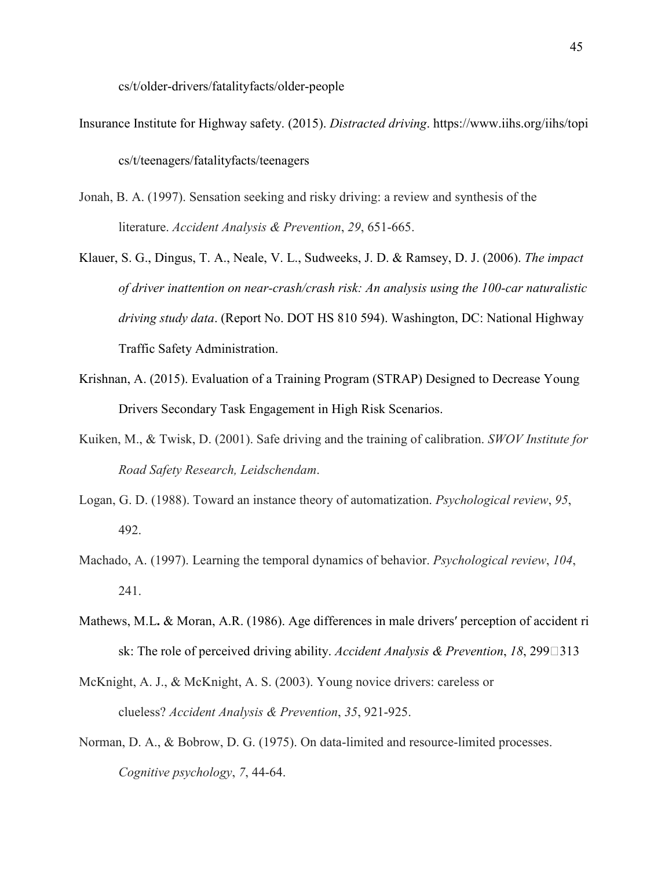cs/t/older-drivers/fatalityfacts/older-people

- Insurance Institute for Highway safety. (2015). *Distracted driving*. https://www.iihs.org/iihs/topi cs/t/teenagers/fatalityfacts/teenagers
- Jonah, B. A. (1997). Sensation seeking and risky driving: a review and synthesis of the literature. *Accident Analysis & Prevention*, *29*, 651-665.
- Klauer, S. G., Dingus, T. A., Neale, V. L., Sudweeks, J. D. & Ramsey, D. J. (2006). *The impact of driver inattention on near-crash/crash risk: An analysis using the 100-car naturalistic driving study data*. (Report No. DOT HS 810 594). Washington, DC: National Highway Traffic Safety Administration.
- Krishnan, A. (2015). Evaluation of a Training Program (STRAP) Designed to Decrease Young Drivers Secondary Task Engagement in High Risk Scenarios.
- Kuiken, M., & Twisk, D. (2001). Safe driving and the training of calibration. *SWOV Institute for Road Safety Research, Leidschendam*.
- Logan, G. D. (1988). Toward an instance theory of automatization. *Psychological review*, *95*, 492.
- Machado, A. (1997). Learning the temporal dynamics of behavior. *Psychological review*, *104*, 241.
- Mathews, M.L. & Moran, A.R. (1986). Age differences in male drivers' perception of accident ri sk: The role of perceived driving ability. *Accident Analysis & Prevention*, *18*, 299□313
- McKnight, A. J., & McKnight, A. S. (2003). Young novice drivers: careless or clueless? *Accident Analysis & Prevention*, *35*, 921-925.
- Norman, D. A., & Bobrow, D. G. (1975). On data-limited and resource-limited processes. *Cognitive psychology*, *7*, 44-64.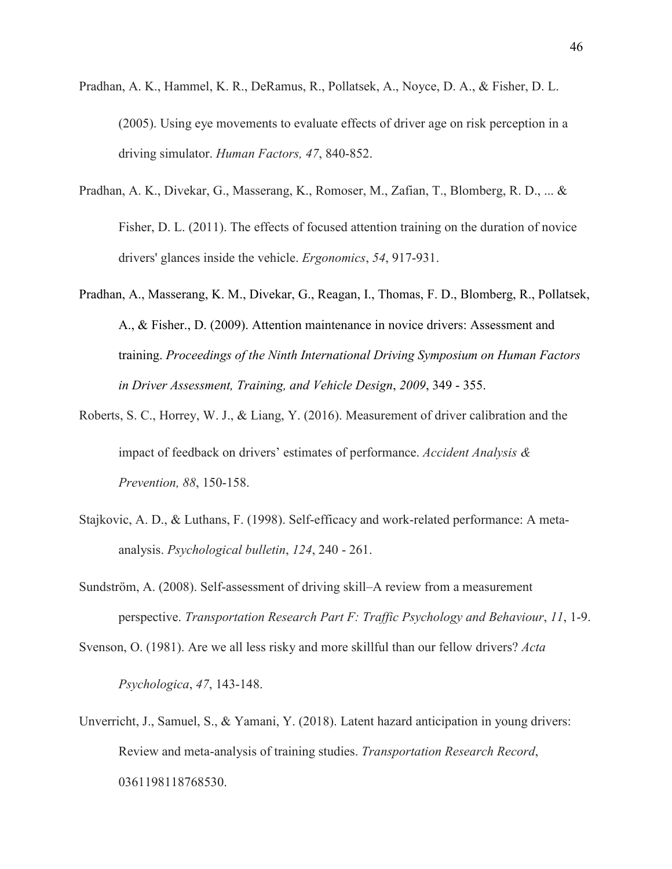- Pradhan, A. K., Hammel, K. R., DeRamus, R., Pollatsek, A., Noyce, D. A., & Fisher, D. L. (2005). Using eye movements to evaluate effects of driver age on risk perception in a driving simulator. *Human Factors, 47*, 840-852.
- Pradhan, A. K., Divekar, G., Masserang, K., Romoser, M., Zafian, T., Blomberg, R. D., ... & Fisher, D. L. (2011). The effects of focused attention training on the duration of novice drivers' glances inside the vehicle. *Ergonomics*, *54*, 917-931.
- Pradhan, A., Masserang, K. M., Divekar, G., Reagan, I., Thomas, F. D., Blomberg, R., Pollatsek, A., & Fisher., D. (2009). Attention maintenance in novice drivers: Assessment and training. *Proceedings of the Ninth International Driving Symposium on Human Factors in Driver Assessment, Training, and Vehicle Design*, *2009*, 349 - 355.
- Roberts, S. C., Horrey, W. J., & Liang, Y. (2016). Measurement of driver calibration and the impact of feedback on drivers' estimates of performance. *Accident Analysis & Prevention, 88*, 150-158.
- Stajkovic, A. D., & Luthans, F. (1998). Self-efficacy and work-related performance: A metaanalysis. *Psychological bulletin*, *124*, 240 - 261.
- Sundström, A. (2008). Self-assessment of driving skill–A review from a measurement perspective. *Transportation Research Part F: Traffic Psychology and Behaviour*, *11*, 1-9.

Svenson, O. (1981). Are we all less risky and more skillful than our fellow drivers? *Acta* 

*Psychologica*, *47*, 143-148.

Unverricht, J., Samuel, S., & Yamani, Y. (2018). Latent hazard anticipation in young drivers: Review and meta-analysis of training studies. *Transportation Research Record*, 0361198118768530.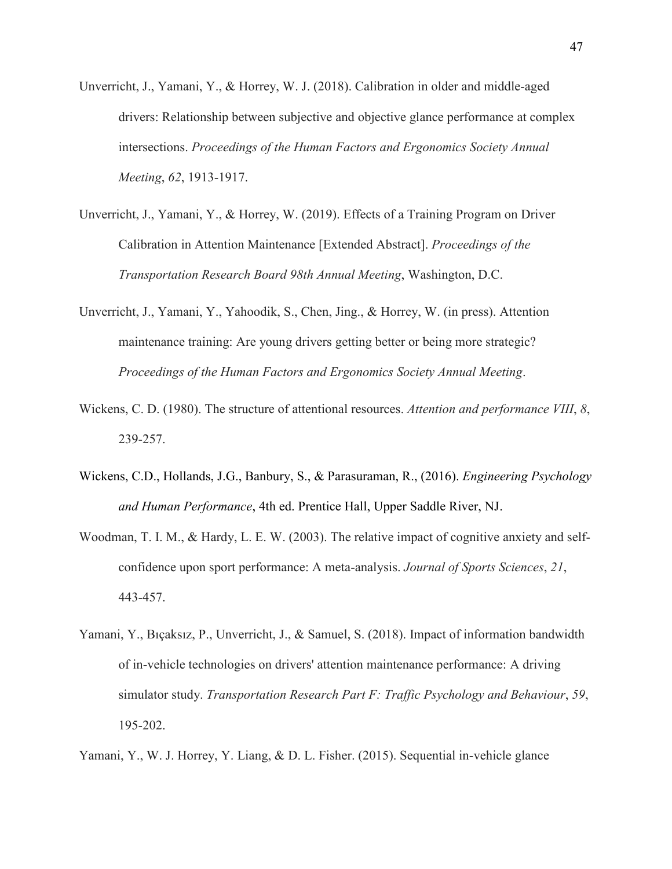- Unverricht, J., Yamani, Y., & Horrey, W. J. (2018). Calibration in older and middle-aged drivers: Relationship between subjective and objective glance performance at complex intersections. *Proceedings of the Human Factors and Ergonomics Society Annual Meeting*, *62*, 1913-1917.
- Unverricht, J., Yamani, Y., & Horrey, W. (2019). Effects of a Training Program on Driver Calibration in Attention Maintenance [Extended Abstract]. *Proceedings of the Transportation Research Board 98th Annual Meeting*, Washington, D.C.
- Unverricht, J., Yamani, Y., Yahoodik, S., Chen, Jing., & Horrey, W. (in press). Attention maintenance training: Are young drivers getting better or being more strategic? *Proceedings of the Human Factors and Ergonomics Society Annual Meeting*.
- Wickens, C. D. (1980). The structure of attentional resources. *Attention and performance VIII*, *8*, 239-257.
- Wickens, C.D., Hollands, J.G., Banbury, S., & Parasuraman, R., (2016). *Engineering Psychology and Human Performance*, 4th ed. Prentice Hall, Upper Saddle River, NJ.
- Woodman, T. I. M., & Hardy, L. E. W. (2003). The relative impact of cognitive anxiety and selfconfidence upon sport performance: A meta-analysis. *Journal of Sports Sciences*, *21*, 443-457.
- Yamani, Y., Bıçaksız, P., Unverricht, J., & Samuel, S. (2018). Impact of information bandwidth of in-vehicle technologies on drivers' attention maintenance performance: A driving simulator study. *Transportation Research Part F: Traffic Psychology and Behaviour*, *59*, 195-202.

Yamani, Y., W. J. Horrey, Y. Liang, & D. L. Fisher. (2015). Sequential in-vehicle glance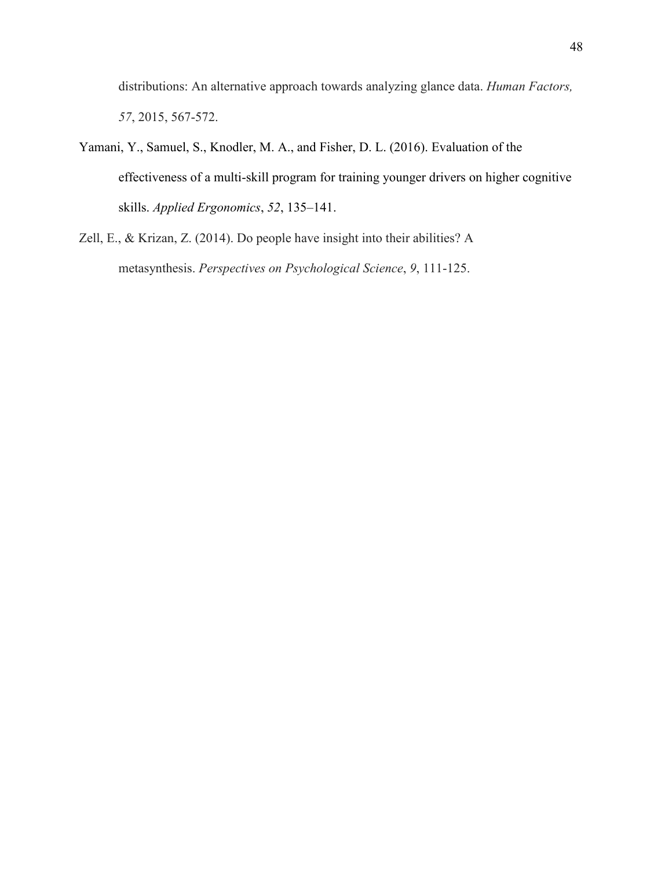distributions: An alternative approach towards analyzing glance data. *Human Factors, 57*, 2015, 567-572.

- Yamani, Y., Samuel, S., Knodler, M. A., and Fisher, D. L. (2016). Evaluation of the effectiveness of a multi-skill program for training younger drivers on higher cognitive skills. *Applied Ergonomics*, *52*, 135–141.
- Zell, E., & Krizan, Z. (2014). Do people have insight into their abilities? A metasynthesis. *Perspectives on Psychological Science*, *9*, 111-125.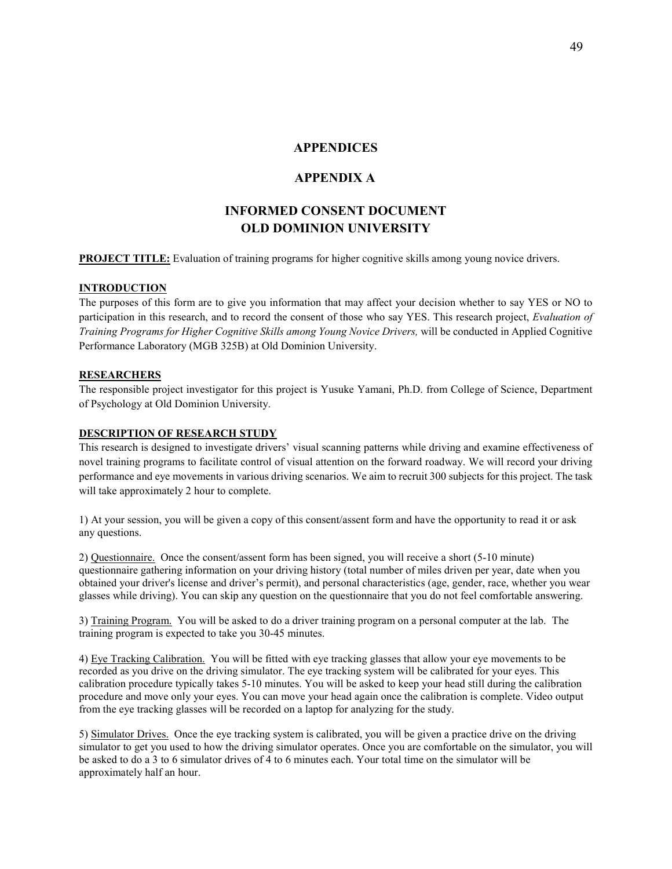### **APPENDICES**

## **APPENDIX A**

# **INFORMED CONSENT DOCUMENT OLD DOMINION UNIVERSITY**

#### **PROJECT TITLE:** Evaluation of training programs for higher cognitive skills among young novice drivers.

#### **INTRODUCTION**

The purposes of this form are to give you information that may affect your decision whether to say YES or NO to participation in this research, and to record the consent of those who say YES. This research project, *Evaluation of Training Programs for Higher Cognitive Skills among Young Novice Drivers,* will be conducted in Applied Cognitive Performance Laboratory (MGB 325B) at Old Dominion University.

#### **RESEARCHERS**

The responsible project investigator for this project is Yusuke Yamani, Ph.D. from College of Science, Department of Psychology at Old Dominion University.

#### **DESCRIPTION OF RESEARCH STUDY**

This research is designed to investigate drivers' visual scanning patterns while driving and examine effectiveness of novel training programs to facilitate control of visual attention on the forward roadway. We will record your driving performance and eye movements in various driving scenarios. We aim to recruit 300 subjects for this project. The task will take approximately 2 hour to complete.

1) At your session, you will be given a copy of this consent/assent form and have the opportunity to read it or ask any questions.

2) Questionnaire. Once the consent/assent form has been signed, you will receive a short (5-10 minute) questionnaire gathering information on your driving history (total number of miles driven per year, date when you obtained your driver's license and driver's permit), and personal characteristics (age, gender, race, whether you wear glasses while driving). You can skip any question on the questionnaire that you do not feel comfortable answering.

3) Training Program. You will be asked to do a driver training program on a personal computer at the lab. The training program is expected to take you 30-45 minutes.

4) Eye Tracking Calibration. You will be fitted with eye tracking glasses that allow your eye movements to be recorded as you drive on the driving simulator. The eye tracking system will be calibrated for your eyes. This calibration procedure typically takes 5-10 minutes. You will be asked to keep your head still during the calibration procedure and move only your eyes. You can move your head again once the calibration is complete. Video output from the eye tracking glasses will be recorded on a laptop for analyzing for the study.

5) Simulator Drives. Once the eye tracking system is calibrated, you will be given a practice drive on the driving simulator to get you used to how the driving simulator operates. Once you are comfortable on the simulator, you will be asked to do a 3 to 6 simulator drives of 4 to 6 minutes each. Your total time on the simulator will be approximately half an hour.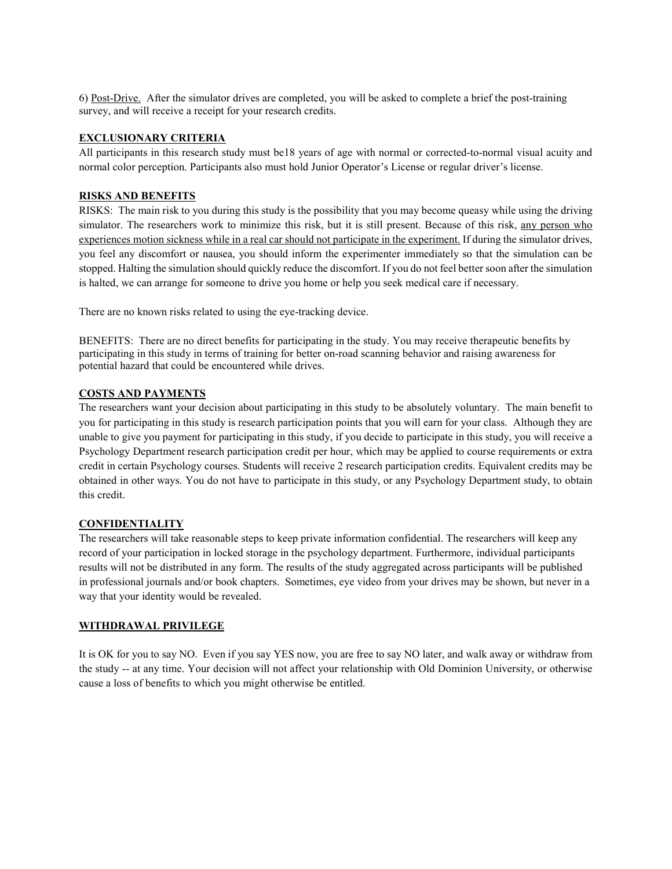6) Post-Drive. After the simulator drives are completed, you will be asked to complete a brief the post-training survey, and will receive a receipt for your research credits.

#### **EXCLUSIONARY CRITERIA**

All participants in this research study must be18 years of age with normal or corrected-to-normal visual acuity and normal color perception. Participants also must hold Junior Operator's License or regular driver's license.

#### **RISKS AND BENEFITS**

RISKS: The main risk to you during this study is the possibility that you may become queasy while using the driving simulator. The researchers work to minimize this risk, but it is still present. Because of this risk, any person who experiences motion sickness while in a real car should not participate in the experiment. If during the simulator drives, you feel any discomfort or nausea, you should inform the experimenter immediately so that the simulation can be stopped. Halting the simulation should quickly reduce the discomfort. If you do not feel better soon after the simulation is halted, we can arrange for someone to drive you home or help you seek medical care if necessary.

There are no known risks related to using the eye-tracking device.

BENEFITS: There are no direct benefits for participating in the study. You may receive therapeutic benefits by participating in this study in terms of training for better on-road scanning behavior and raising awareness for potential hazard that could be encountered while drives.

#### **COSTS AND PAYMENTS**

The researchers want your decision about participating in this study to be absolutely voluntary. The main benefit to you for participating in this study is research participation points that you will earn for your class. Although they are unable to give you payment for participating in this study, if you decide to participate in this study, you will receive a Psychology Department research participation credit per hour, which may be applied to course requirements or extra credit in certain Psychology courses. Students will receive 2 research participation credits. Equivalent credits may be obtained in other ways. You do not have to participate in this study, or any Psychology Department study, to obtain this credit.

#### **CONFIDENTIALITY**

The researchers will take reasonable steps to keep private information confidential. The researchers will keep any record of your participation in locked storage in the psychology department. Furthermore, individual participants results will not be distributed in any form. The results of the study aggregated across participants will be published in professional journals and/or book chapters. Sometimes, eye video from your drives may be shown, but never in a way that your identity would be revealed.

#### **WITHDRAWAL PRIVILEGE**

It is OK for you to say NO. Even if you say YES now, you are free to say NO later, and walk away or withdraw from the study -- at any time. Your decision will not affect your relationship with Old Dominion University, or otherwise cause a loss of benefits to which you might otherwise be entitled.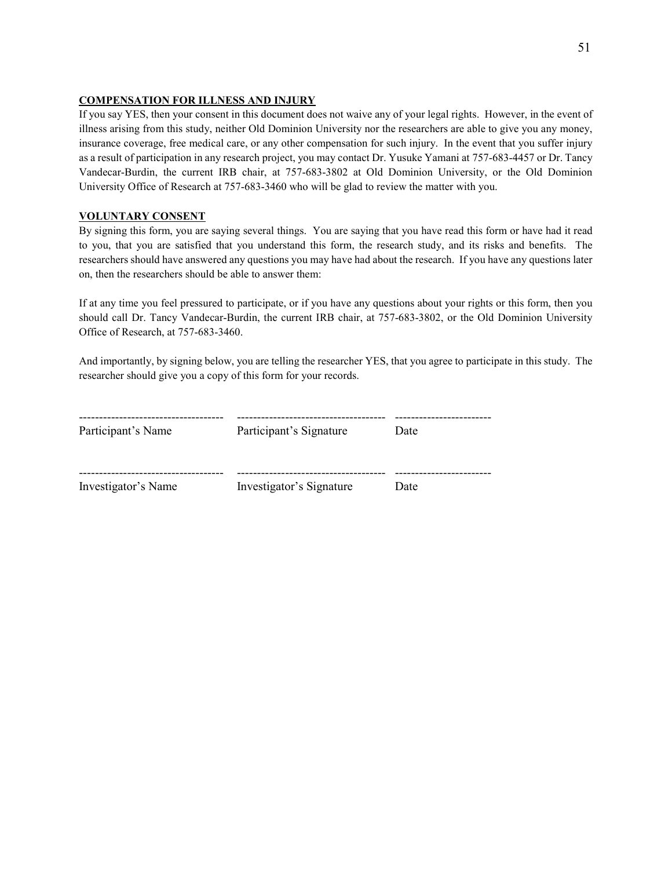#### **COMPENSATION FOR ILLNESS AND INJURY**

If you say YES, then your consent in this document does not waive any of your legal rights. However, in the event of illness arising from this study, neither Old Dominion University nor the researchers are able to give you any money, insurance coverage, free medical care, or any other compensation for such injury. In the event that you suffer injury as a result of participation in any research project, you may contact Dr. Yusuke Yamani at 757-683-4457 or Dr. Tancy Vandecar-Burdin, the current IRB chair, at 757-683-3802 at Old Dominion University, or the Old Dominion University Office of Research at 757-683-3460 who will be glad to review the matter with you.

#### **VOLUNTARY CONSENT**

By signing this form, you are saying several things. You are saying that you have read this form or have had it read to you, that you are satisfied that you understand this form, the research study, and its risks and benefits. The researchers should have answered any questions you may have had about the research. If you have any questions later on, then the researchers should be able to answer them:

If at any time you feel pressured to participate, or if you have any questions about your rights or this form, then you should call Dr. Tancy Vandecar-Burdin, the current IRB chair, at 757-683-3802, or the Old Dominion University Office of Research, at 757-683-3460.

And importantly, by signing below, you are telling the researcher YES, that you agree to participate in this study. The researcher should give you a copy of this form for your records.

| Participant's Name  | Participant's Signature  | Date |
|---------------------|--------------------------|------|
| Investigator's Name | Investigator's Signature | Date |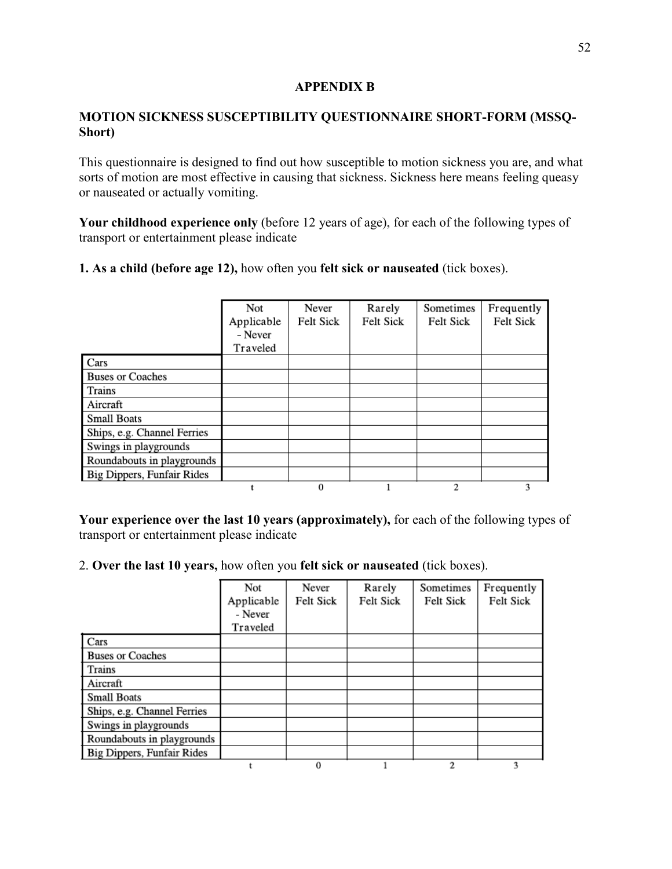# **APPENDIX B**

# **MOTION SICKNESS SUSCEPTIBILITY QUESTIONNAIRE SHORT-FORM (MSSQ-Short)**

This questionnaire is designed to find out how susceptible to motion sickness you are, and what sorts of motion are most effective in causing that sickness. Sickness here means feeling queasy or nauseated or actually vomiting.

**Your childhood experience only** (before 12 years of age), for each of the following types of transport or entertainment please indicate

**1. As a child (before age 12),** how often you **felt sick or nauseated** (tick boxes).

|                                   | Not<br>Applicable<br>- Never<br>Traveled | Never<br>Felt Sick | Rarely<br>Felt Sick | Sometimes<br>Felt Sick | Frequently<br>Felt Sick |
|-----------------------------------|------------------------------------------|--------------------|---------------------|------------------------|-------------------------|
| Cars                              |                                          |                    |                     |                        |                         |
| <b>Buses or Coaches</b>           |                                          |                    |                     |                        |                         |
| Trains                            |                                          |                    |                     |                        |                         |
| Aircraft                          |                                          |                    |                     |                        |                         |
| <b>Small Boats</b>                |                                          |                    |                     |                        |                         |
| Ships, e.g. Channel Ferries       |                                          |                    |                     |                        |                         |
| Swings in playgrounds             |                                          |                    |                     |                        |                         |
| Roundabouts in playgrounds        |                                          |                    |                     |                        |                         |
| <b>Big Dippers, Funfair Rides</b> |                                          |                    |                     |                        |                         |
|                                   |                                          | $\bf{0}$           |                     | 2                      | 3                       |

**Your experience over the last 10 years (approximately),** for each of the following types of transport or entertainment please indicate

# 2. **Over the last 10 years,** how often you **felt sick or nauseated** (tick boxes).

|                                   | Not<br>Applicable<br>- Never | Never<br>Felt Sick | Rarely<br>Felt Sick | Sometimes<br>Felt Sick | Frequently<br>Felt Sick |
|-----------------------------------|------------------------------|--------------------|---------------------|------------------------|-------------------------|
|                                   | Traveled                     |                    |                     |                        |                         |
| Cars                              |                              |                    |                     |                        |                         |
| <b>Buses or Coaches</b>           |                              |                    |                     |                        |                         |
| Trains                            |                              |                    |                     |                        |                         |
| Aircraft                          |                              |                    |                     |                        |                         |
| <b>Small Boats</b>                |                              |                    |                     |                        |                         |
| Ships, e.g. Channel Ferries       |                              |                    |                     |                        |                         |
| Swings in playgrounds             |                              |                    |                     |                        |                         |
| Roundabouts in playgrounds        |                              |                    |                     |                        |                         |
| <b>Big Dippers, Funfair Rides</b> |                              |                    |                     |                        |                         |
|                                   |                              | 0                  |                     | 2                      |                         |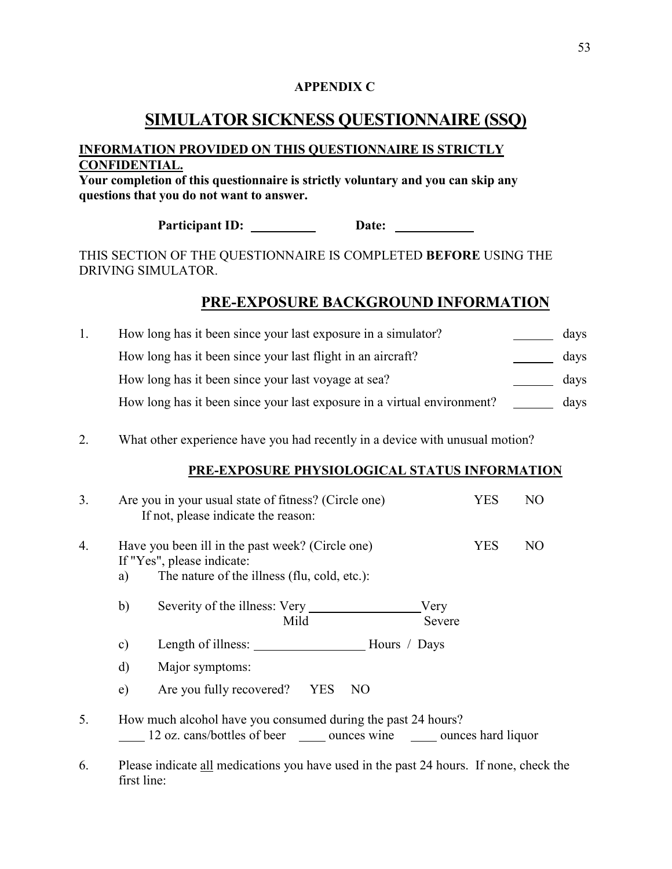# **APPENDIX C**

# **SIMULATOR SICKNESS QUESTIONNAIRE (SSQ)**

# **INFORMATION PROVIDED ON THIS QUESTIONNAIRE IS STRICTLY CONFIDENTIAL.**

**Your completion of this questionnaire is strictly voluntary and you can skip any questions that you do not want to answer.** 

Participant ID: Date: Date:

THIS SECTION OF THE QUESTIONNAIRE IS COMPLETED **BEFORE** USING THE DRIVING SIMULATOR.

# **PRE-EXPOSURE BACKGROUND INFORMATION**

| How long has it been since your last exposure in a simulator?           | days |
|-------------------------------------------------------------------------|------|
| How long has it been since your last flight in an aircraft?             | days |
| How long has it been since your last voyage at sea?                     | days |
| How long has it been since your last exposure in a virtual environment? | days |

2. What other experience have you had recently in a device with unusual motion?

# **PRE-EXPOSURE PHYSIOLOGICAL STATUS INFORMATION**

| 3. | Are you in your usual state of fitness? (Circle one)<br><b>YES</b><br>NO<br>If not, please indicate the reason: |                                                                                                                                             |            |    |
|----|-----------------------------------------------------------------------------------------------------------------|---------------------------------------------------------------------------------------------------------------------------------------------|------------|----|
| 4. | a)                                                                                                              | Have you been ill in the past week? (Circle one)<br>If "Yes", please indicate:<br>The nature of the illness (flu, cold, etc.):              | <b>YES</b> | NO |
|    | b)                                                                                                              | Severity of the illness: Very<br>Very<br>Mild<br>Severe                                                                                     |            |    |
|    | $\mathbf{c})$                                                                                                   |                                                                                                                                             |            |    |
|    | $\mathbf{d}$                                                                                                    | Major symptoms:                                                                                                                             |            |    |
|    | e)                                                                                                              | Are you fully recovered? YES<br>NO                                                                                                          |            |    |
| 5. |                                                                                                                 | How much alcohol have you consumed during the past 24 hours?<br>12 oz. cans/bottles of beer ________ ounces wine _______ ounces hard liquor |            |    |

6. Please indicate all medications you have used in the past 24 hours. If none, check the first line: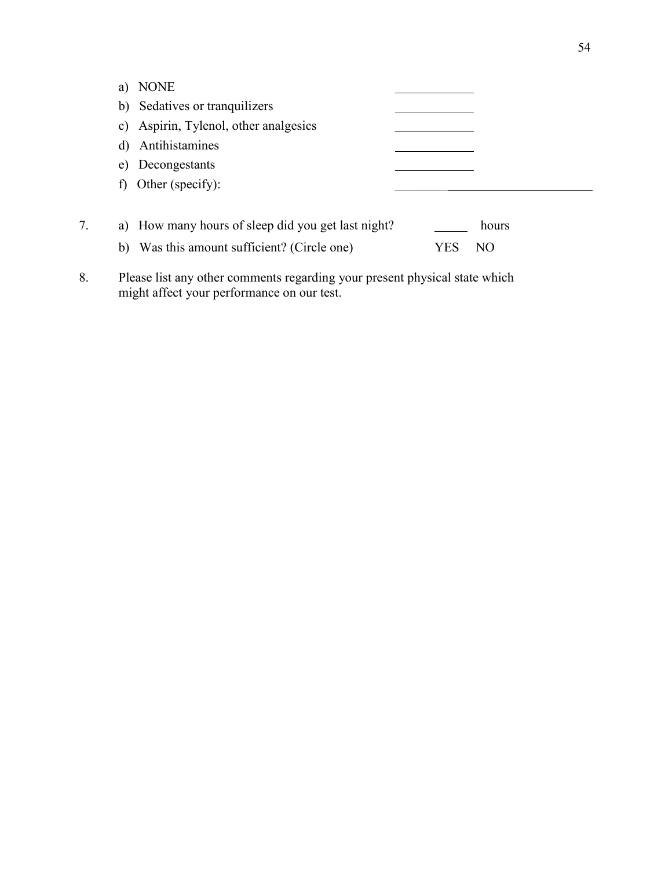| <b>NONE</b><br>a)                                  |            |
|----------------------------------------------------|------------|
| Sedatives or tranquilizers<br>b)                   |            |
| Aspirin, Tylenol, other analgesics<br>C)           |            |
| Antihistamines<br>d)                               |            |
| Decongestants<br>e)                                |            |
| Other (specify):<br>$\ddot{\phantom{1}}$           |            |
|                                                    |            |
| a) How many hours of sleep did you get last night? | hours      |
| Was this amount sufficient? (Circle one)<br>b)     | NO<br>Y ES |

8. Please list any other comments regarding your present physical state which might affect your performance on our test.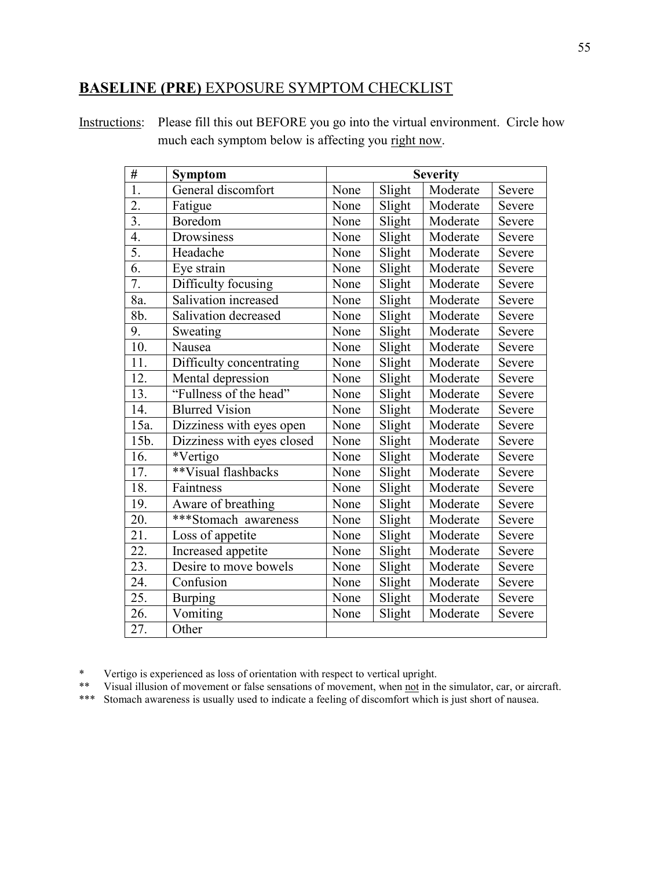# **BASELINE (PRE)** EXPOSURE SYMPTOM CHECKLIST

Instructions: Please fill this out BEFORE you go into the virtual environment. Circle how much each symptom below is affecting you right now.

| #                | <b>Symptom</b>             |      |        | <b>Severity</b> |        |
|------------------|----------------------------|------|--------|-----------------|--------|
| $\overline{1}$ . | General discomfort         | None | Slight | Moderate        | Severe |
| $\overline{2}$ . | Fatigue                    | None | Slight | Moderate        | Severe |
| 3.               | Boredom                    | None | Slight | Moderate        | Severe |
| 4.               | Drowsiness                 | None | Slight | Moderate        | Severe |
| 5.               | Headache                   | None | Slight | Moderate        | Severe |
| $\overline{6}$ . | Eye strain                 | None | Slight | Moderate        | Severe |
| 7.               | Difficulty focusing        | None | Slight | Moderate        | Severe |
| 8a.              | Salivation increased       | None | Slight | Moderate        | Severe |
| 8b.              | Salivation decreased       | None | Slight | Moderate        | Severe |
| 9.               | Sweating                   | None | Slight | Moderate        | Severe |
| 10.              | Nausea                     | None | Slight | Moderate        | Severe |
| 11.              | Difficulty concentrating   | None | Slight | Moderate        | Severe |
| 12.              | Mental depression          | None | Slight | Moderate        | Severe |
| 13.              | "Fullness of the head"     | None | Slight | Moderate        | Severe |
| 14.              | <b>Blurred Vision</b>      | None | Slight | Moderate        | Severe |
| 15a.             | Dizziness with eyes open   | None | Slight | Moderate        | Severe |
| 15b.             | Dizziness with eyes closed | None | Slight | Moderate        | Severe |
| 16.              | *Vertigo                   | None | Slight | Moderate        | Severe |
| 17.              | **Visual flashbacks        | None | Slight | Moderate        | Severe |
| 18.              | Faintness                  | None | Slight | Moderate        | Severe |
| 19.              | Aware of breathing         | None | Slight | Moderate        | Severe |
| 20.              | ***Stomach awareness       | None | Slight | Moderate        | Severe |
| 21.              | Loss of appetite           | None | Slight | Moderate        | Severe |
| 22.              | Increased appetite         | None | Slight | Moderate        | Severe |
| 23.              | Desire to move bowels      | None | Slight | Moderate        | Severe |
| 24.              | Confusion                  | None | Slight | Moderate        | Severe |
| 25.              | <b>Burping</b>             | None | Slight | Moderate        | Severe |
| 26.              | Vomiting                   | None | Slight | Moderate        | Severe |
| 27.              | Other                      |      |        |                 |        |

\* Vertigo is experienced as loss of orientation with respect to vertical upright.

\*\* Visual illusion of movement or false sensations of movement, when not in the simulator, car, or aircraft.

\*\*\* Stomach awareness is usually used to indicate a feeling of discomfort which is just short of nausea.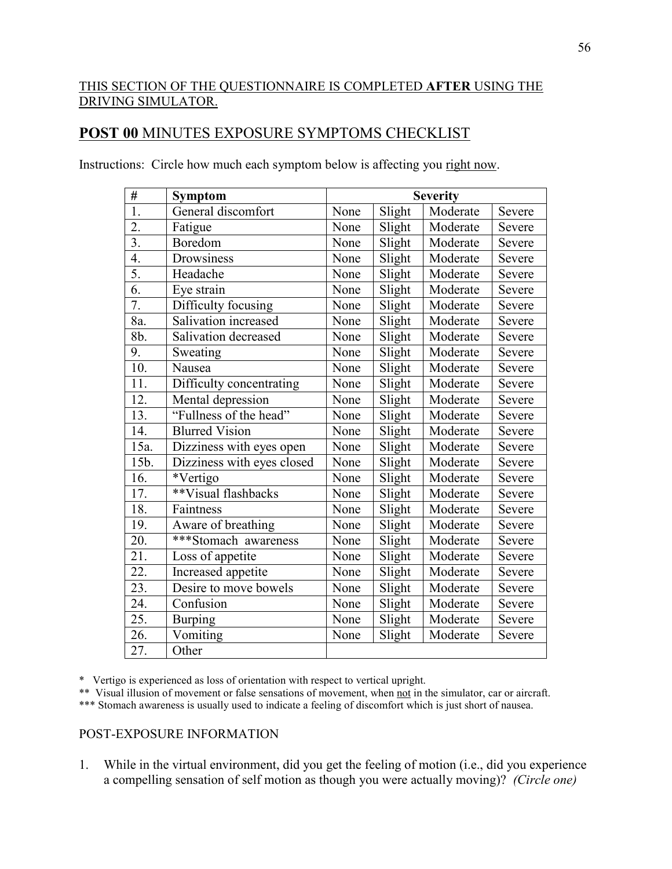# THIS SECTION OF THE QUESTIONNAIRE IS COMPLETED **AFTER** USING THE DRIVING SIMULATOR.

# **POST 00** MINUTES EXPOSURE SYMPTOMS CHECKLIST

| #                 | <b>Symptom</b>             |      |        | <b>Severity</b> |        |
|-------------------|----------------------------|------|--------|-----------------|--------|
| $\overline{1}$ .  | General discomfort         | None | Slight | Moderate        | Severe |
| $\overline{2}$ .  | Fatigue                    | None | Slight | Moderate        | Severe |
| $\overline{3}$ .  | Boredom                    | None | Slight | Moderate        | Severe |
| $\overline{4}$ .  | Drowsiness                 | None | Slight | Moderate        | Severe |
| 5.                | Headache                   | None | Slight | Moderate        | Severe |
| 6.                | Eye strain                 | None | Slight | Moderate        | Severe |
| 7.                | Difficulty focusing        | None | Slight | Moderate        | Severe |
| 8a.               | Salivation increased       | None | Slight | Moderate        | Severe |
| 8b.               | Salivation decreased       | None | Slight | Moderate        | Severe |
| 9.                | Sweating                   | None | Slight | Moderate        | Severe |
| $\overline{10}$ . | Nausea                     | None | Slight | Moderate        | Severe |
| 11.               | Difficulty concentrating   | None | Slight | Moderate        | Severe |
| 12.               | Mental depression          | None | Slight | Moderate        | Severe |
| 13.               | "Fullness of the head"     | None | Slight | Moderate        | Severe |
| 14.               | <b>Blurred Vision</b>      | None | Slight | Moderate        | Severe |
| 15a.              | Dizziness with eyes open   | None | Slight | Moderate        | Severe |
| 15b.              | Dizziness with eyes closed | None | Slight | Moderate        | Severe |
| 16.               | *Vertigo                   | None | Slight | Moderate        | Severe |
| 17.               | **Visual flashbacks        | None | Slight | Moderate        | Severe |
| 18.               | Faintness                  | None | Slight | Moderate        | Severe |
| 19.               | Aware of breathing         | None | Slight | Moderate        | Severe |
| 20.               | ***Stomach awareness       | None | Slight | Moderate        | Severe |
| 21.               | Loss of appetite           | None | Slight | Moderate        | Severe |
| 22.               | Increased appetite         | None | Slight | Moderate        | Severe |
| 23.               | Desire to move bowels      | None | Slight | Moderate        | Severe |
| 24.               | Confusion                  | None | Slight | Moderate        | Severe |
| 25.               | <b>Burping</b>             | None | Slight | Moderate        | Severe |
| 26.               | Vomiting                   | None | Slight | Moderate        | Severe |
| 27.               | Other                      |      |        |                 |        |

Instructions: Circle how much each symptom below is affecting you right now.

\* Vertigo is experienced as loss of orientation with respect to vertical upright.

\*\* Visual illusion of movement or false sensations of movement, when not in the simulator, car or aircraft.

\*\*\* Stomach awareness is usually used to indicate a feeling of discomfort which is just short of nausea.

# POST-EXPOSURE INFORMATION

1. While in the virtual environment, did you get the feeling of motion (i.e., did you experience a compelling sensation of self motion as though you were actually moving)? *(Circle one)*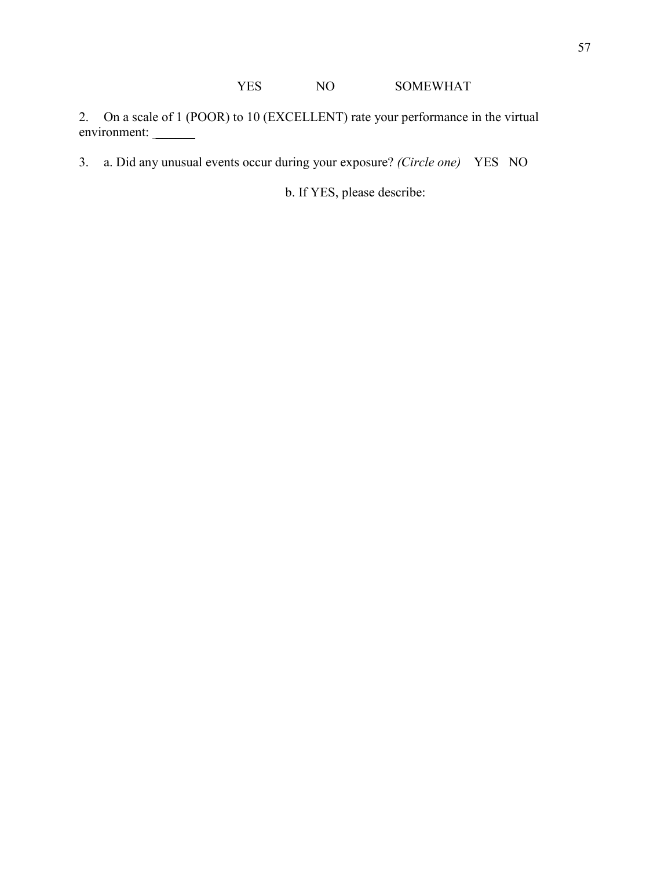2. On a scale of 1 (POOR) to 10 (EXCELLENT) rate your performance in the virtual environment:

3. a. Did any unusual events occur during your exposure? *(Circle one)* YES NO

b. If YES, please describe: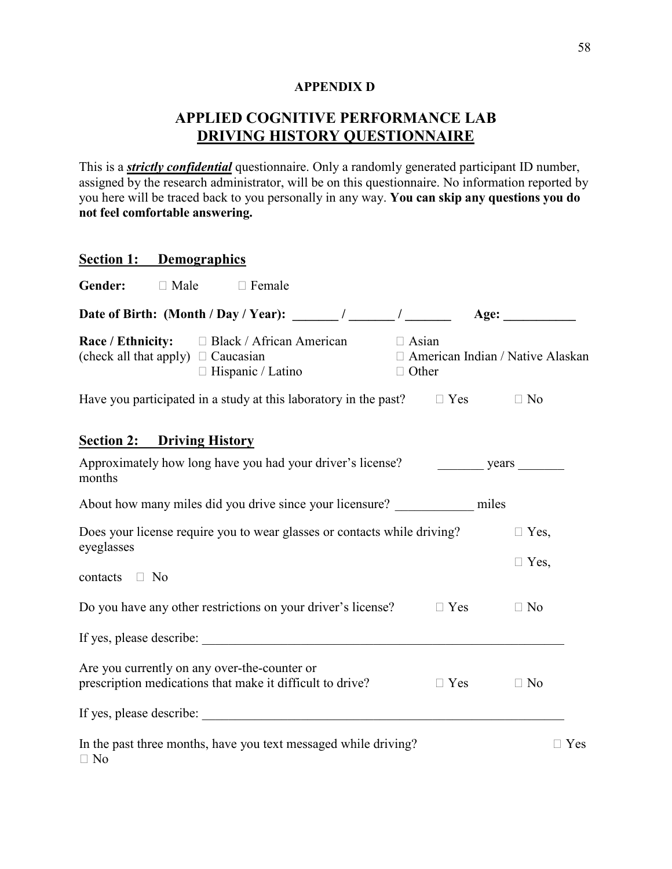# **APPENDIX D**

# **APPLIED COGNITIVE PERFORMANCE LAB DRIVING HISTORY QUESTIONNAIRE**

This is a *strictly confidential* questionnaire. Only a randomly generated participant ID number, assigned by the research administrator, will be on this questionnaire. No information reported by you here will be traced back to you personally in any way. **You can skip any questions you do not feel comfortable answering.** 

|                                         | <b>Section 1: Demographics</b> |                                                                                                           |                              |            |                                         |  |
|-----------------------------------------|--------------------------------|-----------------------------------------------------------------------------------------------------------|------------------------------|------------|-----------------------------------------|--|
| Gender:                                 | $\Box$ Male                    | $\Box$ Female                                                                                             |                              |            |                                         |  |
|                                         |                                | Date of Birth: (Month / Day / Year): ______ / ______ / ______ /                                           |                              |            | Age: $\qquad \qquad$                    |  |
| (check all that apply) $\Box$ Caucasian |                                | <b>Race / Ethnicity:</b> □ Black / African American<br>$\Box$ Hispanic / Latino                           | $\Box$ Asian<br>$\Box$ Other |            | $\Box$ American Indian / Native Alaskan |  |
|                                         |                                | Have you participated in a study at this laboratory in the past? $\Box$ Yes $\Box$ No                     |                              |            |                                         |  |
| <b>Section 2:</b> Driving History       |                                |                                                                                                           |                              |            |                                         |  |
| months                                  |                                | Approximately how long have you had your driver's license? years                                          |                              |            |                                         |  |
|                                         |                                | About how many miles did you drive since your licensure? ____________ miles                               |                              |            |                                         |  |
| eyeglasses                              |                                | Does your license require you to wear glasses or contacts while driving?                                  |                              |            | $\Box$ Yes,                             |  |
| contacts $\Box$ No                      |                                |                                                                                                           |                              |            | $\Box$ Yes,                             |  |
|                                         |                                | Do you have any other restrictions on your driver's license?                                              |                              | $\Box$ Yes | $\Box$ No                               |  |
|                                         |                                | If yes, please describe:                                                                                  |                              |            |                                         |  |
|                                         |                                | Are you currently on any over-the-counter or<br>prescription medications that make it difficult to drive? |                              | $\Box$ Yes | $\Box$ No                               |  |
|                                         |                                | If yes, please describe:                                                                                  |                              |            |                                         |  |
| $\Box$ No                               |                                | In the past three months, have you text messaged while driving?                                           |                              |            | $\Box$ Yes                              |  |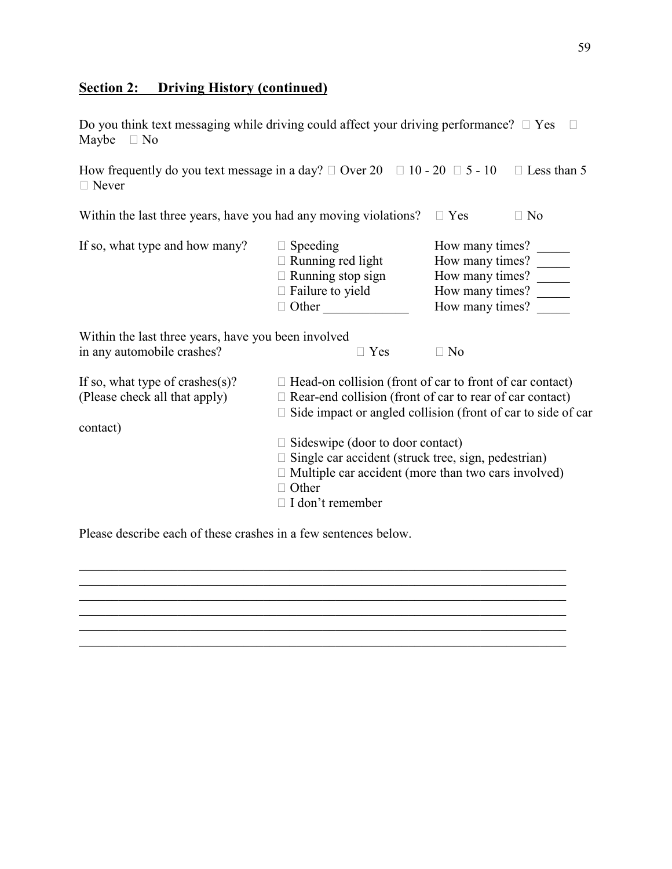# **Section 2: Driving History (continued)**

|                 | Do you think text messaging while driving could affect your driving performance? $\Box$ Yes $\Box$ |  |
|-----------------|----------------------------------------------------------------------------------------------------|--|
| Maybe $\Box$ No |                                                                                                    |  |

How frequently do you text message in a day?  $\Box$  Over 20  $\Box$  10 - 20  $\Box$  5 - 10  $\Box$  Less than 5  $\Box$  Never

| Within the last three years, have you had any moving violations? | $\Box$ Yes                                                                                                         | $\Box$ No                                                                                   |  |
|------------------------------------------------------------------|--------------------------------------------------------------------------------------------------------------------|---------------------------------------------------------------------------------------------|--|
| If so, what type and how many?                                   | $\Box$ Speeding<br>$\Box$ Running red light<br>$\Box$ Running stop sign<br>$\Box$ Failure to yield<br>$\Box$ Other | How many times?<br>How many times?<br>How many times?<br>How many times?<br>How many times? |  |
| Within the last three years, have you been involved              |                                                                                                                    |                                                                                             |  |

| in any automobile crashes?                                                       | $\Box$ Yes<br>$\Box$ No                                                                                                                                                                                        |  |  |  |  |
|----------------------------------------------------------------------------------|----------------------------------------------------------------------------------------------------------------------------------------------------------------------------------------------------------------|--|--|--|--|
| If so, what type of crashes $(s)$ ?<br>(Please check all that apply)<br>contact) | $\Box$ Head-on collision (front of car to front of car contact)<br>$\Box$ Rear-end collision (front of car to rear of car contact)<br>$\Box$ Side impact or angled collision (front of car to side of car      |  |  |  |  |
|                                                                                  | $\Box$ Sideswipe (door to door contact)<br>$\Box$ Single car accident (struck tree, sign, pedestrian)<br>$\Box$ Multiple car accident (more than two cars involved)<br>$\Box$ Other<br>$\Box$ I don't remember |  |  |  |  |

 $\_$  , and the set of the set of the set of the set of the set of the set of the set of the set of the set of the set of the set of the set of the set of the set of the set of the set of the set of the set of the set of th  $\_$  , and the set of the set of the set of the set of the set of the set of the set of the set of the set of the set of the set of the set of the set of the set of the set of the set of the set of the set of the set of th  $\mathcal{L}_\mathcal{L} = \{ \mathcal{L}_\mathcal{L} = \{ \mathcal{L}_\mathcal{L} = \{ \mathcal{L}_\mathcal{L} = \{ \mathcal{L}_\mathcal{L} = \{ \mathcal{L}_\mathcal{L} = \{ \mathcal{L}_\mathcal{L} = \{ \mathcal{L}_\mathcal{L} = \{ \mathcal{L}_\mathcal{L} = \{ \mathcal{L}_\mathcal{L} = \{ \mathcal{L}_\mathcal{L} = \{ \mathcal{L}_\mathcal{L} = \{ \mathcal{L}_\mathcal{L} = \{ \mathcal{L}_\mathcal{L} = \{ \mathcal{L}_\mathcal{$ 

 $\_$  , and the set of the set of the set of the set of the set of the set of the set of the set of the set of the set of the set of the set of the set of the set of the set of the set of the set of the set of the set of th

 $\mathcal{L}_\mathcal{L} = \{ \mathcal{L}_\mathcal{L} = \{ \mathcal{L}_\mathcal{L} = \{ \mathcal{L}_\mathcal{L} = \{ \mathcal{L}_\mathcal{L} = \{ \mathcal{L}_\mathcal{L} = \{ \mathcal{L}_\mathcal{L} = \{ \mathcal{L}_\mathcal{L} = \{ \mathcal{L}_\mathcal{L} = \{ \mathcal{L}_\mathcal{L} = \{ \mathcal{L}_\mathcal{L} = \{ \mathcal{L}_\mathcal{L} = \{ \mathcal{L}_\mathcal{L} = \{ \mathcal{L}_\mathcal{L} = \{ \mathcal{L}_\mathcal{$ 

Please describe each of these crashes in a few sentences below.